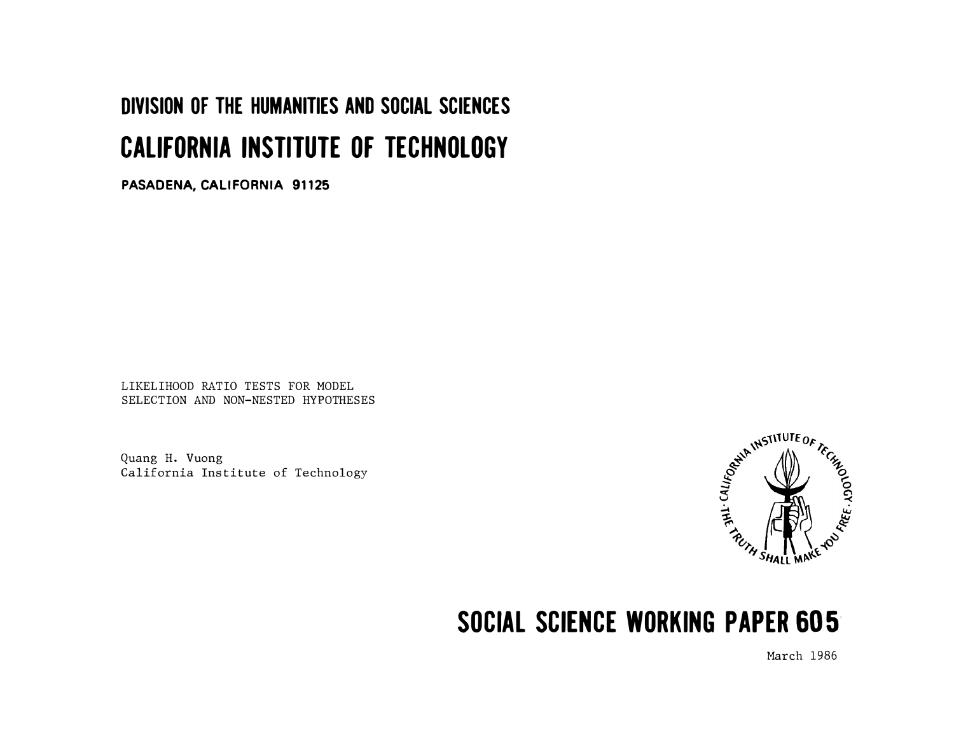# DIVISION OF THE HUMANITIES AND SOCIAL SCIENCES CALIFORNIA INSTITUTE OF TECHNOLOGY

PASADENA, CALIFORNIA 91125

LIKELIHOOD RATIO TESTS FOR MODEL SELECTION AND NON-NESTED HYPOTHESES

Quang H. Vuong California Institute of Technology



## SOCIAL SCIENCE WORKING PAPER 605'

March 1986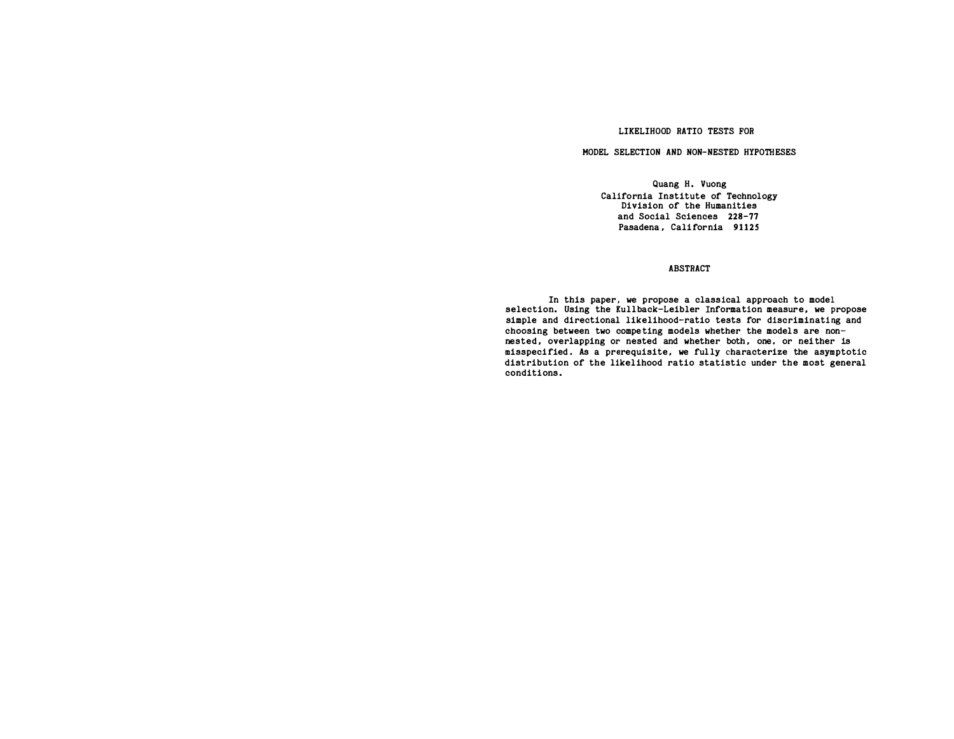#### LIKELIHOOD RATIO TESTS FOR

#### HODEL SELECTION AND NON-NESTED HYPOTHESES

Quang H. Vuong California Institute of Technology Division of the Humanities and Social Sciences 228-77 Pasadena, California 91125

#### ABSTRACT

In this paper, we propose a classical approach to model selection. Using the Kullback-Leibler Information measure, we propose simple and directional likelihood-ratio tests for discriminating and choosing between two competing models whether the models are nonnested, overlapping or nested and whether both, one, or neither is misspecified. As a prerequisite, we fully characterize the asymptotic distribution of the likelihood ratio statistic under the most general conditions.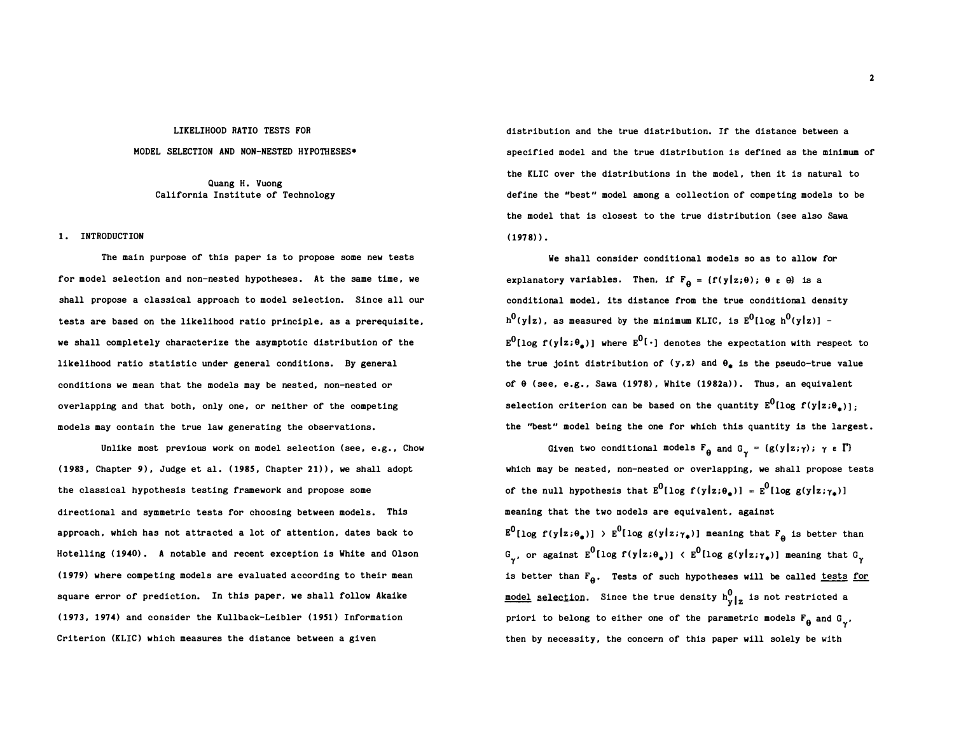#### LIKELIHOOD RATIO TESTS FOR

#### MODEL SELECTION AND NON-NESTED HYPOTHESES•

Quang H. Vuong California Institute of Technology

#### 1. INTRODUCTION

The main purpose of this paper is to propose some new tests for model selection and non-nested hypotheses. At the same time, we shall propose a classical approach to model selection. Since all our tests are based on the likelihood ratio principle, as a prerequisite, we shall completely characterize the asymptotic distribution of the likelihood ratio statistic under general conditions. By general conditions we mean that the models may be nested, non-nested or overlapping and that both, only one, or neither of the competing models may contain the true law generating the observations.

Unlike most previous work on model selection (see, e.g., Chow (1983, Chapter 9), Judge et al. (1985, Chapter 21)), we shall adopt the classical hypothesis testing framework and propose some directional and symmetric tests for choosing between models. This approach, which has not attracted a lot of attention, dates back to Hotelling ( 1940) . A notable and recent exception is White and Olson (1979) where competing models are evaluated according to their mean square error of prediction. In this paper, we shall follow Akaike (1973, 1974) and consider the Kullback-Leibler (1951) Information Criterion (KLIC) which measures the distance between a given

distribution and the true distribution. If the distance between a specified model and the true distribution is defined as the minimum of the KLIC over the distributions in the model , then it is natural to define the "best" model among a collection of compe ting models to be the model that is closest to the true distribution ( see also Sawa  $(1978)$ .

We shall consider conditional models so as to allow for explanatory variables. Then, if  $F_{\theta} = \{f(y|z;\theta) ; \theta \in \theta\}$  is a conditional model, its distance from the true conditional density  $\mathtt{h^0(y|z)}$ , as measured by the minimum KLIC, is  $\mathtt{E^0[log~h^0(y|z)]}$  - $\texttt{E}^0[\log\,f(\texttt{y}|\texttt{z}; \theta_\texttt{a})]$  where  $\texttt{E}^0[\,\cdot\,]$  denotes the expectation with respect to the true joint distribution of  $(y, z)$  and  $\theta_z$  is the pseudo-true value of  $\theta$  (see, e.g., Sawa (1978), White (1982a)). Thus, an equivalent selection criterion can be based on the quantity  $\texttt{E}^0\texttt{[log\ f(y|z;\theta_\texttt{a})]}$ ; the "best" model being the one for which this quantity is the largest .

Given two conditional models  $F_{\theta}$  and  $G_{\gamma} = {g(y|z;\gamma)}; \gamma \in \Gamma$ which may be nested, non-nested or overlapping, we shall propose tests of the null hypothesis that  $E^0[\log f(y|z;\theta_a)] = E^0[\log g(y|z;\gamma_a)]$ meaning that the two models are equivalent, against  $E^0[\log\ f(y|z;\theta_\bullet))] \to E^0[\log\ g(y|z;\gamma_\bullet)]$  meaning that  $F_\Theta$  is better than  $G_{\gamma'}$ , or against  $E^0$ [log f(y|z;θ<sub>\*</sub>)] <  $E^0$ [log g(y|z; $\gamma_{\ast}$ )] meaning that  $G_{\gamma}$ is better than  $F_{\theta}$ . Tests of such hypotheses will be called <u>tests for</u> <u>model selection</u>. Since the true density  $h^0_{y}|_z$  is not restricted a priori to belong to either one of the parametric models  $F_{\theta}$  and  $G_{\gamma'}$ , then by necessity, the concern of this paper will solely be with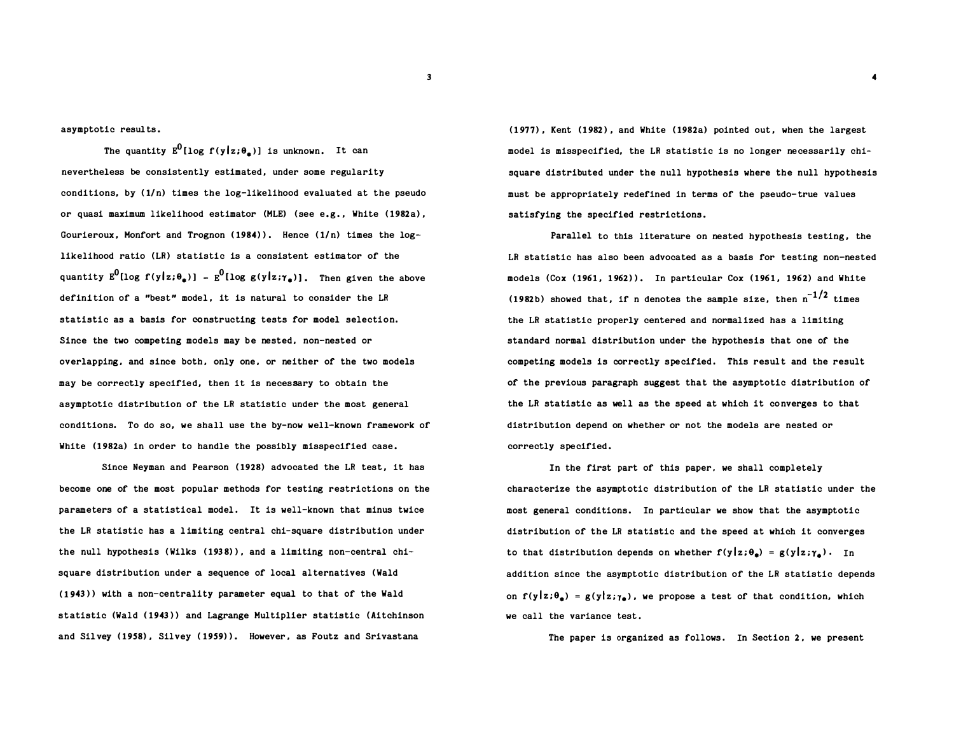asymptotic results .

The quantity  $E^0[log~f(y|z;\theta_a)]$  is unknown. It can nevertheless be consistently estimated , under some regularity conditions, by ( 1/n) times the log-likelihood evaluated at the pseudo or quasi maximum likelihood estimator (MLE) ( see e.g. , White ( 1982a) , Gourieroux, Monfort and Trognon  $(1984)$ ). Hence  $(1/n)$  times the loglikelihood ratio (LR) statistic is a consistent estimator of the quantity  $E^0(\log\ f(y|z;\theta_\bullet))$  -  $E^0(\log\ g(y|z;\gamma_\bullet))$ . Then given the above definition of a "best" model, it is natural to consider the LR statistic as a basis for constructing tests for model selection. Since the two competing models may be nested, non-nested or overlapping, and since both, only one, or neither of the two models may be correctly specified, then it is necessary to obtain the asymptotic distribution of the LR statistic under the most general conditions. To do so, we shall use the by-now well-known framework of White (1982a) in order to handle the possibly misspecified case.

Since Neyman and Pearson (1928) advocated the LR test, it has become one of the most popular methods for testing restrictions on the parameters of a statistical model. It is well-known that minus twice the LR statistic has a l imiting central chi-square distribution under the null hypothesis ( Wilks ( 193 8) ), and a limiting non-central chisquare distribution under a sequence of local alternatives (Wald (1943)) with a non-centrality parameter equal to that of the Wald statistic (Wald ( 1943)) and Lagrange Multiplier statistic ( Aitchinson and Silvey ( 1958) , Silvey ( 1959) ). However , as Foutz and Srivastana

(1977) , Kent ( 1982 ) , and White ( 1982a) pointed out, when the largest model is misspecified, the LR statistic is no longer necessarily chisquare distributed under the null hypothesis where the null hypothesis must be appropriately redefined in terms of the pseudo-true values satisfying the specified restrictions .

Parallel to this literature on nested hypothesis testing, the LR statistic has also been advocated as a basis for testing non-nested models (Cox (1961, 1962)). In particular Cox (1961, 1962) and White (1982b) showed that, if n denotes the sample size, then  $\rm{n}^{-1/2}$  times the LR statistic properly centered and normalized has a limiting standard normal distribution under the hypothesis that one of the competing models is correctly specified. This result and the result of the previous paragraph suggest that the asymptotic distribution of the LR statistic as well as the speed at which it converges to that distribution depend on whether or not the models are nested or correctly specified .

In the first part of this paper, we shall completely characterize the asymptotic distribution of the LR statistic under the most general conditions. In particular we show that the asymptotic distribution of the LR statistic and the speed at which it converges to that distribution depends on whether  $f(y|z;\theta_*) = g(y|z;\gamma_*)$ . In addition since the asymptotic distribution of the LR statistic depends on  $f(y | z; \theta_a) = g(y | z; \gamma_a)$ , we propose a test of that condition, which we call the variance test.

The paper is organized as follows. In Section 2, we present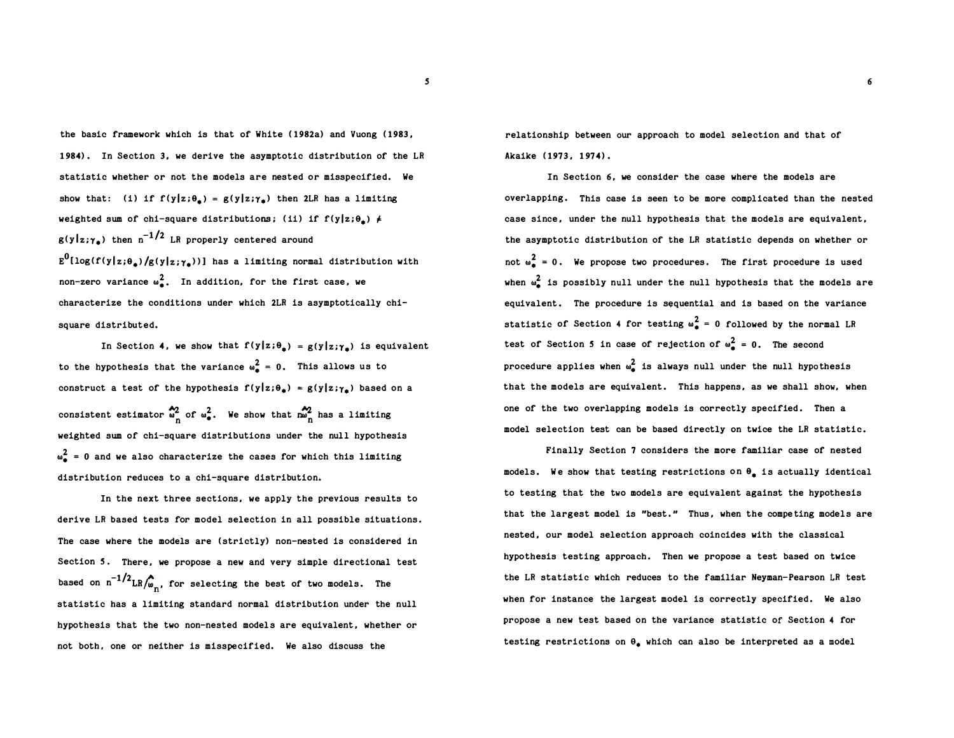the basic framework which is that of White ( 1982a) and Vuong ( 1983, 1 984) . In Section 3, we derive the asymptotic distribution of the LR statistic whether or not the models are nested or misspecified. We show that: (i) if  $f(y|z;\theta_*) = g(y|z;\gamma_*)$  then 2LR has a limiting weighted sum of chi-square distributions; (ii) if  $f(y|z;\theta_+) \neq$  $g(y|z;\gamma_n)$  then n<sup>-1/2</sup> LR properly centered around  $\mathbb{E}^{0}[\log(f(\mathbf{y}|\mathbf{z};\theta_{\bullet})/\mathbf{g}(\mathbf{y}|\mathbf{z};\boldsymbol{\gamma}_{\bullet}))]$  has a limiting normal distribution with non-zero variance  $\omega_{\bullet}^2$ . In addition, for the first case, we characterize the conditions under which 2LR is asymptotically chisquare distributed.

In Section 4, we show that  $f(y|z;\theta_*) = g(y|z;\gamma_*)$  is equivalent to the hypothesis that the variance  $\omega_{\bullet}^2 = 0$ . This allows us to construct a test of the hypothesis  $f(y|z;\theta_*) = g(y|z;\gamma_*)$  based on a consistent estimator  $\sum_{n=0}^{\infty}$  of  $\omega_{\bullet}^2$ . We show that  $\sum_{n=0}^{\infty}$  has a limiting weighted sum of chi-square distributions under the null hypothesis  $\omega_{\rm a}^{2}$  = 0 and we also characterize the cases for which this limiting distribution reduces to a chi-square distribution.

In the next three sections, we apply the previous results to derive LR based tests for model selection in all possible situations . The case where the models are ( strictly) non-nested is considered in Section 5. There, we propose a new and very simple directional test based on  $n^{-1/2}$ LR $\bigwedge_{m=1}^{\infty}$ , for selecting the best of two models. The statistic has a limiting standard normal distribution under the null hypothesis that the two non-nested models are equivalent, whether or not both, one or neither is misspecified. We also discuss the

relationship between our approach to model selection and that of Akaike (1973, 1974).

In Section 6, we consider the case where the models are overlapping. This case is seen to be more complicated than the nested case since, under the null hypothesis that the models are equivalent, the asymptotic distribution of the LR statistic depends on whether or not  $\omega^2 = 0$ . We propose two procedures. The first procedure is used when  $\omega^2$  is possibly null under the null hypothesis that the models are equivalent. The procedure is sequential and is based on the variance statistic of Section 4 for testing  $\omega_{\bullet}^2 = 0$  followed by the normal LR test of Section 5 in case of rejection of  $\omega_{\mathbf{a}}^2 = 0$ . The second procedure applies when  $\omega_{\lambda}^{2}$  is always null under the null hypothesis that the models are equivalent. This happens, as we shall show, when one of the two overlapping models is correctly specified . Then a model selection test can be based directly on twice the LR statistic .

Finally Section 7 considers the more familiar case of nested models. We show that testing restrictions on  $\theta_a$  is actually identical to testing that the two models are equivalent against the hypothesis that the largest model is "best." Thus, when the competing models are nested, our model selection approach coincides with the classical hypothesis testing approach. Then we propose a test based on twice the LR statistic which reduces to the familiar Neyman-Pearson LR test when for instance the largest model is correctly specified. We also propose a new test based on the variance statistic of Section 4 for testing restrictions on  $\theta_{\star}$  which can also be interpreted as a model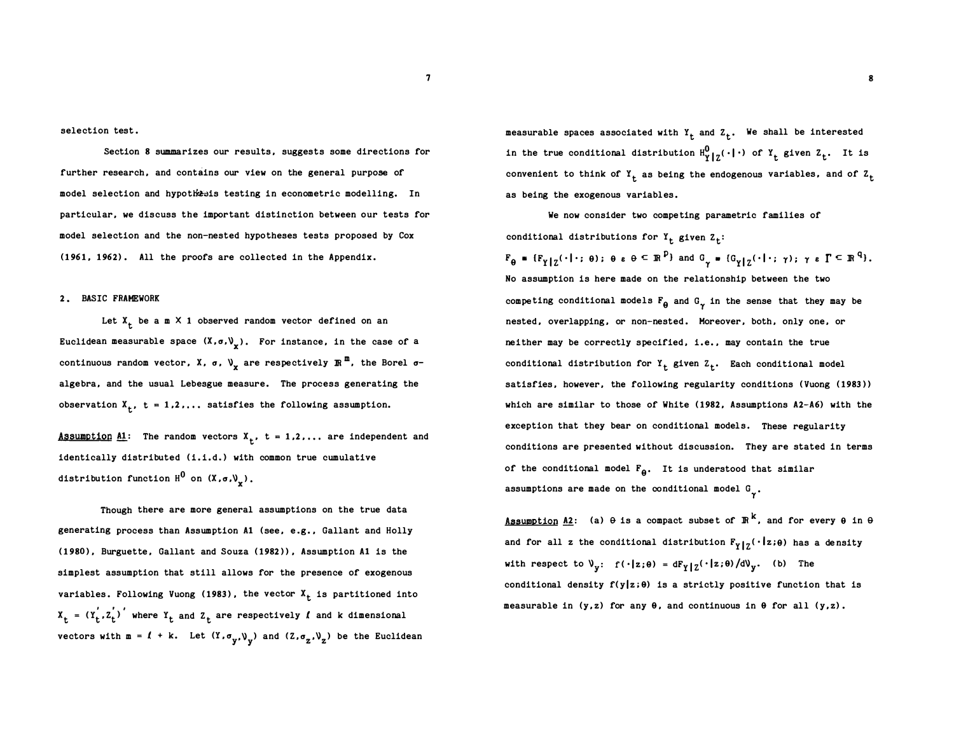selection test.

Section 8 summarizes our results, suggests some directions for further research, and contains our view on the general purpose of model selection and hypothesis testing in econometric modelling. In particular, we discuss the important distinction between our tests for model selection and the non-nested hypotheses tests proposed by Cox (1961, 1962). All the proofs are collected in the Appendix.

#### 2. BASIC FRAMEWORK

Let  $X_t$  be a m  $X$  1 observed random vector defined on an Euclidean measurable space  $\left(\mathbf{X}, \mathbf{\sigma}, \mathbf{\mathsf{V}}_{\mathbf{x}}\right)$ . For instance, in the case of a continuous random vector, X,  $\sigma$ ,  $\vee_{\mathbf{x}}$  are respectively  $\mathbb{R}^{\frac{m}{n}}$ , the Borel  $\sigma$ algebra, and the usual Lebesgue measure. The process generating the observation  $X_t$ ,  $t = 1, 2, ...$  satisfies the following assumption.

Assumption A1: The random vectors  $X_t$ , t = 1,2,... are independent and identically distributed (i.i.d.) with common true cumulative distribution function  $H^0$  on  $(X, \sigma, V_X)$ .

Though there are more general assumptions on the true data generating process than Assumption Al ( see, e .g., Gallant and Holly (1980 ), Burguette, Gallant and Souza ( 1982)), Assumption Al is the simplest assumption that still allows for the presence of exogenous variables. Following Vuong (1983), the vector  $X_t$  is partitioned into  $x_t = (r_t', z_t')'$  where  $r_t$  and  $z_t$  are respectively  $\ell$  and k dimensional vectors with  $m = l + k$ . Let  $(Y, \sigma_y, \mathcal{V}_y)$  and  $(Z, \sigma_z, \mathcal{V}_z)$  be the Euclidean measurable spaces associated with  $Y_t$  and  $Z_t$ . We shall be interested in the true conditional distribution  $H_{Y|Z}^0(\cdot|\cdot)$  of  $Y_t$  given  $Z_t$ . It is convenient to think of  $Y_t$  as being the endogenous variables, and of  $Z_t$ as being the exogenous variables.

We now consider two competing parametric families of conditional distributions for  $Y_t$  given  $Z_t$ :  $F_{\theta} = \{F_{Y | Z}(\cdot | \cdot; \theta) : \theta \in \theta \subseteq \mathbb{R}^p\}$  and  $G_{\gamma} = \{G_{Y | Z}(\cdot | \cdot; \gamma) : \gamma \in \Gamma \subseteq \mathbb{R}^q\}$ . No assumption is here made on the relationship between the two competing conditional models  $F_{\theta}$  and  $G_{\gamma}$  in the sense that they may be nested, overlapping, or non-nested . Moreover, both, only one, or neither may be correctly specified, i.e., may contain the true conditional distribution for  $Y_t$  given  $Z_t$ . Each conditional model satisfies, however, the following regularity conditions (Vuong (1983)) which are similar to those of White ( 1982, Assumptions A2-A6) with the exception that they bear on conditional models. These regularity conditions are presented without discussion. They are stated in terms of the conditional model  $F_{\theta}$ . It is understood that similar assumptions are made on the conditional model  $G_{\gamma}$ .

<u>Assumption A2</u>: (a)  $\theta$  is a compact subset of  $\mathbb{R}^k$ , and for every  $\theta$  in  $\theta$ and for all z the conditional distribution  $F_{Y|Z}(\cdot|z;\theta)$  has a density with respect to  $\mathcal{V}_y$ :  $f(\cdot|z;\theta) = dF_Y | z(\cdot|z;\theta) / d\mathcal{V}_y$ . (b) The conditional density  $f(y|z;\theta)$  is a strictly positive function that is measurable in  $(y, z)$  for any  $\theta$ , and continuous in  $\theta$  for all  $(y, z)$ .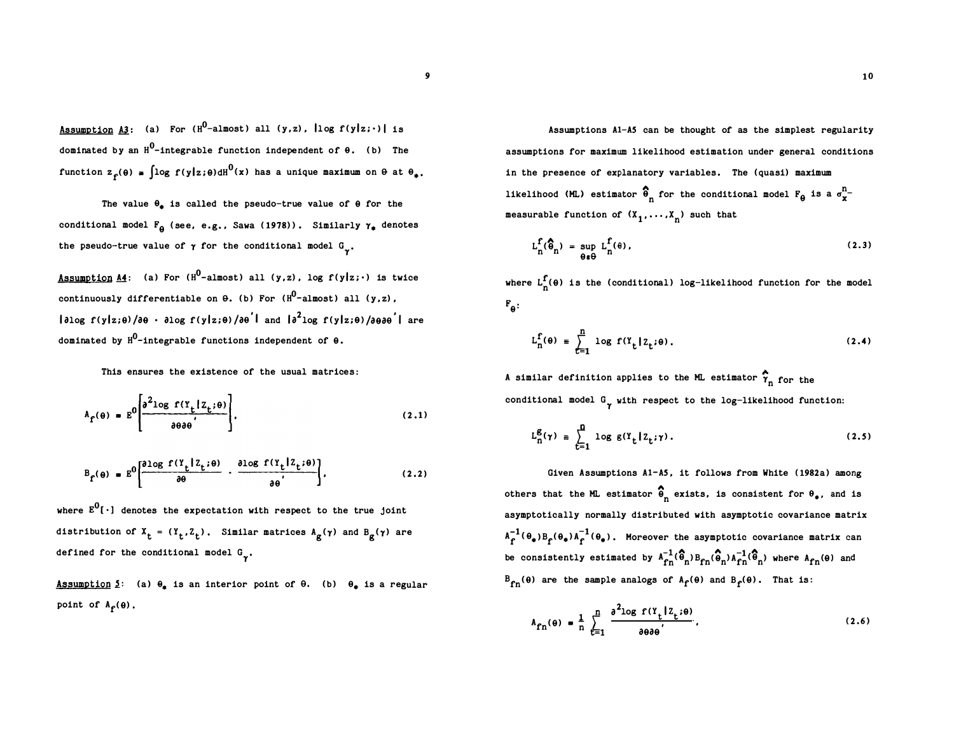Assumption A3: (a) For (H<sup>0</sup>-almost) all (y,z),  $\log f(y|z; \cdot)$  is dominated by an  $H^0$ -integrable function independent of  $\theta$ . (b) The function  $z_f(\theta) = \int \log f(y|z;\theta) dH^0(x)$  has a unique maximum on  $\theta$  at  $\theta_*$ .

The value  $\theta_{\pm}$  is called the pseudo-true value of  $\theta$  for the conditional model  $F_{\theta}$  (see, e.g., Sawa (1978)). Similarly  $\gamma_{\bullet}$  denotes the pseudo-true value of  $\gamma$  for the conditional model  $G_{\gamma}$ .

<u>Assumption A4</u>: (a) For (H<sup>0</sup>-almost) all (y,z), log f(y|z;·) is twice continuously differentiable on  $\theta$ . (b) For ( $\texttt{H}^\textsf{0}\texttt{-almost}$ ) all (y,z),  $\vert$ ə $\log$  f(y $\vert z$ ;0)/ə $\theta$  · ə $\log$  f(y $\vert z$ ;0)/ə $\theta$ <sup>'</sup>| and  $\vert a^{2}$ log f(y $\vert z$ ;0)/ə $\theta$ ə $\theta$ '| are dominated by  $\mathtt{H^0}\text{-integrable}$  functions independent of  $\mathtt{\theta.}$ 

This ensures the existence of the usual matrices:

$$
A_{\hat{\Gamma}}(\theta) = E^0 \left[ \frac{\partial^2 \log \Gamma(Y_{\hat{\Gamma}} | Z_{\hat{\Gamma}}; \theta)}{\partial \theta \partial \theta} \right],
$$
 (2.1)

$$
B_{f}(\theta) = E^{0} \left[ \frac{\partial \log f(Y_{t}|Z_{t};\theta)}{\partial \theta} - \frac{\partial \log f(Y_{t}|Z_{t};\theta)}{\partial \theta'} \right],
$$
 (2.2)

where  $E^0$ [ $\cdot$ ] denotes the expectation with respect to the true joint distribution of  $X_t = (Y_t, Z_t)$ . Similar matrices  $A_g(\gamma)$  and  $B_g(\gamma)$  are defined for the conditional model  $G_{\gamma}$ .

Assumption 5: (a)  $\theta_{\pm}$  is an interior point of  $\theta$ . (b)  $\theta_{\pm}$  is a regular point of  $A_f(\theta)$ .

Assumptions Al-AS can be thought of as the simplest regularity assumptions for maximum likelihood estimation under general conditions in the presence of explanatory variables. The (quasi) maximum likelihood (ML) estimator  $\widehat{\widehat{\Theta}}_{n}$  for the conditional model  $F_{\Theta}$  is a  $\sigma^{n}_{\mathbf{x}}$ measurable function of  $(x_1, ..., x_n)$  such that

$$
L_n^f(\widehat{\theta}_n) = \sup_{\theta \in \Theta} L_n^f(\theta), \qquad (2.3)
$$

where  $L_n^{\mathbf{f}}(\theta)$  is the (conditional) log-likelihood function for the model  $F_{\Theta}$  :

$$
L_n^f(\theta) = \sum_{t=1}^n \log f(Y_t | Z_t; \theta).
$$
 (2.4)

A similar definition applies to the ML estimator  $\hat{\bm{\gamma}}_{\bm{n}}$  for the conditional model  $G_{\gamma}$  with respect to the log-likelihood function:

$$
L_n^g(\gamma) = \sum_{t=1}^n \log g(Y_t | Z_t; \gamma).
$$
 (2.5)

Given Assumptions Al-AS, it follows from White (1982a) among others that the ML estimator  $\widehat{\Theta}_{n}$  exists, is consistent for  $\Theta_{\phi}$ , and is asymptotically normally distributed with asymptotic covariance matrix  $A_f^{-1}(\theta_*)B_f(\theta_*)A_f^{-1}(\theta_*)$ . Moreover the asymptotic covariance matrix can be consistently estimated by  $A_{fn}^{-1}(\hat{\theta}_n)B_{fn}(\hat{\theta}_n)A_{fn}^{-1}(\hat{\theta}_n)$  where  $A_{fn}(\theta)$  and  $B_{fn}(\theta)$  are the sample analogs of  $A_f(\theta)$  and  $B_f(\theta)$ . That is:

$$
A_{fn}(\theta) = \frac{1}{n} \sum_{t=1}^{n} \frac{\partial^{2} \log f(Y_{t} | Z_{t}; \theta)}{\partial \theta \partial \theta},
$$
\n(2.6)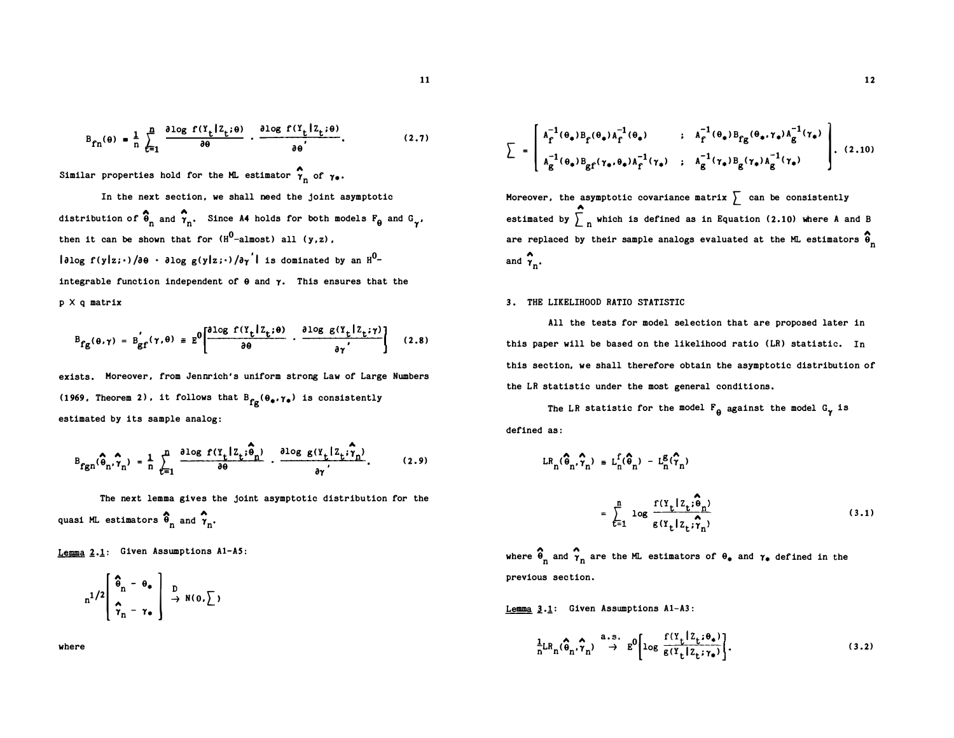$$
B_{fn}(\theta) = \frac{1}{n} \sum_{t=1}^{n} \frac{\partial \log f(Y_t | Z_t; \theta)}{\partial \theta} \cdot \frac{\partial \log f(Y_t | Z_t; \theta)}{\partial \theta'}.
$$
 (2.7)

Similar properties hold for the ML estimator  $\hat{\gamma}_n$  of  $\gamma_*$ .

In the next section, we shall need the joint asymptotic distribution of  $\widehat{\Phi}_{n}$  and  $\widehat{\gamma}_{n}$ . Since A4 holds for both models  $F_{\theta}$  and  $G_{\gamma}$ , then it can be shown that for  $(H^0$ -almost) all  $(y, z)$ ,  $\vert$ əlog f(y|z;·)/ə $\theta$  · əlog g(y|z;·)/ə $\gamma^{'}$ | is dominated by an  $\texttt{H}^{0-}$ integrable function independent of  $\theta$  and  $\gamma$ . This ensures that the p X q matrix

$$
B_{fg}(\theta,\gamma) = B_{gf}(\gamma,\theta) \equiv E^0 \left[ \frac{\partial \log f(Y_t | Z_t;\theta)}{\partial \theta} \cdot \frac{\partial \log g(Y_t | Z_t;\gamma)}{\partial \gamma'} \right] \quad (2.8)
$$

exists. Moreover, from Jennrich's uniform strong Law of Large Numbers (1969, Theorem 2), it follows that  $B_{fg}(\theta_{\bullet}, \gamma_{\bullet})$  is consistently estimated by its sample analog:

$$
B_{fgn}(\hat{\theta}_n, \hat{\gamma}_n) = \frac{1}{n} \sum_{t=1}^n \frac{\partial \log f(Y_t | Z_t; \hat{\theta}_n)}{\partial \theta} \cdot \frac{\partial \log g(Y_t | Z_t; \hat{\gamma}_n)}{\partial \gamma}.
$$
 (2.9)

The next lemma gives the joint asymptotic distribution for the quasi ML estimators  $\hat{\Theta}_n$  and  $\hat{\gamma}_n$ .

Lemma  $2.1$ : Given Assumptions A1-A5:

$$
n^{1/2}\left[\begin{array}{cc} \widehat{\Phi}_{n} - \Theta_{*} \\ \widehat{\gamma}_{n} - \gamma_{*} \end{array}\right] \xrightarrow{D} N(0, \sum)
$$

where

$$
\sum = \begin{bmatrix} A_{\Gamma}^{-1}(\theta_{\bullet})B_{\Gamma}(\theta_{\bullet})A_{\Gamma}^{-1}(\theta_{\bullet}) & : A_{\Gamma}^{-1}(\theta_{\bullet})B_{\Gamma}(\theta_{\bullet},\gamma_{\bullet})A_{\Gamma}^{-1}(\gamma_{\bullet}) \\ A_{\Gamma}^{-1}(\theta_{\bullet})B_{\Gamma}(\gamma_{\bullet},\theta_{\bullet})A_{\Gamma}^{-1}(\gamma_{\bullet}) & : A_{\Gamma}^{-1}(\gamma_{\bullet})B_{\Gamma}(\gamma_{\bullet})A_{\Gamma}^{-1}(\gamma_{\bullet}) \end{bmatrix} . \tag{2.10}
$$

Moreover, the asymptotic covariance matrix  $\sum$  can be consistently estimated by  $\sum_{n=1}^{\infty}$  which is defined as in Equation (2.10) where A and B are replaced by their sample analogs evaluated at the ML estimators  $\widehat{\Phi}_{n}$ and  $\hat{\gamma}_n$ .

#### 3. THE LIKELIHOOD RATIO STATISTIC

All the tests for model selection that are proposed later in this paper will be baaed on the likelihood ratio (LR) statistic. In this section, we shall therefore obtain the asymptotic distribution of the LR statistic under the most general conditions.

The LR statistic for the model  $F_{\theta}$  against the model  $G_{\gamma}$  is defined as:

$$
LR_{n}(\widehat{\theta}_{n}, \widehat{\gamma}_{n}) = L_{n}^{f}(\widehat{\theta}_{n}) - L_{n}^{g}(\widehat{\gamma}_{n})
$$

$$
= \sum_{t=1}^{n} \log \frac{f(Y_{t} | Z_{t}; \widehat{\theta}_{n})}{g(Y_{t} | Z_{t}; \widehat{\gamma}_{n})}
$$
(3.1)

where  $\widehat{\Theta}_n$  and  $\widehat{\gamma}_n$  are the ML estimators of  $\Theta_{\bullet}$  and  $\gamma_{\bullet}$  defined in the previous section.

Lemma 3.1: Given Assumptions A1-A3:

$$
\frac{1}{n}LR_n(\hat{\theta}_n, \hat{\gamma}_n) \stackrel{a.s.}{\rightarrow} E^0 \left[ \log \frac{f(Y_t | Z_t; \theta_*)}{g(Y_t | Z_t; \gamma_*)} \right].
$$
\n(3.2)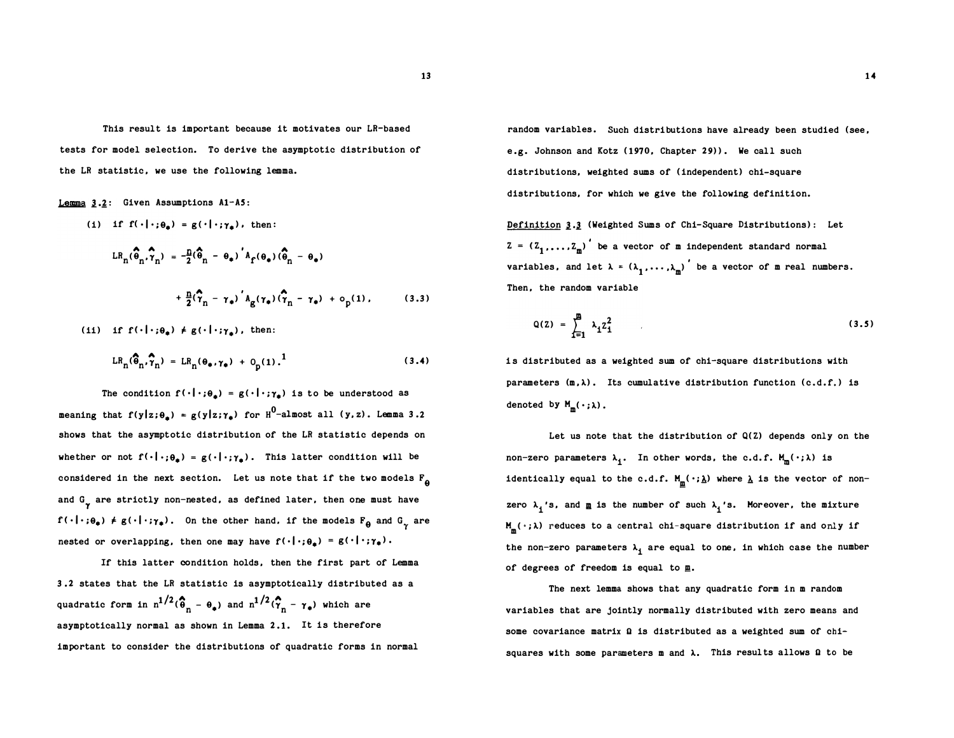This result is important because it motivates our LR-based tests for model selection. To derive the asymptotic distribution of the LR statistic, we use the following lemma.

Lemma  $3.2$ : Given Assumptions A1-A5:

$$
LR_{n}(\hat{\theta}_{n}, \hat{\gamma}_{n}) = -\frac{n}{2}(\hat{\theta}_{n} - \theta_{\phi})' A_{f}(\theta_{\phi})(\hat{\theta}_{n} - \theta_{\phi})
$$

$$
+ \frac{n}{2}(\hat{\gamma}_{n} - \gamma_{\phi})' A_{g}(\gamma_{\phi})(\hat{\gamma}_{n} - \gamma_{\phi}) + o_{p}(1), \qquad (3.3)
$$

(ii) if  $f(\cdot|\cdot;\theta_n) \neq g(\cdot|\cdot;\gamma_n)$ , then:

(i) if  $f(x) = \frac{1}{2}$ 

$$
LR_{n}(\widehat{\theta}_{n}, \widehat{\gamma}_{n}) = LR_{n}(\theta_{\ast}, \gamma_{\ast}) + O_{p}(1).^{1}
$$
 (3.4)

The condition  $f(\cdot|\cdot;\theta_*) = g(\cdot|\cdot;\gamma_*)$  is to be understood as meaning that f(y|z; $\theta_{\bullet}$ ) = g(y|z; $\gamma_{\bullet}$ ) for  $\texttt{H}^0\texttt{-almost all}$  (y,z). Lemma 3.2 shows that the asymptotic distribution of the LR statistic depends on whether or not  $f(\cdot|\cdot;\theta_*) = g(\cdot|\cdot;\gamma_*)$ . This latter condition will be considered in the next section. Let us note that if the two models  $F_{\theta}$ and  $G_{\gamma}$  are strictly non-nested, as defined later, then one must have  $f(\cdot|\cdot;\theta_{\bullet}) \neq g(\cdot|\cdot;\gamma_{\bullet})$ . On the other hand. if the models  $F_{\theta}$  and  $G_{\gamma}$  are nested or overlapping, then one may have  $f(\cdot|\cdot;\theta_{\pm}) = g(\cdot|\cdot;\gamma_{\pm})$ .

If this latter condition holds, then the first part of Lemma 3 .2 states that the LR statistic is asymptotically distributed as a quadratic form in  $n^{1/2}(\hat{\theta}_n - \theta_*)$  and  $n^{1/2}(\hat{\tau}_n - \gamma_*)$  which are asymptotically normal as shown in Lemma 2.1. It is therefore important to consider the distributions of quadratic forms in normal

random variables. Such distributions have already been studied (see, e.g. Johnson and Kotz (1970, Chapter 29) ). We call such distributions, weighted sums of (independent) chi-square distributions, for which we give the following definition.

Definition 3.3 (Weighted Sums of Chi-Square Distributions): Let  $z = (z_1, \ldots, z_m)$  be a vector of m independent standard normal variables, and let  $\lambda = (\lambda_1, \ldots, \lambda_m)$  be a vector of m real numbers. ) Then, the random variable

$$
Q(Z) = \sum_{i=1}^{m} \lambda_i Z_i^2
$$
 (3.5)

is distributed as a weighted sum of chi-square distributions with parameters  $(m, \lambda)$ . Its cumulative distribution function (c.d.f.) is denoted by  $M_{m}(\,\cdot\,;\lambda)$ .

Let us note that the distribution of Q(Z) depends only on the non-zero parameters  $\lambda_{\mathbf{j}}$ . In other words, the c.d.f.  $M_{\mathbf{m}}(\,\cdot\,;\lambda)$  is identically equal to the c.d.f.  $M_{\underline{m}}(\,\cdot\,;\underline{\lambda})$  where  $\underline{\lambda}$  is the vector of nonzero  $\lambda_i$ 's, and  $\underline{n}$  is the number of such  $\lambda_i$ 's. Moreover, the mixture  $M_{\text{m}}(\cdot;\lambda)$  reduces to a central chi-square distribution if and only if the non-zero parameters  $\lambda_{\underline{\textbf{\textit{i}}}}$  are equal to one, in which case the number of degrees of freedom is equal to  $\underline{\mathbf{m}}$ .

The next lemma shows that any quadratic form in m random variables that are jointly normally distributed with zero means and some covariance matrix  $\Omega$  is distributed as a weighted sum of chisquares with some parameters m and  $\lambda$ . This results allows  $\Omega$  to be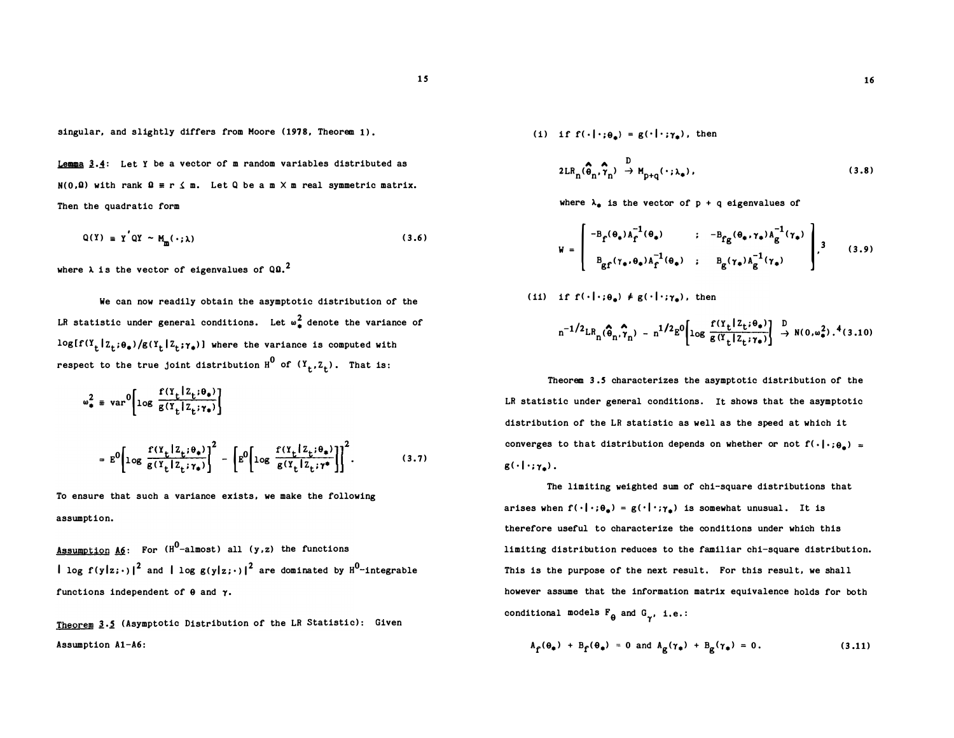singular, and slightly differs from Moore (1978, Theorem 1) .

Lemma  $3.4$ : Let Y be a vector of m random variables distributed as  $N(0, \Omega)$  with rank  $\Omega \equiv r \leq m$ . Let Q be a m  $\times$  m real symmetric matrix. Then the quadratic form  $\lambda_{\phi}$  is the vector of p + q eigenvalues of

$$
Q(Y) = Y'QY \sim M_{m}(\cdot;\lambda)
$$
 (3.6)

where  $\lambda$  is the vector of eigenvalues of Q0.<sup>2</sup>

We can now readily obtain the asymptotic distribution of the LR statistic under general conditions. Let  $\omega_{\frac{2}{a}}^2$  denote the variance of  $log[f(Y_t | Z_t; \theta_*)/g(Y_t | Z_t; \gamma_*)]$  where the variance is computed with respect to the true joint distribution  $H^0$  of  $(Y^t, Z^t)$ . That is:

$$
\omega_{\bullet}^{2} \equiv \text{var}^{0} \left[ \log \frac{f(Y_{t} | Z_{t}; \theta_{\bullet})}{g(Y_{t} | Z_{t}; \gamma_{\bullet})} \right]
$$

$$
= E^{0} \left[ \log \frac{f(Y_{t} | Z_{t}; \theta_{\bullet})}{g(Y_{t} | Z_{t}; \gamma_{\bullet})} \right]^{2} - \left[ E^{0} \left[ \log \frac{f(Y_{t} | Z_{t}; \theta_{\bullet})}{g(Y_{t} | Z_{t}; \gamma_{\bullet})} \right] \right]^{2}.
$$
(3.7)

To ensure that such a variance exists, we make the following assumption.

Assumption A6: For  $(H^0$ -almost) all (y,z) the functions | log f(y|z;.)|<sup>2</sup> and | log g(y|z;.)|<sup>2</sup> are dominated by  $\texttt{H}^0\texttt{-integrable}$ functions independent of  $\theta$  and  $\gamma$ .

Theorem 3.5 (Asymptotic Distribution of the LR Statistic): Given Assumption A1-A6:

(i) if  $f(\cdot|\cdot;\theta_*) = g(\cdot|\cdot;\gamma_*)$ , then

$$
2LR_{n}(\widehat{\theta}_{n}, \widehat{\gamma}_{n}) \stackrel{D}{\rightarrow} M_{p+q}(\cdot; \lambda_{\bullet}), \qquad (3.8)
$$

$$
W = \begin{bmatrix} -B_f(\theta_*)A_f^{-1}(\theta_*) & \cdot & -B_{fg}(\theta_*,\gamma_*)A_g^{-1}(\gamma_*) \\ B_{gf}(\gamma_*,\theta_*)A_f^{-1}(\theta_*) & \cdot & B_g(\gamma_*)A_g^{-1}(\gamma_*) \end{bmatrix}, \quad (3.9)
$$

(11) if 
$$
f(\cdot|\cdot;\theta_{\bullet}) \neq g(\cdot|\cdot;\gamma_{\bullet})
$$
, then  

$$
n^{-1/2}LR_n(\hat{\theta}_n,\hat{\gamma}_n) - n^{1/2}g^0\left[\log \frac{f(\gamma_t|Z_t;\theta_{\bullet})}{g(\gamma_t|Z_t;\gamma_{\bullet})}\right] \stackrel{D}{\rightarrow} N(0,\omega_{\bullet}^2).^4(3.10)
$$

Theorem 3 .S characterizes the asymptotic distribution of the LR statistic under general conditions. It shows that the asymptotic distribution of the LR statistic as well as the speed at which it converges to that distribution depends on whether or not  $f(\cdot|\cdot; \theta_{\bullet})$  =  $g(\cdot|\cdot;\gamma_{\bullet})$ .

The limiting weighted sum of chi-square distributions that arises when  $f(\cdot|\cdot;\theta_*) = g(\cdot|\cdot;\gamma_*)$  is somewhat unusual. It is therefore useful to characterize the conditions under which this limiting distribution reduces to the familiar chi-square distribution. This is the purpose of the next result. For this result, we shall however assume that the information matrix equivalence holds for both conditional models  $F_{\theta}$  and  $G_{\gamma}$ , i.e.:

$$
A_{\hat{\Gamma}}(\theta_{\bullet}) + B_{\hat{\Gamma}}(\theta_{\bullet}) = 0 \text{ and } A_{\hat{\mathcal{B}}}(\gamma_{\bullet}) + B_{\hat{\mathcal{B}}}(\gamma_{\bullet}) = 0. \qquad (3.11)
$$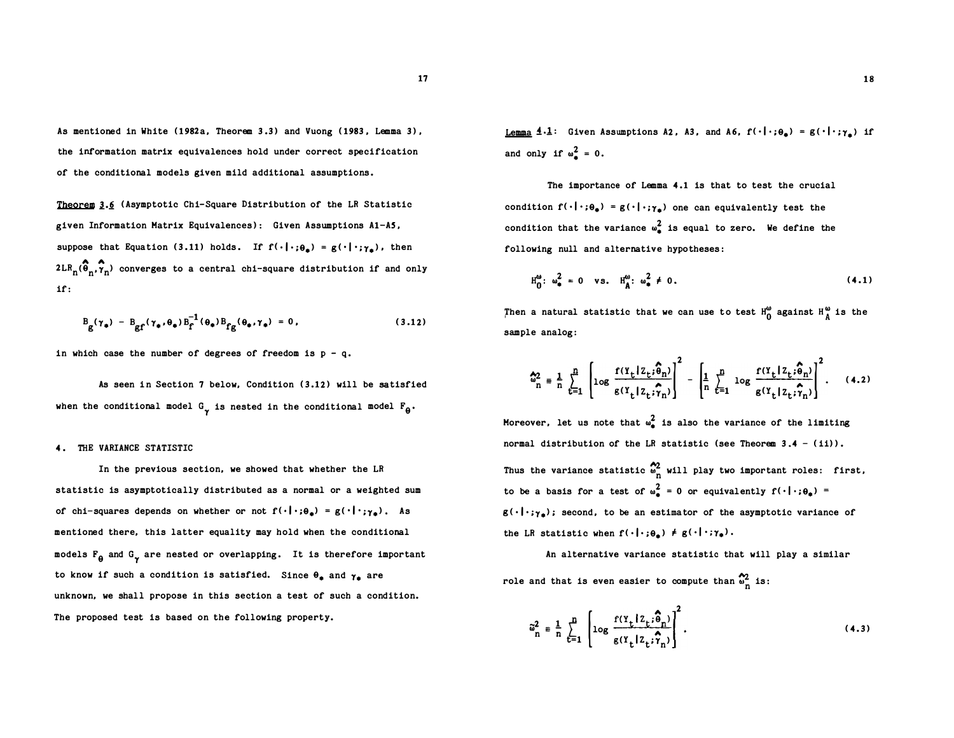As mentioned in White (1982a, Theorem 3 .3) and Vuong (1983 , Lemma 3) , the information matrix equivalences hold under correct specification of the conditional models given mild additional assumptions.

Theorem  $3.6$  (Asymptotic Chi-Square Distribution of the LR Statistic given Information Matrix Equivalences): Given Assumptions Al-AS, suppose that Equation (3.11) holds. If  $f(\cdot|\cdot;\theta_{\bullet}) = g(\cdot|\cdot;\gamma_{\bullet})$ , then  $2\text{LR}_{\text{n}}(\widehat{\P}_{\text{n}},\widehat{\pmb{\gamma}}_{\text{n}})$  converges to a central chi-square distribution if and only if:

$$
B_{g}(\gamma_{\bullet}) - B_{gf}(\gamma_{\bullet}, \theta_{\bullet})B_{f}^{-1}(\theta_{\bullet})B_{fg}(\theta_{\bullet}, \gamma_{\bullet}) = 0, \qquad (3.12)
$$

in which case the number of degrees of freedom is  $p - q$ .

As seen in Section 7 below, Condition (3.12) will be satisfied when the conditional model  $G_{\gamma}$  is nested in the conditional model  $F_{\theta}$ .

#### 4. THE VARIANCE STATISTIC

In the previous section, we showed that whether the LR statistic is asymptotically distributed as a normal or a weighted sum of chi-squares depends on whether or not  $f(\cdot|\cdot;\theta_{\pm}) = g(\cdot|\cdot;\gamma_{\pm})$ . As mentioned there, this latter equality may hold when the conditional models  $F_{\theta}$  and  $G_{\gamma}$  are nested or overlapping. It is therefore important to know if such a condition is satisfied. Since  $\theta_a$  and  $\gamma_a$  are unknown, we shall propose in this section a test of such a condition. The proposed test is based on the following property.

Lemma  $4.1$ : Given Assumptions A2, A3, and A6,  $f(\cdot|\cdot;\theta_{\bullet}) = g(\cdot|\cdot;\gamma_{\bullet})$  if and only if  $\omega_n^2 = 0$ .

The importance of Lemma 4.1 is that to test the crucial condition  $f(\cdot|\cdot;\theta_{\bullet}) = g(\cdot|\cdot;\gamma_{\bullet})$  one can equivalently test the condition that the variance  $\omega^2$  is equal to zero. We define the following null and alternative hypotheses:

$$
H_0^{(a)}: \omega_{\bullet}^2 = 0 \quad vs. \quad H_A^{(a)}: \omega_{\bullet}^2 \neq 0. \tag{4.1}
$$

Then a natural statistic that we can use to test  $H_0^{\omega}$  against  $H_A^{\omega}$  is the sample analog:

$$
\hat{\omega}_n^2 = \frac{1}{n} \sum_{t=1}^n \left[ \log \frac{f(Y_t | Z_t; \hat{\delta}_n)}{g(Y_t | Z_t; \hat{\gamma}_n)} \right]^2 - \left[ \frac{1}{n} \sum_{t=1}^n \log \frac{f(Y_t | Z_t; \hat{\delta}_n)}{g(Y_t | Z_t; \hat{\gamma}_n)} \right]^2.
$$
 (4.2)

Moreover, let us note that  $\omega_{\bullet}^2$  is also the variance of the limiting normal distribution of the LR statistic (see Theorem  $3.4 - (ii)$ ). Thus the variance statistic  $\sum_{n=1}^{\infty}$  will play two important roles: first, to be a basis for a test of  $\omega_a^2 = 0$  or equivalently  $f(\cdot|\cdot;\theta_*) =$  $g(\cdot|\cdot; \gamma_{\bullet})$ ; second, to be an estimator of the asymptotic variance of the LR statistic when  $f(\cdot|\cdot;\theta_{\pm}) \neq g(\cdot|\cdot;\gamma_{\pm}).$ 

An alternative variance statistic that will play a similar role and that is even easier to compute than  $\sum_{n=1}^{\infty}$  is:

$$
\tilde{\omega}_n^2 = \frac{1}{n} \sum_{t=1}^n \left[ \log \frac{f(Y_t | Z_t; \hat{\theta}_n)}{g(Y_t | Z_t; \hat{\tau}_n)} \right]^2.
$$
 (4.3)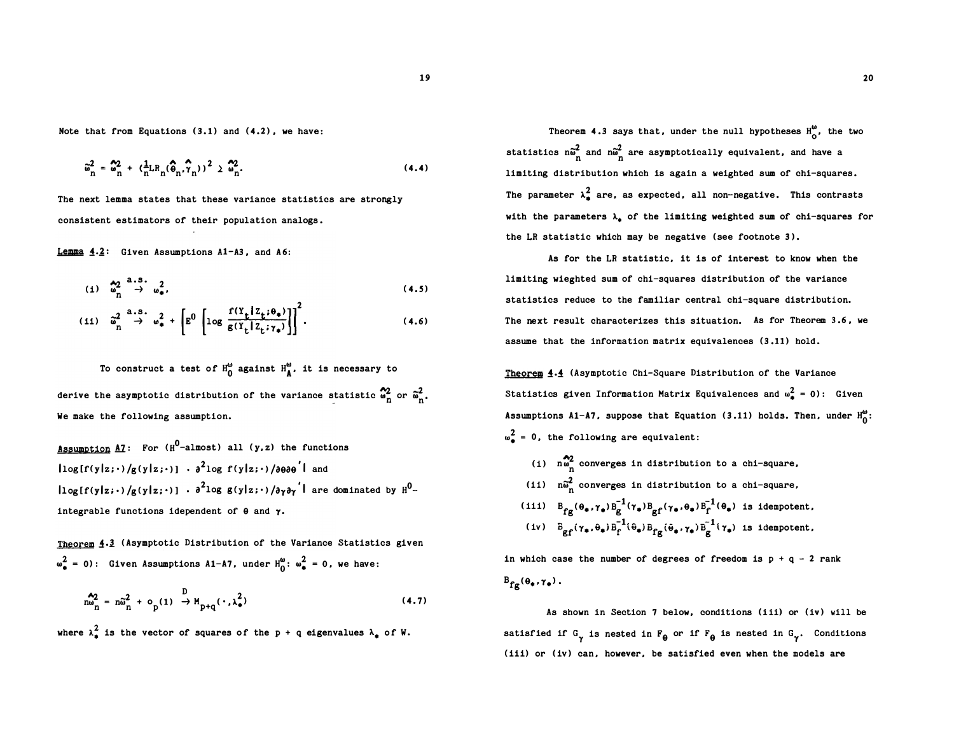Note that from Equations (3.1) and (4.2), we have:

$$
\tilde{\omega}_{n}^{2} = \omega_{n}^{2} + (\frac{1}{n}LR_{n}(\hat{\phi}_{n}, \hat{\gamma}_{n}))^{2} \geq \omega_{n}^{2}.
$$
\n(4.4)

The next lemma states that these variance statistics are strongly consistent estimators of their population analogs.

Lemma  $4.2$ : Given Assumptions A1-A3, and A6:

$$
(i) \quad \stackrel{\mathbf{A}_2}{\omega}_n^2 \stackrel{\mathbf{a}_1, \mathbf{S}_2}{\rightarrow} \quad \stackrel{\mathbf{a}_2}{\omega}_\#.
$$
\n
$$
(4.5)
$$

$$
(11) \quad \tilde{\omega}_n^2 \stackrel{a.s.}{\rightarrow} \omega_*^2 + \left[ E^0 \left[ \log \frac{f(Y_t | Z_t; \theta_*)}{g(Y_t | Z_t; \gamma_*)} \right] \right]^2.
$$
 (4.6)

To construct a test of  $H_0^{\omega}$  against  $H_A^{\omega}$ , it is necessary to derive the asymptotic distribution of the variance statistic  $\frac{\delta 2}{\omega_{\rm n}}$  or  $\tilde{\omega}_{\rm n}^2$ . We make the following assumption.

<u>Assumption A7</u>: For ( $H^0$ -almost) all (y,z) the functions  $\log[f(y|z; \cdot)/g(y|z; \cdot)]$  ·  $\partial^2 \log f(y|z; \cdot)/\partial \theta \partial \theta$ <sup>'</sup> | and  $\log [f(y|z; \cdot)/g(y|z; \cdot)]$  ·  $\partial^2 \log |g(y|z; \cdot)/\partial \gamma \partial \gamma^{'}|$  are dominated by  $\text{H}^0$ integrable functions idependent of  $\theta$  and  $\gamma$ .

Theorem 4.3 (Asymptotic Distribution of the Variance Statistics given  $\omega_{\bullet}^{2} = 0$ : Given Assumptions A1-A7, under  $H_0^{\omega}$ :  $\omega_{\bullet}^{2} = 0$ , we have:

$$
\mathbf{m}_{\mathbf{n}}^{\mathbf{A}_2} = \mathbf{n}\tilde{\mathbf{w}}_{\mathbf{n}}^2 + \mathbf{o}_{\mathbf{p}}(1) \rightarrow M_{\mathbf{p}+\mathbf{q}}(\cdot,\lambda_{\bullet}^2)
$$
 (4.7)

where  $\lambda_{\bullet}^2$  is the vector of squares of the p + q eigenvalues  $\lambda_{\bullet}$  of W.

Theorem 4.3 says that, under the null hypotheses  $H_0^{\omega}$ , the two statistics  $n\widetilde{\omega}_{\text{n}}^2$  and  $n\widetilde{\omega}_{\text{n}}^2$  are asymptotically equivalent, and have a limiting distribution which is again a weighted sum of chi-squares. The parameter  $\lambda^2$  are, as expected, all non-negative. This contrasts with the parameters  $\lambda_*$  of the limiting weighted sum of chi-squares for the LR statistic which may be negative (see footnote 3).

As for the LR statistic, it is of interest to know when the limiting wieghted sum of chi-squares distribution of the variance statistics reduce to the familiar central chi-square distribution. The next result characterizes this situation. As for Theorem 3.6, we assume that the information matrix equivalences (3 .11) hold.

Theorem 4.4 (Asymptotic Chi-Square Distribution of the Variance Statistics given Information Matrix Equivalences and  $\omega_{\bullet}^2 = 0$ : Given Assumptions A1-A7, suppose that Equation (3.11) holds. Then, under  $H_0^{\omega}$ :  $\omega_{\pm}^{2} = 0$ , the following are equivalent:

(i)  $n\omega_n^2$  converges in distribution to a chi-square, (11)  $n\tilde{\omega}_n^2$  converges in distribution to a chi-square, (iii)  $B_{fg}(\theta_*, \gamma_*)B_g^{-1}(\gamma_*)B_{gf}(\gamma_*, \theta_*)B_f^{-1}(\theta_*)$  is idempotent, (iv)  $B_{\text{gf}}(\gamma_{\bullet},\theta_{\bullet})B_{\text{f}}^{-1}(\theta_{\bullet})B_{\text{fg}}(\theta_{\bullet},\gamma_{\bullet})B_{\text{g}}^{-1}(\gamma_{\bullet})$  is idempotent,

in which case the number of degrees of freedom is  $p + q - 2$  rank  $B_{fg}(\theta_*, \gamma_*)$ .

As shown in Section 7 below, conditions (iii) or (iv) will be satisfied if  $G_{\gamma}$  is nested in  $F_{\theta}$  or if  $F_{\theta}$  is nested in  $G_{\gamma}$ . Conditions (iii) or (iv) can, however, be satisfied even when the models are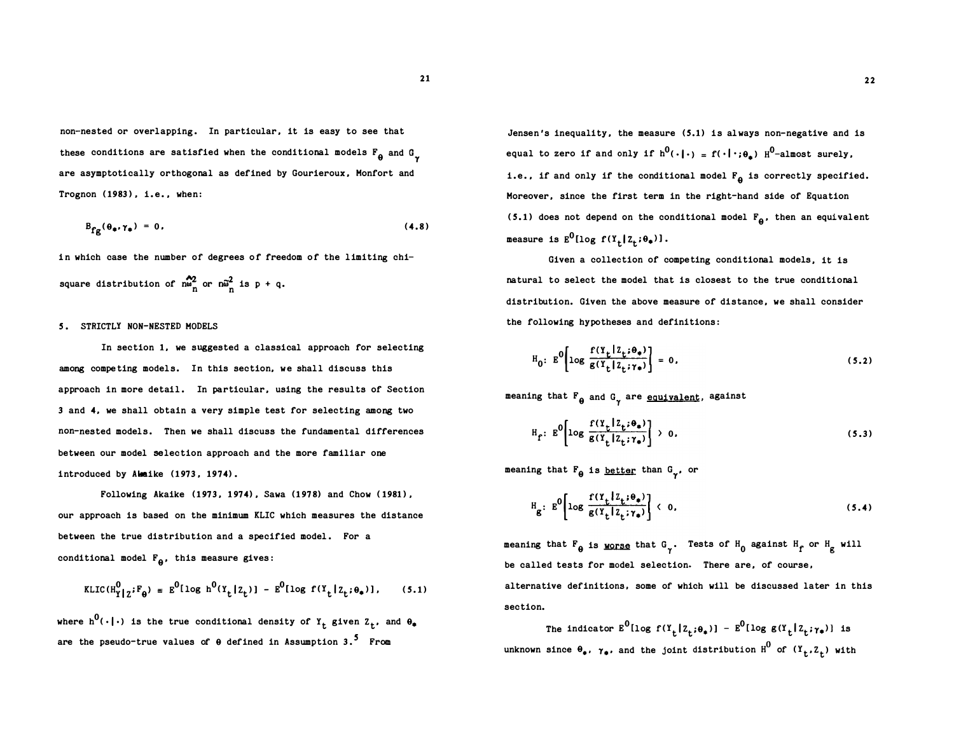21

non-nested or overlapping. In particular, it is easy to see that these conditions are satisfied when the conditional models  $F_{\theta}$  and  $G_{\gamma}$ are asymptotically orthogonal as defined by Gourieroux, Monfort and Trognon ( 1983), i.e., when:

$$
B_{fg}(\theta_{\bullet}, \gamma_{\bullet}) = 0. \qquad (4.8)
$$

in which case the number of degrees of freedom of the limiting chisquare distribution of  $\sum_{m=1}^{20}$  or  $n\tilde{\omega}_n^2$  is p + q.

#### S. STRICTLY NON-NESTED MODELS

In section 1, we suggested a classical approach for selecting among competing models. In this section, we shall discuss this approach in more detail. In particular, using the results of Section <sup>3</sup>and 4, we shall obtain a very simple test for selecting among two non-nested models. Then we shall discuss the fundamental differences between our model selection approach and the more familiar one introduced by Akaike (1973, 1974) .

Following Akaike (1973, 1974), Sawa (1978) and Chow (1981), our approach is based on the minimum KLIC which measures the distance between the true distribution and a specified model. For a conditional model  $F_{\theta}$ , this measure gives:

$$
\text{KLIC}(\text{H}_{\text{Y}}^{0} \mid \text{z}^{i} \text{F}_{\theta}) = \text{E}^{0} [\log \text{h}^{0}(\text{Y}_{\text{t}} \mid \text{Z}_{\text{t}})] - \text{E}^{0} [\log \text{f}(\text{Y}_{\text{t}} \mid \text{Z}_{\text{t}}; \theta_{\text{t}})], \qquad (5.1)
$$

where  $h^0(\cdot\,|\,\cdot)$  is the true conditional density of  $Y_t$  given  $Z_t$ , and  $\theta_\bullet$ are the pseudo-true values of  $\theta$  defined in Assumption 3.<sup>5</sup> From

Jensen's inequality, the measure (S.1) is always non-negative and is equal to zero if and only if  $h^0(\cdot\|\cdot) = f(\cdot\|\cdot;\theta_*)$   $H^0$ -almost surely, i.e., if and only if the conditional model  $F_{\theta}$  is correctly specified. Moreover, since the first term in the right-hand side of Equation (5.1) does not depend on the conditional model  $F_{\theta}$ , then an equivalent measure is  $E^0$ [log f(Y<sub>t</sub>[Z<sub>t</sub>; $\theta_*)$ ].

Given a collection of competing conditional models, it is natural to select the model that is closest to the true conditional distribution. Given the above measure of distance, we shall consider the following hypotheses and definitions:

$$
H_0: E^0\left[\log \frac{f(Y_t|Z_t;\theta_*)}{g(Y_t|Z_t;\gamma_*)}\right] = 0,
$$
\n(5.2)

meaning that  $F_{\theta}$  and  $G_{\gamma}$  are equivalent, against

$$
H_f: E^0\left[\log \frac{f(Y_t | Z_t; \theta_*)}{g(Y_t | Z_t; \gamma_*)}\right] \to 0,
$$
\n(5.3)

meaning that  $F_{\theta}$  is <u>better</u> than  $G_{\gamma}$ , or

$$
H_g: E^0\left[\log \frac{f(Y_t | Z_t; \theta_*)}{g(Y_t | Z_t; \gamma_*)}\right] \leftarrow 0,
$$
\n(5.4)

meaning that  $F_{\theta}$  is <u>worse</u> that  $G_{\gamma}$ . Tests of  $H_0$  against  $H_f$  or  $H_g$  will be called tests for model selection. There are, of course, alternative definitions, some of which will be discussed later in this section.

The indicator  $E^0$ [log  $f(Y_t | Z_t; \theta_*)$ ] -  $E^0$ [log  $g(Y_t | Z_t; \gamma_*)$ ] is unknown since  $\theta_*$ ,  $\gamma_*$ , and the joint distribution  $H^0$  of  $(Y_t, Z_t)$  with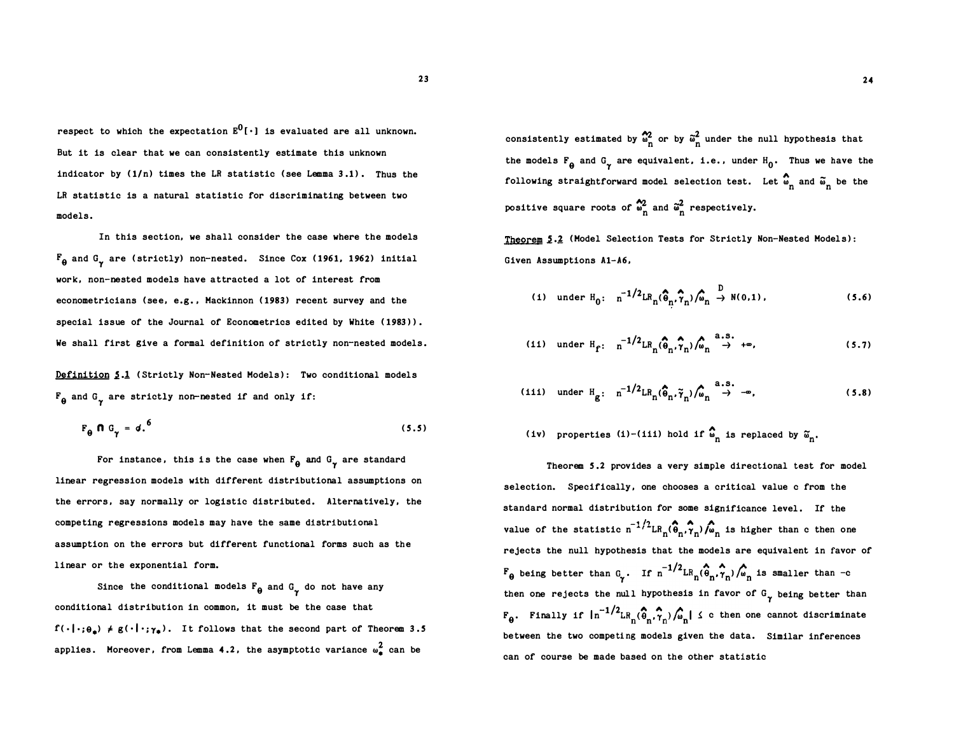23

respect to which the expectation  $E^0[\cdot]$  is evaluated are all unknown. But it is clear that we can consistently estimate this unknown indicator by  $(1/n)$  times the LR statistic (see Lemma 3.1). Thus the LR statistic is a natural statistic for discriminating between two models.

In this section, we shall consider the case where the models  $\mathbb{F}_{\Theta}$  and G<sub>Y</sub> are (strictly) non-nested. Since Cox (1961, 1962) initial work, non-nested models have attracted a lot of interest from econometricians (see, e.g., Mackinnon (1983) recent survey and the special issue of the Journal of Econometrics edited by White (1983) ). We shall first give a formal definition of strictly non-nested models.

Definition 5.1 (Strictly Non-Nested Models): Two conditional models  $F_{\theta}$  and  $G_{\gamma}$  are strictly non-nested if and only if:

$$
F_{\theta} \hspace{0.1cm} \mathbf{\Omega} \hspace{0.1cm} G_{\gamma} = d \hspace{0.1cm} . \hspace{0.1cm} (5.5)
$$

For instance, this is the case when  $F_{\theta}$  and  $G_{\gamma}$  are standard linear regression models with different distributional assumptions on the errors, say normally or logistic distributed. Alternatively, the competing regressions models may have the same distributional assumption on the errors but different functional forms such as the linear or the exponential form.

Since the conditional models  $F_{\theta}$  and  $G_{\gamma}$  do not have any conditional distribution in common, it must be the case that  $f(\cdot | \cdot; \theta_n) \neq g(\cdot | \cdot; \gamma_n)$ . It follows that the second part of Theorem 3.5 applies. Moreover, from Lemma 4.2, the asymptotic variance  $\omega_{\bf a}^2$  can be

consistently estimated by  $\frac{1}{\omega_n^2}$  or by  $\frac{1}{\omega_n^2}$  under the null hypothesis that the models  $F_{\theta}$  and  $G_{\gamma}$  are equivalent, i.e., under  $H_0$ . Thus we have the following straightforward model selection test. Let  $\overset{\bullet}{\bullet}_{n}$  and  $\overset{\bullet}{\bullet}_{n}$  be the positive square roots of  $\frac{\omega_2}{n}$  and  $\frac{\omega^2}{n}$  respectively.

Theorem 5.2 (Model Selection Tests for Strictly Non-Nested Models): Given Assumptions Al-A6,

$$
(i) under H0: n-1/2LRn(\hat{\theta}_{n}, \hat{\gamma}_{n})/\hat{\omega}_{n} \rightarrow N(0,1),
$$
 (5.6)

(11) under 
$$
H_f
$$
:  $n^{-1/2}LR_n(\hat{\theta}_n, \hat{\gamma}_n)/\hat{\omega}_n \to +\infty$ , (5.7)

(iii) under 
$$
H_g
$$
:  $n^{-1/2}LR_n(\hat{\theta}_n, \tilde{\gamma}_n)/\hat{\omega}_n \to -\infty$ , (5.8)

(iv) properties (i)-(iii) hold if 
$$
\hat{\omega}_n
$$
 is replaced by  $\tilde{\omega}_n$ .

Theorem S .2 provides a very simple directional test for model selection. Specifically, one chooses a critical value c from the standard normal distribution for some significance level. If the value of the statistic  $n^{-1/2} L R_n(\hat{\theta}_n, \hat{\tau}_n) / \hat{\omega}_n$  is higher than c then one rejects the null hypothesis that the models are equivalent in favor of  $F_{\theta}$  being better than  $G_{\gamma}$ . If  $n^{-1/2}$ LR $_{n}$ ( $\hat{\phi}_{n}$ , $\hat{\gamma}_{n}$ )/ $\hat{\omega}_{n}$  is smaller than -c then one rejects the null hypothesis in favor of  $G_{\gamma}$  being better than  $F_{\theta}$ . Finally if  $\ln^{-1/2}$ LR<sub>n</sub>( $\hat{\theta}_n$ , $\hat{\gamma}_n$ )/ $\hat{\omega}_n$  |  $\leq$  c then one cannot discriminate between the two competing models given the data. Similar inferences can of course be made based on the other statistic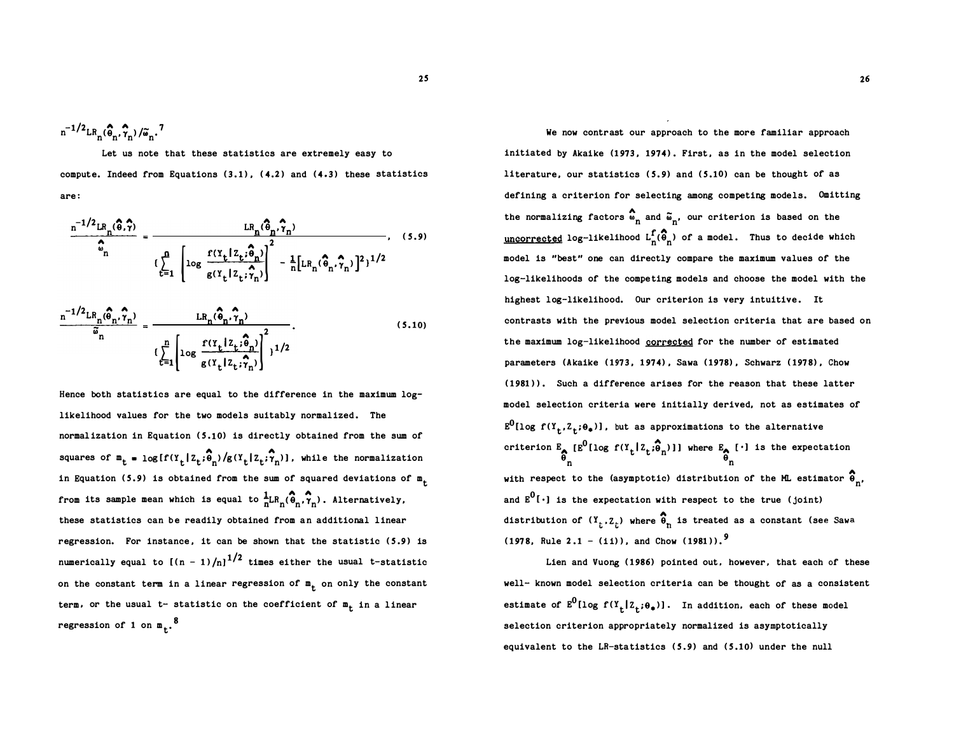$$
n^{-1/2} \text{LR}_{n}(\widehat{\theta}_n, \widehat{\gamma}_n) / \widetilde{\omega}_n.
$$
<sup>7</sup>

Let us note that these statistics are extremely easy to compute. Indeed from Equations (3.1) , (4.2) and (4.3) these statistics are:

$$
\frac{\mathbf{n}^{-1/2} \mathbf{LR}_{n}(\hat{\boldsymbol{\theta}}, \hat{\boldsymbol{\gamma}})}{\hat{\mathbf{c}}_{n}} = \frac{\mathbf{LR}_{n}(\hat{\boldsymbol{\theta}}_{n}, \hat{\boldsymbol{\gamma}}_{n})}{\left(\sum_{t=1}^{n} \left[\log \frac{f(Y_{t} | Z_{t} ; \hat{\boldsymbol{\theta}}_{n})}{g(Y_{t} | Z_{t} ; \hat{\boldsymbol{\gamma}}_{n})}\right]^{2} - \frac{1}{n} [\mathbf{LR}_{n}(\hat{\boldsymbol{\theta}}_{n}, \hat{\boldsymbol{\gamma}}_{n})]^{2}\right]^{1/2}}
$$
\n
$$
\frac{\mathbf{n}^{-1/2} \mathbf{LR}_{n}(\hat{\boldsymbol{\theta}}_{n}, \hat{\boldsymbol{\gamma}}_{n})}{\tilde{\mathbf{c}}_{n}} = \frac{\mathbf{LR}_{n}(\hat{\boldsymbol{\theta}}_{n}, \hat{\boldsymbol{\gamma}}_{n})}{\left(\sum_{t=1}^{n} \left[\log \frac{f(Y_{t} | Z_{t} ; \hat{\boldsymbol{\theta}}_{n})}{g(Y_{t} | Z_{t} ; \hat{\boldsymbol{\gamma}}_{n})}\right]^{2}\right]^{1/2}}.
$$
\n(5.10)

Hence both statistics are equal to the difference in the maximum loglikelihood values for the two models suitably normalized. The normalization in Equation (5.10) is directly obtained from the sum of squares of  $\mathbf{m}_t = \log[f(Y_t | Z_t; \widehat{\theta}_n) / g(Y_t | Z_t; \widehat{\gamma}_n)]$ , while the normalization in Equation (5.9) is obtained from the sum of squared deviations of  $m_{\tilde{L}}$ from its sample mean which is equal to  $\frac{1}{n}LR_n(\hat{\theta}_n, \hat{\gamma}_n)$ . Alternatively, these statistics can be readily obtained from an additional linear regression. For instance, it can be shown that the statistic (5.9) is numerically equal to  $\left[(n-1)/n\right]^{1/2}$  times either the usual t-statistic on the constant term in a linear regression of  $m_t$  on only the constant term, or the usual t- statistic on the coefficient of  $\mathbf{m}_{\mathbf{t}}$  in a linear regression of 1 on  $m_t$ .<sup>8</sup> .

We now contrast our approach to the more familiar approach initiated by Akaike (1973, 1974) . First, as in the model selection literature, our statistics (5.9) and (5.10) can be thought of as defining a criterion for selecting among competing models. Omitting the normalizing factors  $\hat{\omega}_n$  and  $\tilde{\omega}_n$ , our criterion is based on the uncorrected log-likelihood  $L_n^f(\hat{\theta}_n)$  of a model. Thus to decide which model is "best" one can directly compare the maximum values of the log-likelihoods of the competing models and choose the model with the highest log-likelihood. Our criterion is very intuitive. It contrasts with the previous model selection criteria that are based on the maximum log-likelihood corrected for the number of estimated parameters (Akaike (1973, 1974) , Sawa (1978) , Schwarz (1978) , Chow (1981) ). Such a difference arises for the reason that these latter model selection criteria were initially derived, not as estimates of  $E^0$ [log f(Y<sub>t</sub>,Z<sub>t</sub>; $\Theta_{\bullet}$ )], but as approximations to the alternative criterion  $\mathbf{E}_{\mathbf{A}}$  [E<sup>O</sup>[log f(Y<sub>t</sub>[Z<sub>t</sub>; $\hat{\theta}_n$ )]] where  $\mathbf{E}_{\mathbf{A}}$  [·] is the expectation  $\hat{\theta}_n$ with respect to the (asymptotic) distribution of the ML estimator  $\hat{\theta}_{n'}$ and  $E^0[\cdot]$  is the expectation with respect to the true (joint) distribution of  $(Y_t, Z_t)$  where  $\widehat{\theta}_n$  is treated as a constant (see Sawa  $(1978,$  Rule  $2.1 - (ii)$ , and Chow  $(1981)$ .<sup>9</sup>

Lien and Vuong (1986) pointed out, however, that each of these well- known model selection criteria can be thought of as a consistent estimate of  $E^0$ [log  $f(Y_t | Z_t; \theta_*)$ ]. In addition, each of these model selection criterion appropriately normalized is asymptotically equivalent to the LR-statistics (5.9) and (5.10) under the null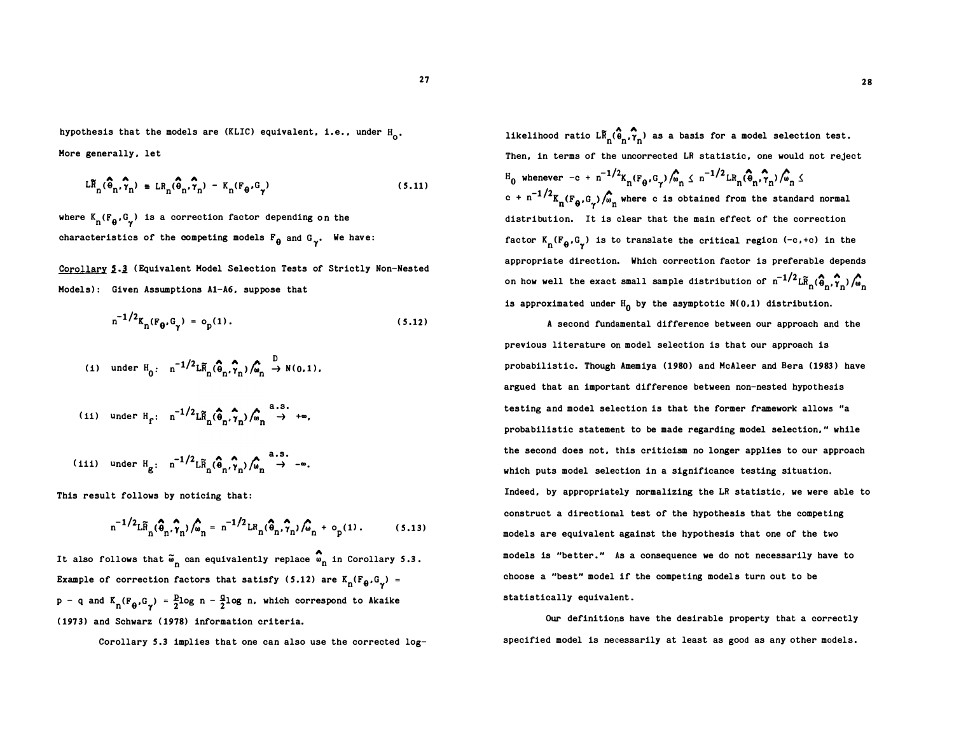hypothesis that the models are (KLIC) equivalent, i.e., under H<sub>o</sub>. Hore generally, let

$$
LR_{n}(\widehat{\theta}_{n}, \widehat{\gamma}_{n}) = LR_{n}(\widehat{\theta}_{n}, \widehat{\gamma}_{n}) - K_{n}(F_{\theta}, G_{\gamma})
$$
\n(5.11)

where  $K_n(F_{\theta}, G_{\gamma})$  is a correction factor depending on the characteristics of the competing models  $F_{\theta}$  and  $G_{\gamma}$ . We have:

Corollary 5.3 (Equivalent Model Selection Tests of Strictly Non-Nested Models): Given Assumptions A1-A6, suppose that

$$
n^{-1/2}K_{n}(F_{\theta}, G_{\gamma}) = o_{p}(1).
$$
 (5.12)

$$
(1) \quad \text{under } H_0: \quad n^{-1/2} L\widetilde{H}_n(\widehat{\theta}_n, \widehat{\gamma}_n) / \widehat{\omega}_n \stackrel{D}{\rightarrow} N(0, 1),
$$
\n
$$
(11) \quad \text{under } H_f: \quad n^{-1/2} L\widetilde{H}_n(\widehat{\theta}_n, \widehat{\gamma}_n) / \widehat{\omega}_n \stackrel{a.s.}{\rightarrow} +\infty,
$$
\n
$$
(111) \quad \text{under } H_g: \quad n^{-1/2} L\widetilde{H}_n(\widehat{\theta}_n, \widehat{\gamma}_n) / \widehat{\omega}_n \stackrel{a.s.}{\rightarrow} -\infty.
$$

This result follows by noticing that:

$$
n^{-1/2} L \tilde{R}_n(\hat{\phi}_n, \hat{\gamma}_n) / \hat{\phi}_n = n^{-1/2} L R_n(\hat{\phi}_n, \hat{\gamma}_n) / \hat{\phi}_n + o_p(1).
$$
 (5.13)

It also follows that  $\tilde{\omega}_n$  can equivalently replace  $\stackrel{\bullet}{\omega}_n$  in Corollary 5.3. Example of correction factors that satisfy (5.12) are  $K_n(F_{\theta}, G_{\gamma}) =$  $p - q$  and  $K_n(F_\theta, G_\gamma) = \frac{p_1}{2} \log n - \frac{q_1}{2} \log n$ , which correspond to Akaike (1973) and Schwarz (1978) information criteria.

Corollary 5.3 implies that one can also use the corrected  $log-$ 

likelihood ratio  $\mathsf{LR}_{\mathbf{n}}(\widehat{\mathbf{G}}_{\mathbf{n}},\widehat{\mathbf{Y}}_{\mathbf{n}})$  as a basis for a model selection test. Then, in terms of the uncorrected LR statistic, one would not reject  $H_0$  whenever  $-c + n^{-1/2} K_n(F_\theta, G_\gamma) / \hat{G}_n \leq n^{-1/2} L R_n(\hat{\theta}_n, \hat{\gamma}_n) / \hat{G}_n \leq$  $\int_0^{\infty}$  whenever  $-c + n$   $\int_0^{\infty} \frac{k_n (r_{\theta}, \theta_{\gamma'})/m_n \Delta}{k_n (r_{\theta}, \theta_{\gamma})/m_n}$  where c is obtained from the standard normal distribution. It is clear that the main effect of the correction factor  $K_n(F_{\theta}, G_{\gamma})$  is to translate the critical region (-c,+c) in the appropriate direction. Which correction factor is preferable depends on how well the exact small sample distribution of  $n^{-1/2} L \widetilde{R}_n(\widehat{\Phi}_n, \widehat{\gamma}_n) / \widehat{\omega}_n$ is approximated under  $H_0$  by the asymptotic N(0,1) distribution.

A second fundamental difference between our approach and the previous literature on model selection is that our approach is probabilistic. Though Amemiya (1980) and HcAleer and Bera (1983) have argued that an important difference between non-nested hypothesis testing and model selection is that the former framework allows "a probabilistic statement to be made regarding model selection," while the second does not, this criticism no longer applies to our approach which puts model selection in a significance testing situation. Indeed, by appropriately normalizing the LR statistic, we were able to construct a directional test of the hypothesis that the competing models are equivalent against the hypothesis that one of the two models is "better." As a consequence we do not necessarily have to choose a "best" model if the competing models turn out to be statistically equivalent.

Our definitions have the desirable property that a correctly specified model is necessarily at least as good as any other models.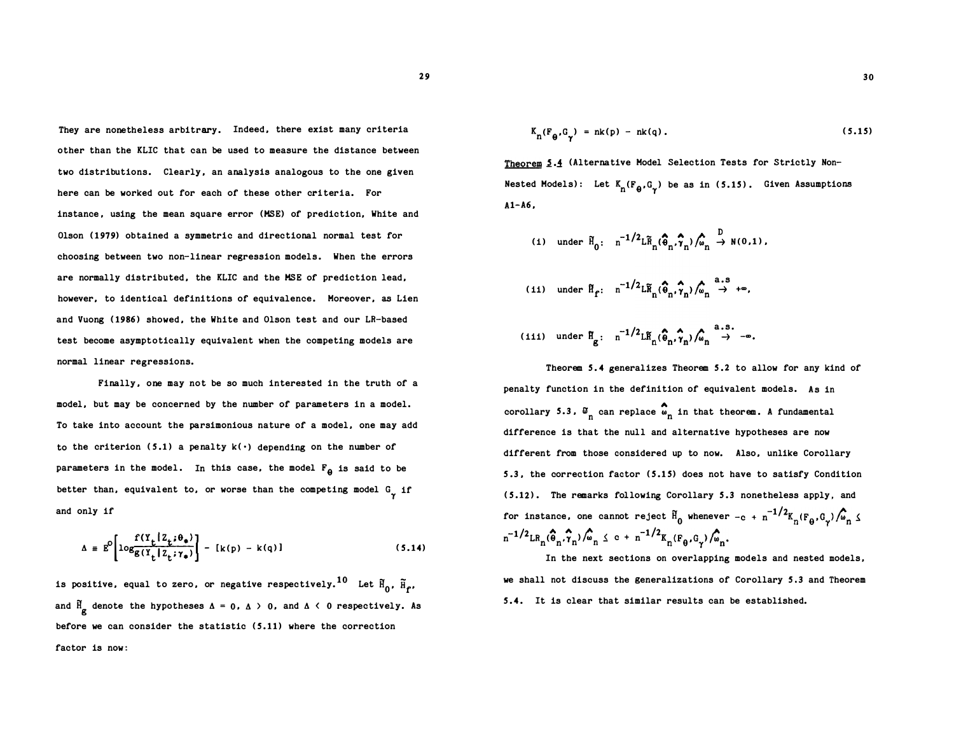They are nonetheless arbitrary. Indeed, there exist many criteria other than the KLIC that can be used to measure the distance between two distributions. Clearly, an analysis analogous to the one given here can be worked out for each of these other criteria. For instance, using the mean square error (MSE) of prediction, White and Olson (1979) obtained a symmetric and directional normal test for choosing between two non-linear regression models. When the errors are normally distributed, the KLIC and the MSE of prediction lead, however, to identical definitions of equivalence. Moreover, as Lien and Vuong (1986) showed, the White and Olson test and our LR-based test become asymptotically equivalent when the competing models are normal linear regressions.

Finally, one may not be so much interested in the truth of a model, but may be concerned by the number of parameters in a model. To take into account the parsimonious nature of a model, one may add to the criterion (5.1) a penalty  $k(\cdot)$  depending on the number of parameters in the model. In this case, the model  $F_{\theta}$  is said to be better than, equivalent to, or worse than the competing model  $G_{\gamma}$  if and only if

$$
\Delta \equiv E^{O}\left[log\frac{f(Y_{t}|Z_{t};\theta_{*})}{g(Y_{t}|Z_{t};\gamma_{*})}\right] - [k(p) - k(q)] \qquad (5.14)
$$

is positive, equal to zero, or negative respectively. $^{10}$  Let  $\widetilde{\mathtt{H}}_0$ ,  $\widetilde{\mathtt{H}}_{\mathbf{f}'}.$ and  $\frac{H}{g}$  denote the hypotheses  $\Delta = 0$ ,  $\Delta > 0$ , and  $\Delta < 0$  respectively. As before we can consider the statistic (S.11) where the correction factor is now:

$$
K_n(F_{\theta}, G_{\gamma}) = nk(p) - nk(q). \qquad (5.15)
$$

Theorem 5.4 (Alternative Model Selection Tests for Strictly Non-Nested Models): Let  $K_n(F_{\theta}, G_{\gamma})$  be as in (5.15). Given Assumptions Al-A6,

$$
(1) \quad \text{under } \tilde{H}_0: \quad n^{-1/2} L \tilde{R}_n(\hat{\theta}_n, \hat{\gamma}_n) / \hat{\omega}_n \stackrel{D}{\rightarrow} N(0, 1) .
$$

- (ii) under  $\mathbb{H}_{\mathbf{f}}$ :  $n^{-1/2} L \widetilde{\mathbb{H}}_n(\widehat{\Phi}_n, \widehat{\gamma}_n) / \widehat{\omega}_n \stackrel{\text{a.s}}{\rightarrow} +\infty$ ,
- (iii) under  $f{f}_{g}$ :  $n^{-1/2} L \tilde{F}_{n}(\hat{\theta}_{n}, \hat{\gamma}_{n}) / \hat{\omega}_{n} \stackrel{a.s.}{\rightarrow} -\infty$ .

Theorem 5.4 generalizes Theorem 5 .2 to allow for any kind of penalty function in the definition of equivalent models. As in corollary 5.3,  $\mathfrak{s}_{n}$  can replace  $\mathfrak{s}_{n}$  in that theorem. A fundamental difference is that the null and alternative hypotheses are now different from those considered up to now. Also, unlike Corollary S.3, the correction factor (5.15) does not have to satisfy Condition (5.12). The remarks following Corollary 5.3 nonetheless apply, and for instance, one cannot reject  $\tilde{H}_0$  whenever  $-c + n^{-1/2}K_n(F_\theta, G_\gamma) / \hat{G}_n \leq$  $n^{-1/2} L R_n(\hat{\theta}_n, \hat{\gamma}_n) / \hat{\omega}_n \leq c + n^{-1/2} K_n(F_{\theta}, G_{\gamma}) / \hat{\omega}_n.$ 

In the next sections on overlapping models and nested models, we shall not discuss the generalizations of Corollary S.3 and Theorem S.4. It is clear that similar results can be established.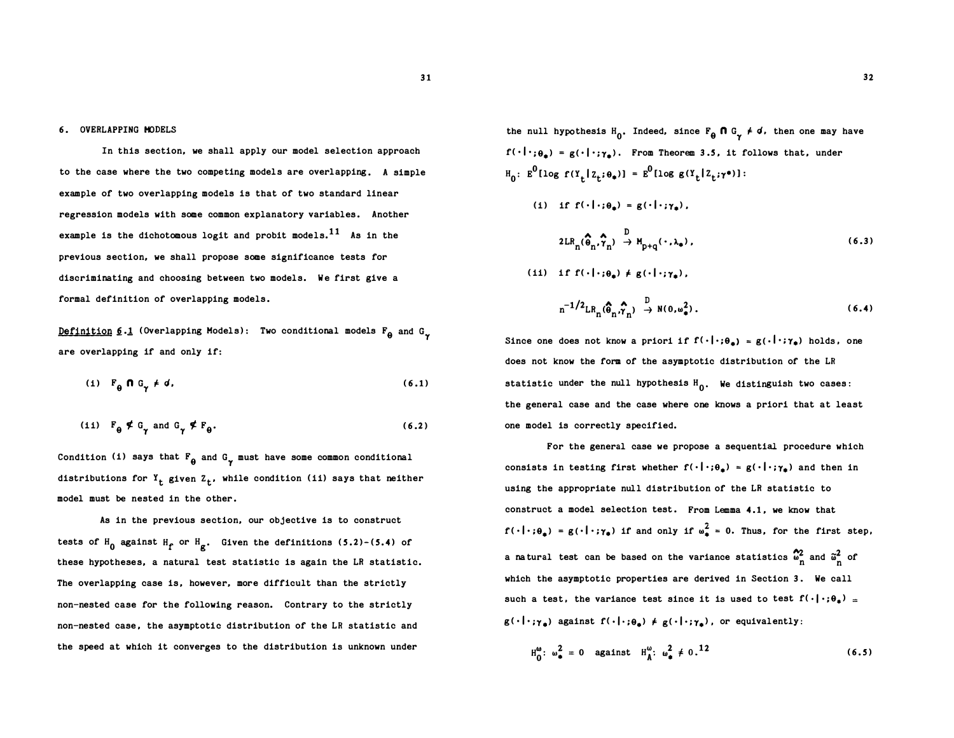### 6. OVERLAPPING MODELS

In this section, we shall apply our model selection approach to the case where the two competing models are overlapping. A simple example of two overlapping models is that of two standard linear regression models with some common explanatory variables. Another example is the dichotomous logit and probit models.<sup>11</sup> As in the previous section, we shall propose some significance tests for discriminating and choosing between two models. We first give a formal definition of overlapping models.

Definition 6.1 (Overlapping Models): Two conditional models  $F_{\theta}$  and  $G_{\gamma}$ are overlapping if and only if:

$$
(i) \tF_{\theta} \t\ \theta \tG_{\gamma} \neq d. \t\t(6.1)
$$

$$
(11) \tF_{\theta} \notin G_{\gamma} \t and G_{\gamma} \notin F_{\theta}.
$$

Condition (i) says that  $F_{\theta}$  and  $G_{\gamma}$  must have some common conditional distributions for  $Y_t$  given  $Z_t$ , while condition (ii) says that neither model must be nested in the other.

As in the previous section, our objective is to construct tests of  $H_0$  against  $H_f$  or  $H_g$ . Given the definitions (5.2)-(5.4) of these hypotheses, a natural test statistic is again the LR statistic. The overlapping case is, however, more difficult than the strictly non-nested case for the following reason. Contrary to the strictly non-nested case, the asymptotic distribution of the LR statistic and the speed at which it converges to the distribution is unknown under

the null hypothesis  $H_0$ . Indeed, since  $F_{\theta} \cap G_{\gamma} \neq d$ , then one may have  $f(\cdot|\cdot;\theta_{\bullet}) = g(\cdot|\cdot;\gamma_{\bullet})$ . From Theorem 3.5, it follows that, under  $H_0: E^0[log f(Y_t | Z_t; \theta_*)] = E^0[log g(Y_t | Z_t; \gamma^*)]:$ 

(i) if 
$$
f(\cdot|\cdot;\theta_*) = g(\cdot|\cdot;\gamma_*)
$$
,

$$
2LR_{n}(\widehat{\Theta}_{n}, \widehat{\gamma}_{n}) \stackrel{D}{\rightarrow} H_{p+q}(\cdot, \lambda_{\bullet}), \qquad (6.3)
$$

(ii) if 
$$
f(\cdot|\cdot;\theta_{\bullet}) \neq g(\cdot|\cdot;\gamma_{\bullet}),
$$
  

$$
n^{-1/2}LR_n(\hat{\theta}_n,\hat{\gamma}_n) \stackrel{D}{\rightarrow} N(0,\omega_{\bullet}^2),
$$
 (6.4)

Since one does not know a priori if  $f(\cdot|\cdot;\theta_n) = g(\cdot|\cdot;\gamma_n)$  holds, one does not know the form of the asymptotic distribution of the LR statistic under the null hypothesis  $H_0$ . We distinguish two cases: the general case and the case where one knows a priori that at least one model is correctly specified.

For the general case we propose a sequential procedure which consists in testing first whether  $f(\cdot|\cdot;\theta_{\bullet}) = g(\cdot|\cdot;\gamma_{\bullet})$  and then in using the appropriate null distribution of the LR statistic to construct a model selection test. From Lemma 4.1 , we know that  $f(\cdot | \cdot; \theta_{\bullet}) = g(\cdot | \cdot; \gamma_{\bullet})$  if and only if  $\omega_{\bullet}^2 = 0$ . Thus, for the first step, a natural test can be based on the variance statistics  $\frac{\alpha_2}{n}$  and  $\frac{\alpha^2}{n}$  of which the asymptotic properties are derived in Section 3. We call such a test, the variance test since it is used to test  $\mathbf{f}(\cdot|\cdot;\theta_{\pm}) =$  $g(\cdot|\cdot; \gamma_a)$  against  $f(\cdot|\cdot; \theta_a) \neq g(\cdot|\cdot; \gamma_a)$ , or equivalently:

$$
H_0^{\omega}
$$
:  $\omega_{\bullet}^2 = 0$  against  $H_A^{\omega}$ :  $\omega_{\bullet}^2 \neq 0$ .<sup>12</sup> (6.5)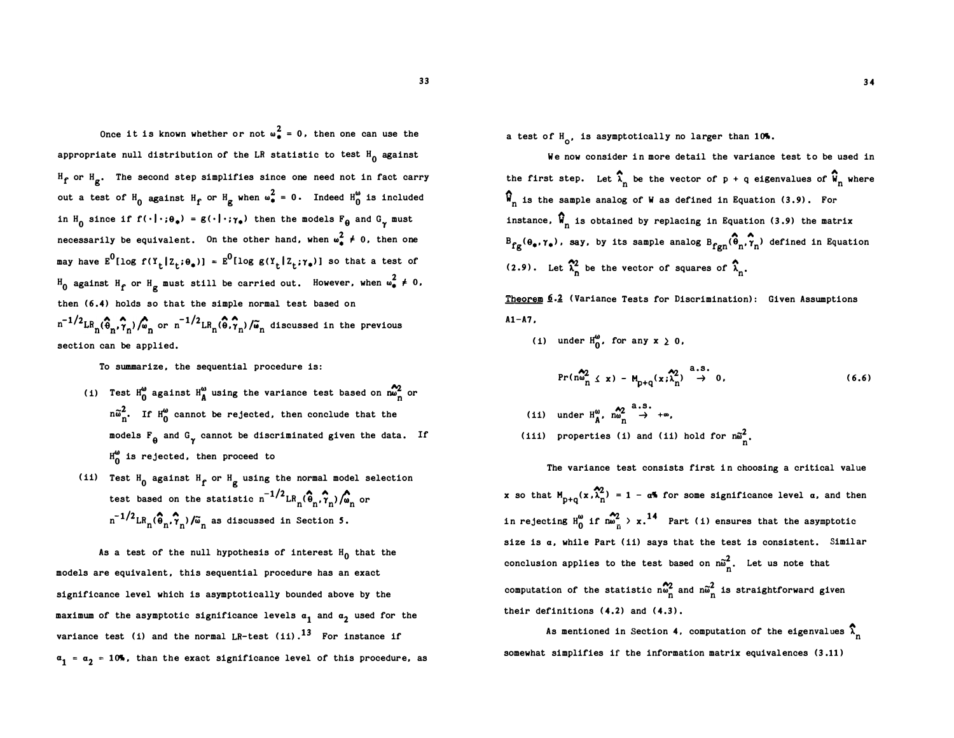Once it is known whether or not  $\omega_a^2 = 0$ , then one can use the appropriate null distribution of the LR statistic to test  $H_0$  against  $H_{\mathbf{f}}$  or  $H_{\mathbf{g}}$ . The second step simplifies since one need not in fact carry out a test of  $H_0$  against  $H_f$  or  $H_g$  when  $\omega_{\bullet}^2 = 0$ . Indeed  $H_0^{\omega}$  is included in  $H_0$  since if  $f(\cdot|\cdot;\theta_*) = g(\cdot|\cdot;\gamma_*)$  then the models  $F_\theta$  and  $G_\gamma$  must necessarily be equivalent. On the other hand, when  $\omega_{\bf a}^2 \neq 0$ , then one may have  $E^0[log f(Y_t | Z_t; \theta_*)] = E^0[log g(Y_t | Z_t; \gamma_*)]$  so that a test of  $H_0$  against  $H_f$  or  $H_g$  must still be carried out. However, when  $\omega^2_* \neq 0$ , then (6.4) holds so that the simple normal test based on  $n^{-1/2}$ LR<sub>n</sub>( $\hat{\Theta}_n$ , $\hat{\gamma}_n$ )/ $\hat{\omega}_n$  or  $n^{-1/2}$ LR<sub>n</sub>( $\hat{\Theta}$ , $\hat{\gamma}_n$ )/ $\tilde{\omega}_n$  discussed in the previous section can be applied.

To summarize, the sequential procedure is:

- (i) Test  $H_0^{\omega}$  against  $H_A^{\omega}$  using the variance test based on  $m_n^{\omega}$  or  $n\tilde{\omega}_n^2$ . If  $H_0^{\omega}$  cannot be rejected, then conclude that the models  $F_{\theta}$  and  $G_{\gamma}$  cannot be discriminated given the data. If  $H_0^{\omega}$  is rejected, then proceed to
- (ii) Test  $H_0$  against  $H_f$  or  $H_g$  using the normal model selection test based on the statistic  $n^{-1/2}$  LR<sub>n</sub>( $\hat{\theta}_n$ ,  $\hat{\gamma}_n$ )  $\hat{\omega}_n$  or  $n^{-1/2}$ LR<sub>n</sub>( $\hat{\theta}_n$ , $\hat{\gamma}_n$ )/ $\tilde{\omega}_n$  as discussed in Section 5.

As a test of the null hypothesis of interest  $H_0$  that the models are equivalent, this sequential procedure has an exact significance level which is asymptotically bounded above by the maximum of the asymptotic significance levels  $a_1$  and  $a_2$  used for the variance test (i) and the normal LR-test (ii). $^{13}$  For instance if  $a_1$  =  $a_2$  = 10%, than the exact significance level of this procedure, as a test of  $H_o$ , is asymptotically no larger than 10%.

We now consider in more detail the variance test to be used in the first step. Let  $\widehat{\lambda}_n$  be the vector of  $p + q$  eigenvalues of  $\widehat{\boldsymbol{W}}_n$  where  $\hat{W}_n$  is the sample analog of W as defined in Equation (3.9). For instance,  $\widehat{\mathbf{N}}_{n}$  is obtained by replacing in Equation (3.9) the matrix  $B_{fg}(\theta_*, \gamma_*)$ , say, by its sample analog  $B_{fgn}(\theta_n, \gamma_n)$  defined in Equation (2.9). Let  $\widehat{\lambda}_n^2$  be the vector of squares of  $\widehat{\lambda}_n$ .

Theorem 6.2 (Variance Tests for Discrimination): Given Assumptions  $A1 - A7$ .

(i) under 
$$
H_0^{\omega}
$$
, for any  $x \ge 0$ ,  

$$
Pr(n_{n_1}^{\omega_2} \le x) - M_{p+q}(x; \widehat{\lambda}_n^2) \stackrel{a.s.}{\rightarrow} 0,
$$
 (6.6)

(ii) under  $H_M^{\omega}$ ,  $m_n^{\omega_2} \stackrel{a.s.}{\rightarrow} +\infty$ , (iii) properties (i) and (ii) hold for  $n\tilde{\omega}_n^2$ .

The variance test consists first in choosing a critical value x so that  $M_{p+q}(x, \hat{\lambda}_n^2) = 1 - a^{\frac{q}{2}}$  for some significance level  $\alpha$ , and then in rejecting  $H_0^{\omega}$  if  $n\omega \over n$  > x.<sup>14</sup> Part (i) ensures that the asymptotic size is  $a$ , while Part (ii) says that the test is consistent. Similar conclusion applies to the test based on  $n\tilde{\omega}_n^2$ . Let us note that computation of the statistic  $\sum_{n=0}^{\infty}$  and  $\tilde{w}_n^2$  is straightforward given their definitions (4.2) and (4.3).

As mentioned in Section 4, computation of the eigenvalues  $\hat{\lambda}^{}_{n}$ somewhat simplifies if the information matrix equivalences (3 .11)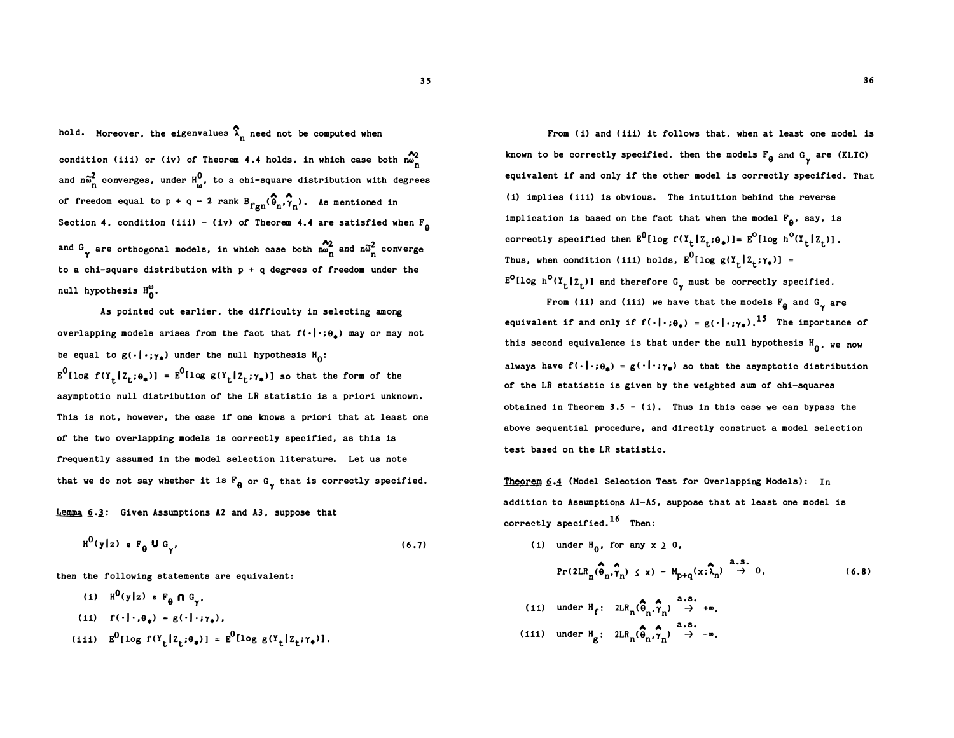hold. Moreover, the eigenvalues  $\hat{\lambda}_n$  need not be computed when condition (iii) or (iv) of Theorem 4.4 holds, in which case both  $\frac{100}{100}$ and  $n\widetilde{\omega}_{\rm n}^2$  converges, under  ${\rm H}^0_\omega$ , to a chi-square distribution with degrees of freedom equal to p + q - 2 rank  $B_{fgn}(\hat{\theta}_n, \hat{\tau}_n)$ . As mentioned in Section 4, condition (iii) - (iv) of Theorem 4.4 are satisfied when  $F_{\theta}$ and G are orthogonal models, in which case both  $\sum_{n=1}^{\infty}$  and  $n\tilde{\omega}_n^2$  converge to a chi-square distribution with  $p + q$  degrees of freedom under the null hypothesis  $H_0^{\omega}$ .

As pointed out earlier, the difficulty in selecting among overlapping models arises from the fact that  $f(\cdot|\cdot;\theta_{\star})$  may or may not be equal to  $g(\cdot | \cdot; \gamma_{\phi})$  under the null hypothesis  $H_0$ :  $E^0$ [log f(Y<sub>t</sub>[Z<sub>t</sub>; $\theta_*$ )] =  $E^0$ [log g(Y<sub>t</sub>[Z<sub>t</sub>; $\gamma_*$ )] so that the form of the asymptotic null distribution of the LR statistic is a priori unknown. This is not, however, the case if one knows a priori that at least one of the two overlapping models is correctly specified, as this is frequently assumed in the model selection literature. Let us note that we do not say whether it is  $F_{\theta}$  or  $G_{\gamma}$  that is correctly specified.

 $Lemma 6.3: Given Assumptions A2 and A3, suppose that$ </u>

$$
H^{0}(y|z) \cdot F_{\theta} U G_{\gamma'} \qquad (6.7)
$$

then the following statements are equivalent:

(i) 
$$
H^0(y|z) \ge F_\theta \cap G_\gamma
$$
,  
\n(ii)  $f(\cdot|\cdot,\theta_*) = g(\cdot|\cdot;\gamma_*)$ ,  
\n(iii)  $E^0[\log f(Y_t|Z_t;\theta_*)] = E^0[\log g(Y_t|Z_t;\gamma_*)]$ .

From (i) and (iii) it follows that, when at least one model is known to be correctly specified, then the models  $F_{\theta}$  and  $G_{\gamma}$  are (KLIC) equivalent if and only if the other model is correctly specified. That (i) implies (iii) is obvious. The intuition behind the reverse implication is based on the fact that when the model  $F_{\theta}$ , say, is correctly specified then  $E^0$ [log f(Y<sub>t</sub>[Z<sub>t</sub>;0<sub>\*</sub>)]=  $E^0$ [log h<sup>o</sup>(Y<sub>t</sub>[Z<sub>t</sub>)]. Thus, when condition (iii) holds,  $E^0[log g(Y_t|Z_t; \gamma_*)] =$  $E^{O}(\log h^{O}(Y_{t} | Z_{t}))$  and therefore  $G_{\gamma}$  must be correctly specified.

From (ii) and (iii) we have that the models  $F_{\theta}$  and  $G_{\gamma}$  are equivalent if and only if  $f(\cdot|\cdot;\theta_*) = g(\cdot|\cdot;\gamma_*)$ .<sup>15</sup> The importance of this second equivalence is that under the null hypothesis  $\texttt{H}_{_{\textbf{0}}}$ , we now always have  $f(\cdot|\cdot; \theta_a) = g(\cdot|\cdot; \gamma_a)$  so that the asymptotic distribution of the LR statistic is given by the weighted sum of chi-squares obtained in Theorem 3.5 - (i). Thus in this case we can bypass the above sequential procedure, and directly construct a model selection test based on the LR statistic.

Theorem  $6.4$  (Model Selection Test for Overlapping Models): In addition to Assumptions Al-AS, suppose that at least one model is correctly specified.  $^{16}$  Then:

(i) under  $H_0$ , for any  $x \geq 0$ , (11) under  $H_f: 2LR_n(\hat{\theta}_n, \hat{\gamma}_n) \rightarrow +\infty$ ,  $A \wedge \cdots \wedge A$ , a.s.  $Pr(2LR_n(\hat{\theta}_n, \hat{\gamma}_n) \leq x) - M_{p+q}(x; \hat{\lambda}_n) \stackrel{\text{a.s.}}{\rightarrow} 0,$  $\ddot{\bullet}$  A  $^{a.8}$ .  $(6.8)$ 

(iii) under 
$$
H_g
$$
:  $2LR_n(\hat{\theta}_n, \hat{\gamma}_n) \rightarrow -\infty$ .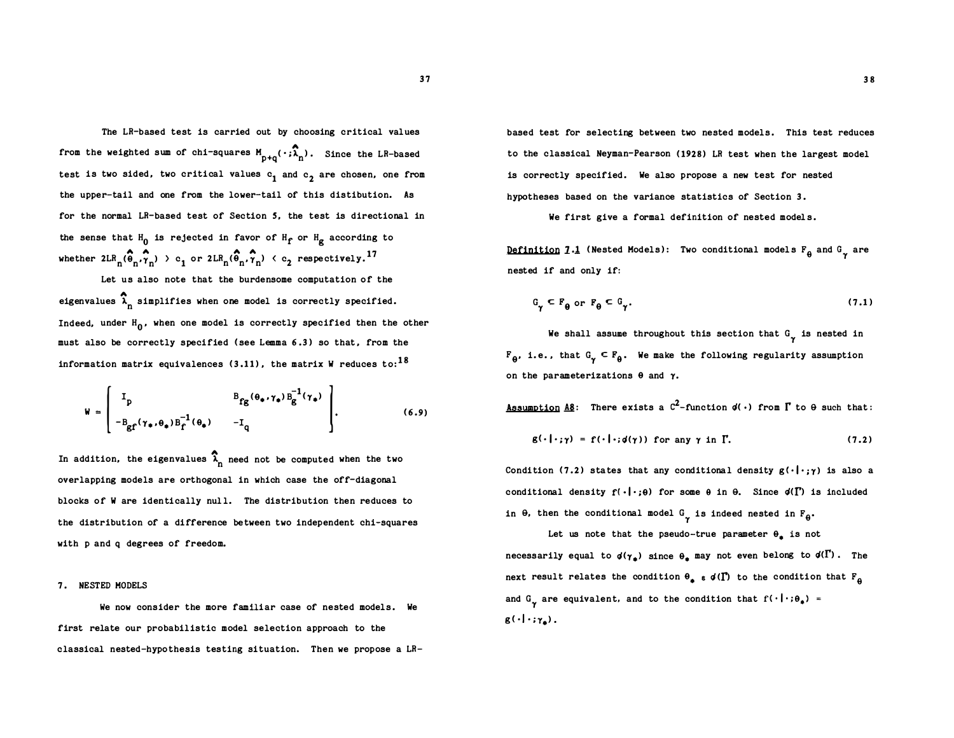The LR-based test is carried out by choosing critical values from the weighted sum of chi-squares  $M_{p+q}(\cdot;\overline{\lambda}_{n})$ . Since the LR-based test is two sided, two critical values  $c_1$  and  $c_2$  are chosen, one from the upper-tail and one from the lower tail of this distibution. As - for the normal LR-based test of Section S, the test is directional in the sense that  $H_0$  is rejected in favor of  $H_f$  or  $H_g$  according to whether  $2LR_n(\hat{\theta}_n, \hat{\tau}_n) > c_1$  or  $2LR_n(\hat{\theta}_n, \hat{\tau}_n) < c_2$  respectively.<sup>17</sup>

Let us also note that the burdensome computation of the eigenvalues  $\widehat{\lambda}^{}_{\!\!n}$  simplifies when one model is correctly specified. Indeed, under  ${\tt H}_{\tt 0}$ , when one model is correctly specified then the other must also be correctly specified (see Lemma 6.3) so that, from the information matrix equivalences (3.11), the matrix W reduces to:  $^{18}$ 

$$
\mathbf{W} = \begin{bmatrix} I_p & B_{fg}(\theta_* , \gamma_* ) B_g^{-1}(\gamma_* ) \\ -B_{gf}(\gamma_* , \theta_* ) B_f^{-1}(\theta_* ) & -I_q \end{bmatrix} .
$$
 (6.9)

In addition, the eigenvalues  $\widehat{\lambda}_{\text{n}}$  need not be computed when the two overlapping models are orthogonal in which case the off-diagonal blocks of W are identically null. The distribution then reduces to the distribution of a difference be tween two independent chi-squares with p and q degrees of freedom.

#### 7. NESTED MODELS

We now consider the more familiar case of nested models. We first relate our probabilistic model selection approach to the classical nested-hypothesis testing situation. Then we propose a LR-

based test for selecting between two nested models. This test reduces to the classical Neyman-Pearson ( 1928) LR test when the largest model is correctly specified. We also propose a new test for nested hypotheses based on the variance statistics of Section 3.

We first give a formal definition of nested models.

D<u>efinition</u> 1.1 (Nested Models): Two conditional models F<sub>e</sub> and G<sub>Y</sub> are<br>nested if and only if: nested if and only if:

$$
G_{\gamma} \subset F_{\theta} \text{ or } F_{\theta} \subset G_{\gamma}. \tag{7.1}
$$

We shall assume throughout this section that  $G_{\gamma}$  is nested in  $F_{\theta}$ , i.e., that  $G_{\gamma} \subseteq F_{\theta}$ . We make the following regularity assumption on the parameterizations  $\theta$  and  $\gamma$ .

Assumption A8: There exists a  $C^2$ -function  $d(\cdot)$  from  $\Gamma$  to  $\Theta$  such that:

$$
g(\cdot|\cdot;\gamma) = f(\cdot|\cdot;d(\gamma)) \text{ for any } \gamma \text{ in } \Gamma. \tag{7.2}
$$

Condition (7.2) states that any conditional density  $g(\cdot|\cdot;\gamma)$  is also a conditional density  $f(\cdot|\cdot;\theta)$  for some  $\theta$  in  $\theta$ . Since  $\phi(\Gamma)$  is included in  $\theta$ , then the conditional model  $G_{\gamma}$  is indeed nested in  $F_{\theta}$ .

Let us note that the pseudo-true parameter  $\theta_*$  is not necessarily equal to  $\phi(\gamma_a)$  since  $\theta_a$  may not even belong to  $\phi(\Gamma)$ . The next result relates the condition  $\theta_*$  s  $d(\Gamma)$  to the condition that  $F_{\theta}$ and  $G_{\gamma}$  are equivalent, and to the condition that  $f(\,\cdot\,|\,\cdot\,;\theta_*)$  =  $g(\cdot|\cdot;\gamma_{\bullet}).$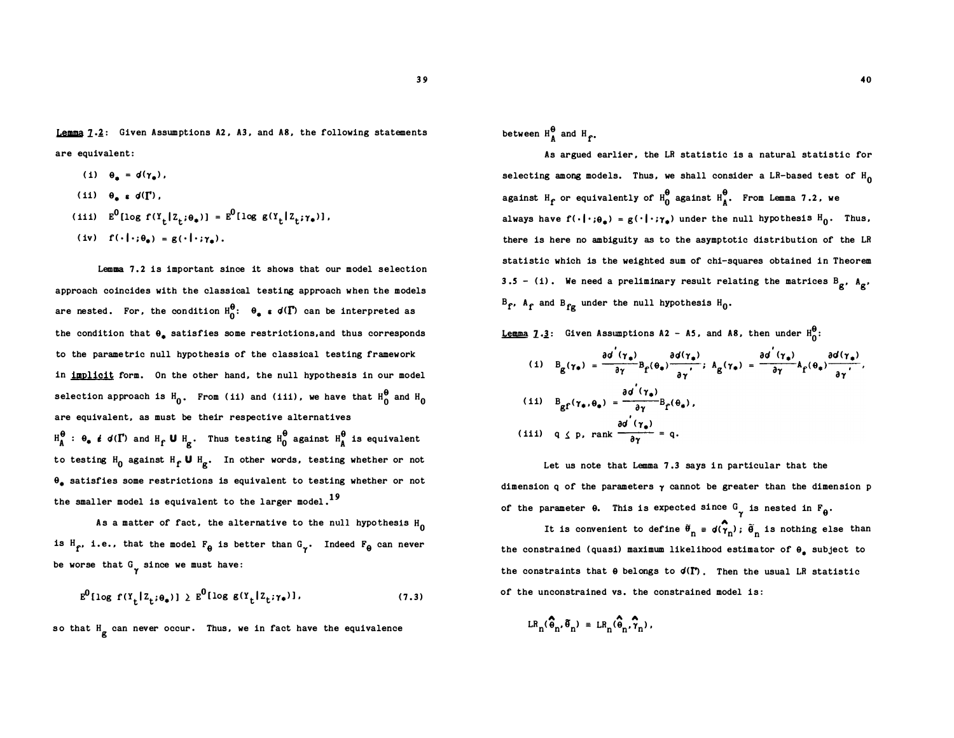Lemma  $7.2$ : Given Assumptions A2, A3, and A8, the following statements are equivalent:

- (i)  $\theta_n = d(\gamma_n)$ ,
- (ii)  $\theta$ ,  $\epsilon$  d( $\Gamma$ ).
- (iii)  $E^0[log f(Y_t | Z_t; \theta_*)] = E^0[log g(Y_t | Z_t; \gamma_*)],$
- (iv)  $f(\cdot|\cdot;\theta_*) = g(\cdot|\cdot;\gamma_*)$ .

Lemma 7 .2 is important since it shows that our model selection approach coincides with the classical testing approach when the models are nested. For, the condition  $\texttt{H}_{0}^{\pmb{\theta}}\colon \;\; \pmb{\theta_{\ast}}\;$   $\epsilon$   $\texttt{d}(\pmb{\Gamma})$  can be interpreted as the condition that  $\theta_{\bullet}$  satisfies some restrictions, and thus corresponds to the parametric null hypothesis of the classical testing framework in implicit form. On the other hand, the null hypothesis in our model selection approach is  $H_0$ . From (ii) and (iii), we have that  $H_0^0$  and  $H_0$ are equivalent, as must be their respective alternatives  $H_{\tt A}^{\Theta}$  :  $\Theta_{\bullet}$   $\ell$  d( $\Gamma$ ) and  $H_{\tt f}$  **U**  $H_{\tt g}$ . Thus testing  $H_{\tt 0}^{\Theta}$  against  $H_{\tt A}^{\Theta}$  is equivalent to testing  $H_0$  against  $H_f \cup H_g$ . In other words, testing whether or not  $\theta_{\pm}$  satisfies some restrictions is equivalent to testing whether or not the smaller model is equivalent to the larger model.<sup>19</sup>

As a matter of fact, the alternative to the null hypothesis  $_{\rm H_0}$ is  $H_f$ , i.e., that the model  $F_{\theta}$  is better than  $G_{\gamma}$ . Indeed  $F_{\theta}$  can never be worse that  $G_{\gamma}$  since we must have:

$$
\mathbf{E}^0[\log f(\mathbf{Y}_t|\mathbf{Z}_t;\boldsymbol{\theta}_\bullet)] \ge \mathbf{E}^0[\log g(\mathbf{Y}_t|\mathbf{Z}_t;\boldsymbol{\gamma}_\bullet)],\tag{7.3}
$$

so that H<sub>g</sub> can never occur. Thus, we in fact have the equivalence

between  $H_A^{\bullet}$  and  $H_f^{\bullet}$ .

As argued earlier, the LR statistic is a natural statistic for selecting among models. Thus, we shall consider a LR-based test of  $\mathtt{H}_{\mathbf{0}}$ against  $\text{H}_{\text{f}}$  or equivalently of  $\text{H}_{0}^{\Theta}$  against  $\text{H}_{\text{A}}^{\Theta}.$  From Lemma 7.2, we always have  $f(\cdot|\cdot;\theta_*) = g(\cdot|\cdot;\gamma_*)$  under the null hypothesis  $H_0$ . Thus, there is here no ambiguity as to the asymptotic distribution of the LR statistic which is the weighted sum of chi-squares obtained in Theorem 3.5 - (i). We need a preliminary result relating the matrices  $B_g$ ,  $A_g$ ,  $B_f$ ,  $A_f$  and  $B_{fg}$  under the null hypothesis  $H_0$ .

**<u>Lemma</u>**  $1 \cdot 3$ : Given Assumptions A2 - A5, and A8, then under  $H_0^0$ :

(i) 
$$
B_{g}(\gamma_{*}) = \frac{\partial d^{'}(\gamma_{*})}{\partial \gamma} B_{f}(\theta_{*}) \frac{\partial d(\gamma_{*})}{\partial \gamma}
$$
;  $A_{g}(\gamma_{*}) = \frac{\partial d^{'}(\gamma_{*})}{\partial \gamma} A_{f}(\theta_{*}) \frac{\partial d(\gamma_{*})}{\partial \gamma}$ ,  
\n(ii)  $B_{gf}(\gamma_{*}, \theta_{*}) = \frac{\partial d^{'}(\gamma_{*})}{\partial \gamma} B_{f}(\theta_{*})$ ,  
\n(iii)  $q \leq p$ , rank  $\frac{\partial d^{'}(\gamma_{*})}{\partial \gamma} = q$ .

Let us note that Lemma 7.3 says in particular that the dimension q of the parameters  $\gamma$  cannot be greater than the dimension p of the parameter  $\theta$ . This is expected since  $G_{\gamma}$  is nested in  $F_{\theta}$ .

It is convenient to define  $\widehat{\sigma}_n = d(\widehat{\gamma}_n)$ ;  $\widetilde{\theta}_n$  is nothing else than the constrained (quasi) maximum likelihood estimator of  $\theta_{\bullet}$  subject to the constraints that  $\theta$  belongs to  $d(\Gamma)$ . Then the usual LR statistic of the unconstrained vs. the constrained model is: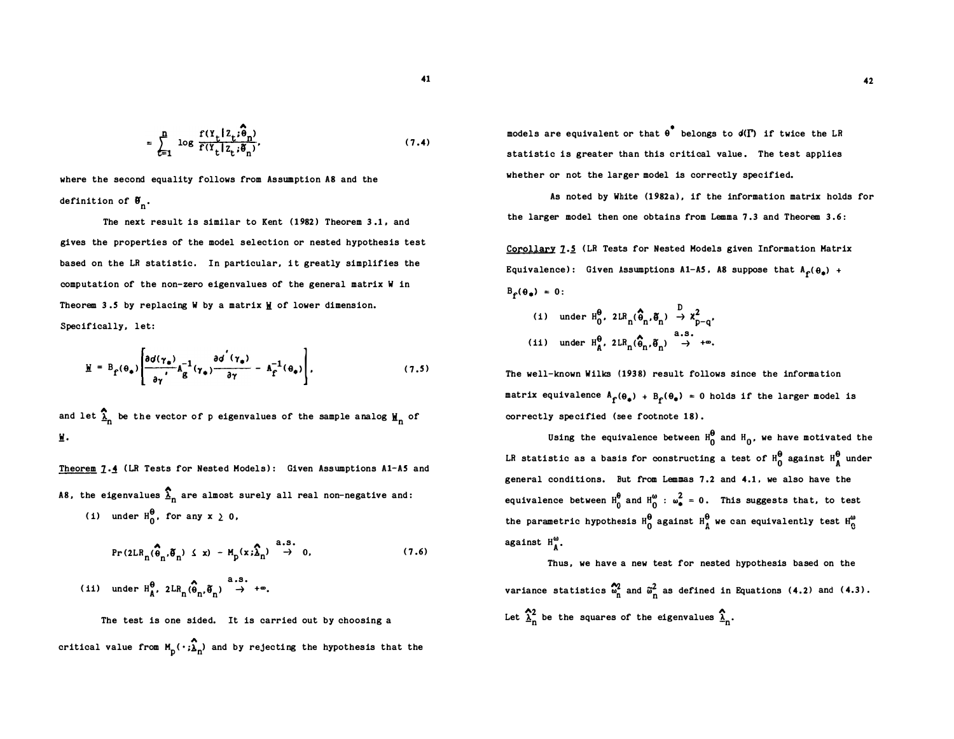$$
= \sum_{t=1}^{n} \log \frac{f(Y_t | Z_t; \widehat{\boldsymbol{\theta}}_n)}{f(Y_t | Z_t; \widehat{\boldsymbol{\theta}}_n)},
$$
 (7.4)

where the second equality follows from Assumption AB and the definition of  $\boldsymbol{\theta}_{\text{n}}$ .

The next result is similar to Kent (1982) Theorem 3.1, and gives the properties of the model selection or nested hypothesis test based on the LR statistic. In particular, it greatly simplifies the computation of the non-zero eigenvalues of the general matrix W in Theorem 3.5 by replacing W by a matrix W of lower dimension. Specifically, let:

$$
\underline{\Psi} = B_{\underline{f}}(\theta_{\bullet}) \left[ \frac{\partial d(\gamma_{\bullet})}{\partial \gamma} A_{\underline{g}}^{-1}(\gamma_{\bullet}) \frac{\partial d^{'}(\gamma_{\bullet})}{\partial \gamma} - A_{\underline{f}}^{-1}(\theta_{\bullet}) \right], \qquad (7.5)
$$

and let  $\frac{\Omega}{\Lambda}$  be the vector of p eigenvalues of the sample analog  $\mathbf{H}_\mathbf{n}$  of Ji.

Theorem 7.4 (LR Tests for Nested Models): Given Assumptions A1-A5 and A8, the eigenvalues  $\frac{1}{\lambda}$  are almost surely all real non-negative and: (i) under  $H_0^{\theta}$ , for any  $x \geq 0$ ,

$$
\Pr(2LR_n(\hat{\theta}_n, \tilde{\theta}_n) \le x) - M_p(x; \hat{\lambda}_n) \stackrel{a.s.}{\to} 0,
$$
 (7.6)

(ii) under 
$$
H_{\hat{A}}^{\theta}
$$
,  $2LR_n(\hat{\theta}_n, \hat{\theta}_n) \rightarrow +\infty$ .

The test is one sided. It is carried out by choosing a critical value from  $M_p(\,\cdot\,; \widehat{\lambda}_n)$  and by rejecting the hypothesis that the

models are equivalent or that  $\theta$  belongs to  $d(\Gamma)$  if twice the LR statistic is greater than this critical value. The test applies whether or not the larger model is correctly specified.

As noted by White (1982a), if the information matrix holds for the larger model then one obtains from Lemma 7.3 and Theorem  $3.6$ :

Corollary 7.5 (LR Tests for Nested Models given Information Matrix Equivalence): Given Assumptions A1-A5, A8 suppose that  $A_f(\theta_*)$  +  $B_{\rho}(\theta_{\bullet}) = 0$ :

(i) under  $H_0^{\theta}$ ,  $2LR_n(\hat{\theta}_n, \tilde{\theta}_n) \rightarrow \chi^2_{p-q}$ , (ii) under  $H_{\hat{A}}^{\theta}$ ,  $2LR_n(\hat{\hat{\theta}}_n, \hat{\theta}_n) \rightarrow +\infty$ .

The well-known Wilks (1938) result follows since the information matrix equivalence  $A_f(\theta_a) + B_f(\theta_a) = 0$  holds if the larger model is correctly specified (see footnote 18).

Using the equivalence between  $H_0^0$  and  $H_0$ , we have motivated the LR statistic as a basis for constructing a test of  $H_0^{\theta}$  against  $H_A^{\theta}$  under general conditions. But from Lemmas 7 .2 and 4.1 , we also have the equivalence between  $H_0^{\theta}$  and  $H_0^{\omega}$  :  $\omega_{\bullet}^2 = 0$ . This suggests that, to test the parametric hypothesis  $H_0^{\theta}$  against  $H_A^{\theta}$  we can equivalently test  $H_0^{\omega}$ against  $H_{\bullet}^{\omega}$ .

Thus, we have a new test for nested hypothesis based on the variance statistics  $\tilde{\omega}_n^2$  and  $\tilde{\omega}_n^2$  as defined in Equations (4.2) and (4.3).  $\hat{\gamma}_2$  by the course of the stress line  $\hat{\gamma}$ Let  $\lambda_n^2$  be the squares of the eigenvalues  $\lambda_n$ .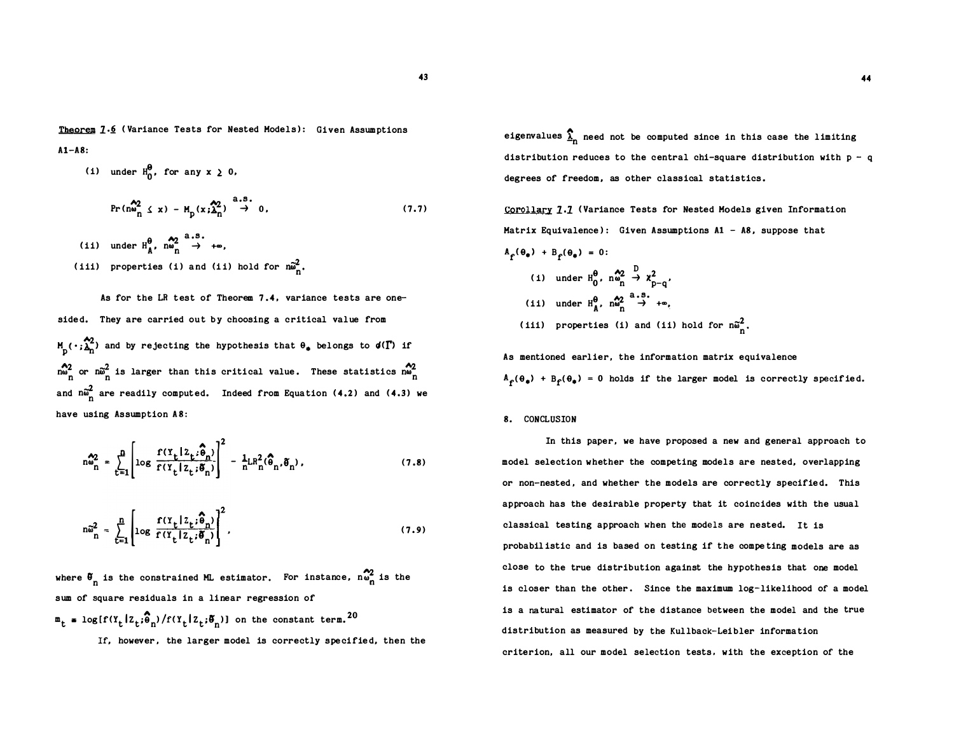Theorem 7.6 (Variance Tests for Nested Models): Given Assumptions  $A1 - A8$ :

(i) under 
$$
H_0^{\theta}
$$
, for any  $x \ge 0$ ,  
\n
$$
\Pr(m_m^{\theta_2} \le x) - M_p(x;\lambda_n^{\theta_2}) \to 0,
$$
\n(iii) under  $H_{\theta}^{\theta}$ ,  $m_m^{\theta_2} \to +\infty$ ,  
\n(iii) properties (i) and (ii) hold for  $m_m^{\theta_2}$ .  
\n(7.7)

As for the LR test of Theorem 7.4, variance tests are onesided. They are carried out by choosing a critical value from  $M_{\rm p}(\cdot;\frac{\Lambda_2}{\Lambda_{\rm n}})$  and by rejecting the hypothesis that  $\theta_*$  belongs to  $d(\Gamma)$  if  $\hat{\mathsf{n}}_{\text{n}}^2$  or  $\hat{\mathsf{n}}_{\text{n}}^2$  is larger than this critical value. These statistics  $\hat{\mathsf{n}}_{\text{n}}^2$ and  $n\tilde{\omega}_{\text{n}}^2$  are readily computed. Indeed from Equation (4.2) and (4.3) we have using Assumption A8:

$$
n\omega_n^2 = \sum_{t=1}^n \left[ \log \frac{f(Y_t | Z_t; \hat{\theta}_n)}{f(Y_t | Z_t; \tilde{\theta}_n)} \right]^2 - \frac{1}{n}LR_n^2(\hat{\theta}_n, \tilde{\theta}_n) ,
$$
 (7.8)

$$
\hat{\omega}_n^2 = \sum_{t=1}^n \left[ \log \frac{f(Y_t | Z_t; \hat{\theta}_n)}{f(Y_t | Z_t; \tilde{\theta}_n)} \right]^2,
$$
\n(7.9)

where  $\theta_n$  is the constrained ML estimator. For instance,  $n\theta_n^2$  is the sum of square residuals in a linear regression of  $\mathbf{m}_t = \log[f(Y_t | Z_t; \widehat{\boldsymbol{\theta}}_n) / f(Y_t | Z_t; \widetilde{\boldsymbol{\theta}}_n)]$  on the constant term.<sup>20</sup>

If, however , the larger model is correctly specified, then the

eigenvalues  $\sum_{n=1}^{\infty}$  need not be computed since in this case the limiting distribution reduces to the central chi-square distribution with  $p - q$ degrees of freedom, as other classical statistics .

Corollary 7.7 (Variance Tests for Nested Models given Information Matrix Equivalence): Given Assumptions  $A1 - AB$ , suppose that

$$
A_{f}(\theta_{*}) + B_{f}(\theta_{*}) = 0:
$$
\n(i) under  $H_{0}^{\theta}$ ,  $n_{m}^{\alpha/2} \rightarrow \chi_{p-q}^{2}$ ,\n  
\n(ii) under  $H_{A}^{\theta}$ ,  $n_{m}^{\alpha/2} \rightarrow +\infty$ ,\n  
\n(iii) properties (i) and (ii) hold for  $n_{m}^{\alpha/2}$ ,

As mentioned earlier, the information matrix equivalence  $A_{\rho}(\theta_{\phi}) + B_{\rho}(\theta_{\phi}) = 0$  holds if the larger model is correctly specified.

#### 8. CONCLUSION

In this paper, we have proposed a new and general approach to model selection whether the competing models are nested, overlapping or non-nested, and whether the models are correctly specified. This approach has the desirable property that it coincides with the usual classical testing approach when the models are nested. It is probabilistic and is based on testing if the competing models are as close to the true distribution against the hypothesis that one model is closer than the other. Since the maximum log-likelihood of a model is a natural estimator of the distance between the model and the true distribution as measured by the Kullback-Leibler information criterion, all our model selection tests , with the exception of the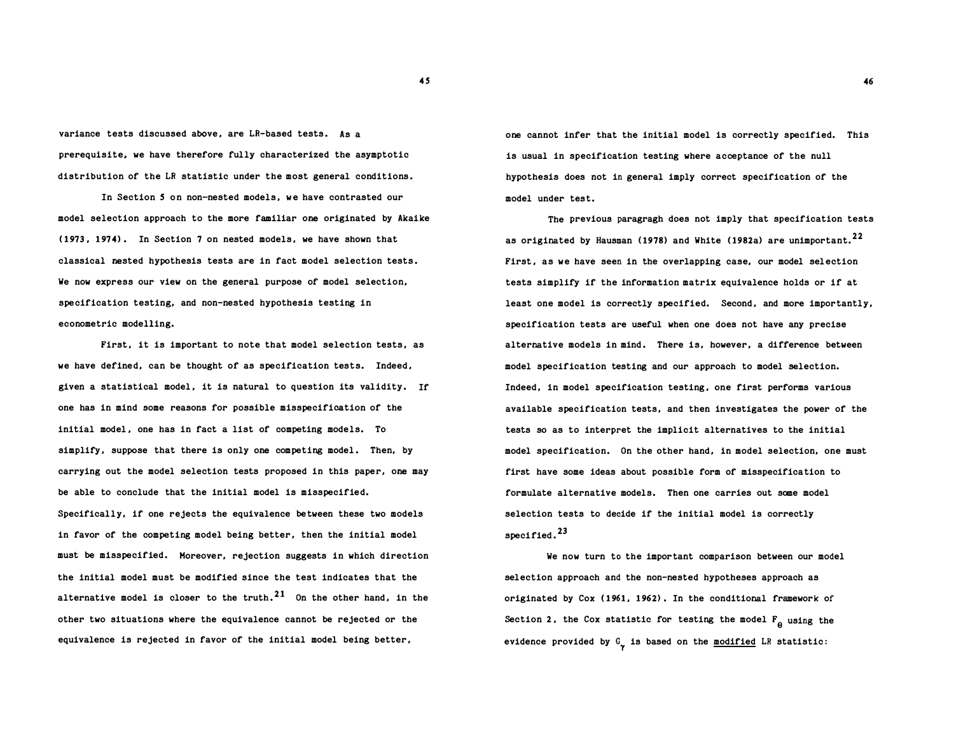variance tests discussed above, are LR-based tests. As a prerequisite, we have therefore fully characterized the asymptotic distribution of the LR statistic under the most general conditions .

In Section S on non-nested models, we have contrasted our model selection approach to the more familiar one originated by Akaike ( 1973, 1 974) . In Section 7 on nested models, we have shown that classical nested hypothesis tests are in fact model selection tests. We now express our view on the general purpose of model selection, specification testing, and non-nested hypothesis testing in econometric modelling.

First, it is important to note that model selection tests, as we have defined, can be thought of as specification tests. Indeed , given a statistical model, it is natural to question its validity. If one has in mind some reasons for possible misspecification of the initial model , one has in fact a list of competing models. To simplify, suppose that there is only one competing model. Then, by carrying out the model selection tests proposed in this paper, one may be able to conclude that the initial model is misspecified. Specifically, if one rejects the equivalence between these two models in favor of the competing model being better, then the initial model must be misspecified. Moreover, rejection suggests in which direction the initial model must be modified since the test indicates that the alternative model is closer to the truth.<sup>21</sup> On the other hand, in the other two situations where the equivalence cannot be rejected or the equivalence is rejected in favor of the initial model being better,

one cannot infer that the initial model is correctly specified. This is usual in specification testing where acceptance of the null hypothesis does not in general imply correct specification of the model under test.

The previous paragragh does not imply that specification tests as originated by Hausman (1978) and White (1982a) are unimportant.<sup>22</sup> First, as we have seen in the overlapping case, our model selection tests simplify if the information matrix equivalence holds or if at least one model is correctly specified. Second, and more importantly, specification tests are useful when one does not have any precise alternative models in mind. There is, however, a difference between model specification testing and our approach to model selection. Indeed, in model specification testing, one first performs various available specification tests, and then investigates the power of the tests so as to interpret the implicit alternatives to the initial model specification. On the other hand, in model selection, one must first have some ideas about possible form of misspecification to formulate alternative models. Then one carries out some model selection tests to decide if the initial model is correctly specified.<sup>23</sup>

We now turn to the important comparison between our model selection approach and the non-nested hypotheses approach as originated by Cox ( 1961, 1 962) . In the conditional framework of Section 2, the Cox statistic for testing the model  $F_{\theta}$  using the evidence provided by  $G_{\mathbf{y}}$  is based on the modified LR statistic: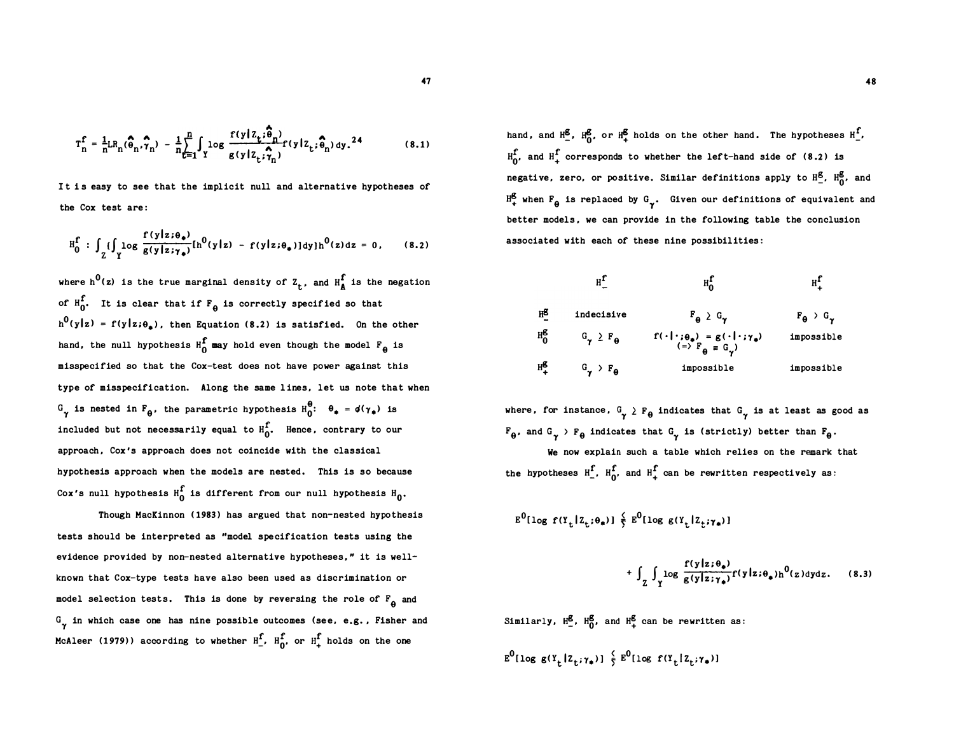$$
T_n^{\mathbf{f}} = \frac{1}{n}LR_n(\widehat{\boldsymbol{\theta}}_n, \widehat{\boldsymbol{\gamma}}_n) - \frac{1}{n}\sum_{t=1}^n \int_Y \log \frac{f(y|z_t; \widehat{\boldsymbol{\theta}}_n)}{g(y|z_t; \widehat{\boldsymbol{\gamma}}_n)} f(y|z_t; \widehat{\boldsymbol{\theta}}_n) dy. \tag{8.1}
$$

It is easy to see that the implicit null and alternative hypotheses of the Cox test are :

$$
H_0^f : \int_{Z} \{ \int_{Y} \log \frac{f(y|z;\theta_*)}{g(y|z;\gamma_*)} \left[ h^0(y|z) - f(y|z;\theta_*) \right] dy \} h^0(z) dz = 0, \qquad (8.2)
$$

where h<sup>o</sup>(z) is the true marginal density of  $z_t$ , and  $H^4_A$  is the negation of  $H_0^f$ . It is clear that if  $F_a$  is correctly specified so that  $h^0(y|z) = f(y|z;\theta_a)$ , then Equation (8.2) is satisfied. On the other hand, the null hypothesis  $H_0^f$  may hold even though the model  $F_q$  is misspecified so that the Cox-test does not have power against this type of misspecification. Along the same lines, let us note that when  $G_{\gamma}$  is nested in  $F_{\theta}$ , the parametric hypothesis  $H_0^{\theta}$ :  $\theta_{\bullet} = \phi(\gamma_{\bullet})$  is included but not necessarily equal to  $H_{\alpha}^{\prime}$ . Hence, contrary to our approach , Cox 's approach does not coincide with the classical hypothesis approach when the models are nested. This is so because Cox's null hypothesis  $H_0^+$  is different from our null hypothesis  $H_0$ .

Though HacKinnon (1983) has argued that non-nested hypothesis tests should be interpreted as "model specification tests using the evidence provided by non-nested alternative hypotheses," it is wellknown that Cox-type tests have also been used as discrimination or model selection tests. This is done by reversing the role of  $\mathbb{F}_{\Theta}^+$  and G<sub>raph</sub> in which case one has nine possible outcomes (see, e.g., Fisher and McAleer (1979)) according to whether  $H_$ f.  $H_0^f$ , or  $H_+^f$  holds on the one

hand, and  $H_2^g$ ,  $H_0^g$ , or  $H_+^g$  holds on the other hand. The hypotheses  $H_-.^f$ ,  $H_{n'}^{\hat{\Gamma}}$  and  $H_{+}^{\hat{\Gamma}}$  corresponds to whether the left-hand side of (8.2) is negative, zero, or positive. Similar definitions apply to  $H_2^g$ ,  $H_0^g$ , and  $H^{\mathbf{g}}_{+}$  when  $F_{\theta}$  is replaced by  $G_{\gamma}$ . Given our definitions of equivalent and better models, we can provide in the following table the conclusion associated with each of these nine possibilities :

|         | H,                           |                                                                                        | H,                          |
|---------|------------------------------|----------------------------------------------------------------------------------------|-----------------------------|
| нβ      | indecisive                   | $F_{\theta} \geq G_{\gamma}$                                                           | $F_{\theta}$ > $G_{\gamma}$ |
| $H_0^g$ | $G_{\gamma} \geq F_{\theta}$ | $f(\cdot \cdot;\theta_*) = g(\cdot \cdot;\gamma_*)$<br>(=> $F_{\theta} = G_{\gamma}$ ) | impossible                  |
| $H_8^T$ | $G_{\gamma}$ > $F_{\theta}$  | impossible                                                                             | impossible                  |

where, for instance,  $G_{\gamma} \geq F_{\theta}$  indicates that  $G_{\gamma}$  is at least as good as  $F_{\theta}$ , and  $G_{\gamma}$  >  $F_{\theta}$  indicates that  $G_{\gamma}$  is (strictly) better than  $F_{\theta}$ .

We now explain such a table which relies on the remark that the hypotheses  $H_1^f$ ,  $H_0^f$ , and  $H_+^f$  can be rewritten respectively as:

$$
\mathbf{E}^0[\log f(\mathbf{Y}_t|\mathbf{Z}_t;\boldsymbol{\theta}_*)] \overset{\zeta}{\underset{\gamma}{\sum}} \mathbf{E}^0[\log g(\mathbf{Y}_t|\mathbf{Z}_t;\boldsymbol{\gamma}_*)]
$$

$$
+ \int_{Z} \int_{Y} \log \frac{f(y|z;\theta_{*})}{g(y|z;\gamma_{*})} f(y|z;\theta_{*}) h^{0}(z) dy dz.
$$
 (8.3)

Similarly,  $H_2^g$ ,  $H_0^g$  $\frac{g}{g}$ ,  $H_0^g$ , and  $H_+^g$  can be rewritten as:

$$
\mathbf{E}^0[\log \mathbf{g}(\mathbf{Y}_t|\mathbf{Z}_t;\boldsymbol{\gamma}_\bullet)] \stackrel{\zeta}{\underset{\gamma}{\xi}} \mathbf{E}^0[\log \mathbf{f}(\mathbf{Y}_t|\mathbf{Z}_t;\boldsymbol{\gamma}_\bullet)]
$$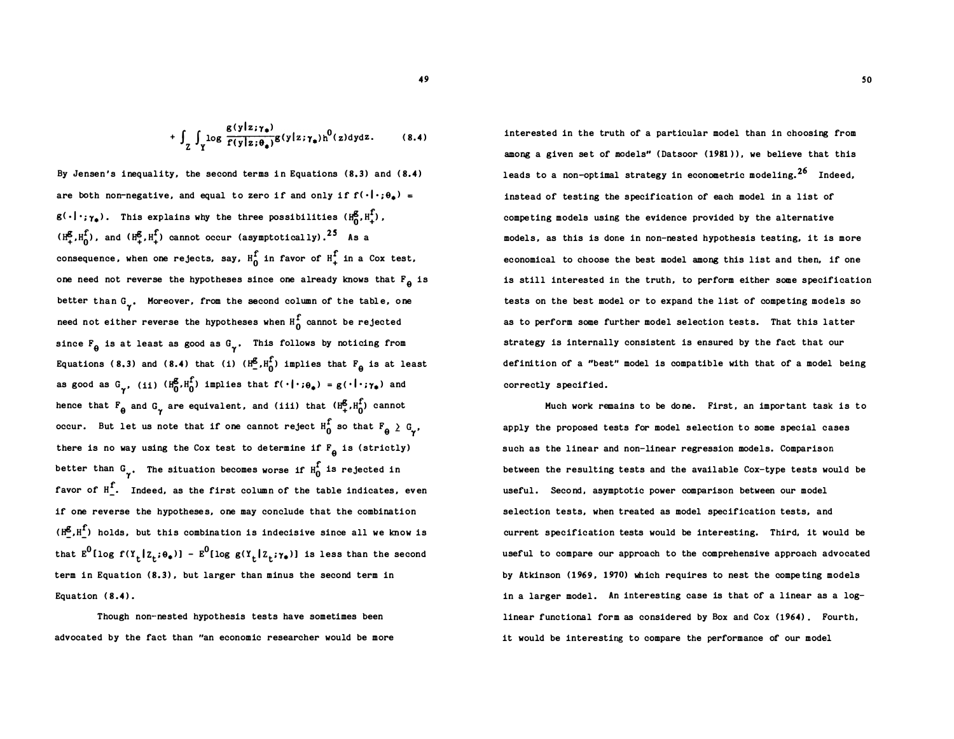$$
+ \int_{Z} \int_{Y} \log \frac{g(y|z;\gamma_{*})}{f(y|z;\theta_{*})} g(y|z;\gamma_{*}) h^{0}(z) dy dz.
$$
 (8.4)

By Jensen's inequality, the second terms in Equations  $(8.3)$  and  $(8.4)$ are both non-negative, and equal to zero if and only if  $f(\cdot|\cdot;\theta_{\bf a})$  =  $g(\cdot|\cdot;\gamma_{\bullet})$ . This explains why the three possibilities  $(H_0^{\bullet}, H_+^{\bullet})$ ,  $(H^g, H^1)$ , and  $(H^g, H^1)$  cannot occur (asymptotically).<sup>25</sup> As a consequence, when one rejects, say,  $H_0^f$  in favor of  $H_+^f$  in a Cox test, one need not reverse the hypotheses since one already knows that  $F_{\theta}$  is better than  $G_{\gamma}$ . Moreover, from the second column of the table, one need not either reverse the hypotheses when  $H_0^f$  cannot be rejected since  $F_{\theta}$  is at least as good as  $G_{\gamma}$ . This follows by noticing from Equations (8.3) and (8.4) that (i)  $(H_2^g, H_0^f)$  implies that  $F_q$  is at least as good as  $G_{\gamma}$ , (ii)  $(H_0^{\sigma}, H_0^{\bullet})$  implies that  $f(\cdot | \cdot; \theta_{\bullet}) = g(\cdot | \cdot; \gamma_{\bullet})$  and hence that  $F_{\theta}$  and  $G_{\gamma}$  are equivalent, and (iii) that  $(H^{\beta}_{+}, H^{\alpha}_{0})$  cannot occur. But let us note that if one cannot reject  $\texttt{H}^\star_\mathbf{0}$  so that  $\texttt{F}_\mathbf{\theta} \geq \texttt{G}_{\pmb{\gamma^\star}}$ there is no way using the Cox test to determine if  $F_{\theta}$  is (strictly) better than  $G_{\gamma}$ . The situation becomes worse if  $H_0^{\Gamma}$  is rejected in favor of  $H_$ . Indeed, as the first column of the table indicates, even if one reverse the hypotheses, one may conclude that the combination  $(H^g, H^f)$  holds, but this combination is indecisive since all we know is that  $E^0$ [log f(Y<sub>t</sub>|Z<sub>t</sub>; $\theta_*)$ ] -  $E^0$ [log g(Y<sub>t</sub>|Z<sub>t</sub>; $\gamma_*)$ ] is less than the second term in Equation  $(8.3)$ , but larger than minus the second term in Equation  $(8.4)$ .

Though non-nested hypothesis tests have sometimes been advocated by the fact than "an economic researcher would be more

interested in the truth of a particular model than in choosing from among a given set of models" ( Datsoor (1981)), we believe that this leads to a non-optimal strategy in econometric modeling.<sup>26</sup> Indeed, instead of testing the specification of each model in a list of competing models using the evidence provided by the alternative models, as this is done in non-nested hypothesis testing, it is more economical to choose the best model among this list and then, if one is still interested in the truth, to perform either some specification tests on the best model or to expand the list of competing models so as to perform some further model selection tests. That this latter strategy is internally consistent is ensured by the fact that our definition of a "best" model is compatible with that of a model being correctly specified .

Much work remains to be done. First, an important task is to apply the proposed tests for model selection to some special cases such as the linear and non-linear regression models. Comparison between the resulting tests and the available Cox-type tests would be useful. Second, asymptotic power comparison between our model selection tests, when treated as model specification tests, and current specification tests would be interesting. Third, it would be useful to compare our approach to the comprehensive approach advocated by Atkinson (1969, 1970) which requires to nest the competing models in a larger model. An interesting case is that of a linear as a  $log$ linear functional form as considered by Box and Cox (1964) . Fourth , it would be interesting to compare the performance of our model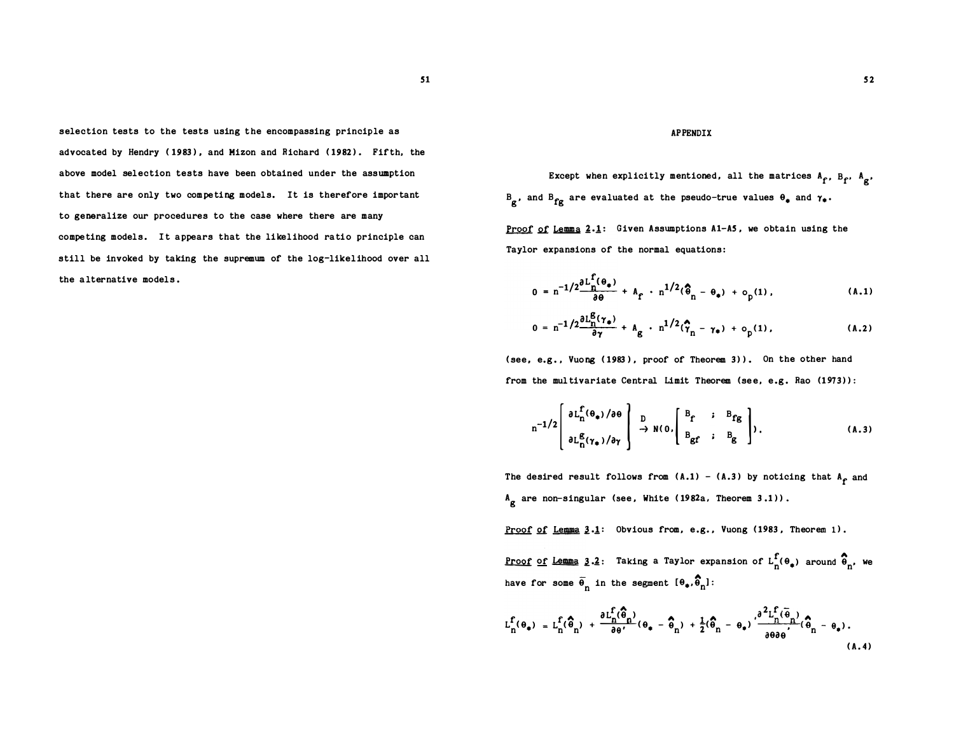selection tests to the tests using the encompassing principle as advocated by Hendry (1983), and Mizon and Richard (1982). Fifth, the above model selection tests have been obtained under the assumption that there are only two competing models. It is therefore important to generalize our procedures to the case where there are many competing models. It appears that the likelihood ratio principle can still be invoked by taking the supremum of the log-likelihood over all the alternative models.

#### APPENDIX

Except when explicitly mentioned, all the matrices  $A_f$ ,  $B_f$ ,  $A_g$ ,  $B_{\bf g}$ , and  $B_{\bf fg}$  are evaluated at the pseudo-true values  $\theta_{\bf g}$  and  $\gamma_{\bf g}$ .

Proof of Lemma  $2.1$ : Given Assumptions A1-A5, we obtain using the Taylor expansions of the normal equations :

$$
0 = n^{-1/2} \frac{\partial L_n^{\Gamma}(\theta_*)}{\partial \theta} + A_{\hat{\Gamma}} \cdot n^{1/2}(\hat{\theta}_n - \theta_*) + o_p(1), \qquad (A.1)
$$

$$
0 = n^{-1/2} \frac{\partial L_n^B(\gamma_*)}{\partial \gamma} + A_g \cdot n^{1/2}(\hat{\gamma}_n - \gamma_*) + o_p(1), \qquad (A.2)
$$

(see, e.g., Vuong (1983), proof of Theorem 3)). On the other hand from the multivariate Central Limit Theorem (see, e.g. Rao (1973)):

$$
n^{-1/2}\left[\begin{array}{c}\n\partial L_n^{\mathbf{f}}(\theta_\bullet)/\partial \theta \\
\partial L_n^{\mathbf{g}}(\gamma_\bullet)/\partial \gamma\n\end{array}\right] \xrightarrow{D} N(0, \left[\begin{array}{ccc} B_f & ; & B_{fg} \\ B_{gf} & ; & B_{g} \end{array}\right]),
$$
\n(A.3)

The desired result follows from  $(A.1)$  -  $(A.3)$  by noticing that  $A_f$  and  $A_g$  are non-singular (see, White (1982a, Theorem 3.1)).

Proof of Lemma  $3.1$ : Obvious from, e.g., Vuong (1983, Theorem 1).

<u>Proof of Lemma</u> 3.2: Taking a Taylor expansion of  $L_n^f(\theta_*)$  around  $\hat{\theta}_n$ , we have for some  $\overline{\Theta}_n$  in the segment  $\overline{\Theta}_*$ ,  $\overline{\Theta}_n$ ]:

$$
L_n^f(\theta_*) = L_n^f(\widehat{\theta}_n) + \frac{\partial L_n^f(\widehat{\theta}_n)}{\partial \theta'}(\theta_* - \widehat{\theta}_n) + \frac{1}{2}(\widehat{\theta}_n - \theta_*) \cdot \frac{\partial^2 L_n^f(\widehat{\theta}_n)}{\partial \theta \partial \theta'}(\widehat{\theta}_n - \theta_*).
$$
\n(A.4)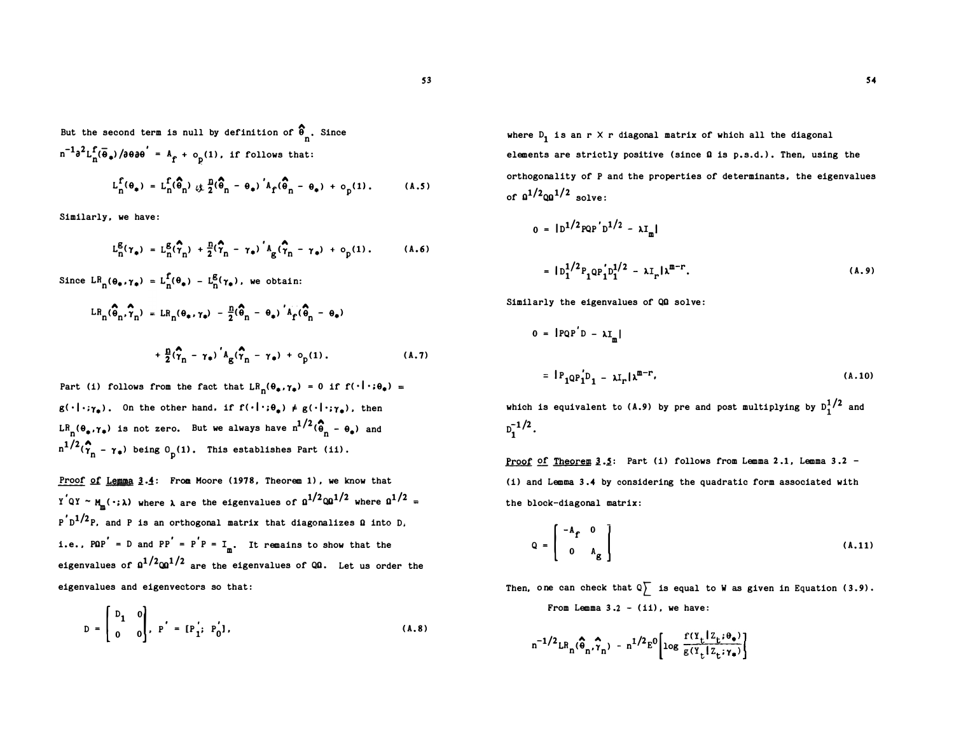But the second term is null by definition of  $\widehat{\Phi}_{n}$ . Since  $n^{-1} \partial^2 L_n^f(\overline{\Theta}_*) / \partial \theta \partial \theta' = A_f + o_p$  $\mathbf{p}^{(1)}$ , if follows that:  $L_n^f(\theta_a) = L_n^f(\hat{\theta}_n) + \frac{n}{2}(\hat{\theta}_n - \theta_a)' A_f(\hat{\theta}_n - \theta_a) + o$ (1).  $(A.5)$ 

Similarly, we have:

$$
L_{n}^{g}(\gamma_{\bullet}) = L_{n}^{g}(\widehat{\gamma}_{n}) + \frac{n}{2}(\widehat{\gamma}_{n} - \gamma_{\bullet})' A_{g}(\widehat{\gamma}_{n} - \gamma_{\bullet}) + o_{p}(1).
$$
 (A.6)

p

Since  $LR_n(\theta_* , \gamma_*) = L_n^f(\theta_*) - L_n^g(\gamma_*)$ , we obtain:

$$
LR_{n}(\widehat{\theta}_{n}, \widehat{\gamma}_{n}) = LR_{n}(\theta_{\ast}, \gamma_{\ast}) - \frac{n}{2}(\widehat{\theta}_{n} - \theta_{\ast})'A_{f}(\widehat{\theta}_{n} - \theta_{\ast})
$$

$$
+ \frac{n}{2}(\widehat{\gamma}_{n} - \gamma_{\ast})'A_{g}(\widehat{\gamma}_{n} - \gamma_{\ast}) + o_{p}(1). \qquad (A.7)
$$

Part (i) follows from the fact that  $LR_n(\theta_*,\gamma_*) = 0$  if  $f(\cdot|\cdot;\theta_*) =$  $g(\cdot|\cdot; \gamma_{\bullet})$ . On the other hand, if  $f(\cdot|\cdot; \theta_{\bullet}) \neq g(\cdot|\cdot; \gamma_{\bullet})$ , then<br>LR<sub>-</sub>( $\theta_{\bullet}, \gamma_{\bullet}$ ) is not zero. But we always have  $n^{1/2}(\hat{\theta}_{\bullet} - \theta_{\bullet})$  and  $g(\cdot|\cdot;\gamma_a)$ . On the other hand, if  $f(\cdot|\cdot;\theta_a) \neq g(\cdot|\cdot;\gamma_a)$ , then  $LR_n(\theta_*, \gamma_*)$  is not zero. But we always have  $n^{1/2}(\hat{\theta}_n - \theta_*)$  and  $n^{1/2}(\hat{\gamma}_n - \gamma_*)$  being 0 (1). This establishes Part (ii).  $n^{1/2}(\gamma_n - \gamma_*)$  being 0 p(1). This establishes Part (ii).

Proof of Lemma 3.4: From Moore (1978, Theorem 1), we know that<br>Y<sup>'</sup>QY ~ M (...) where a are the eigenvalues of  $9^{1/2}00^{1/2}$  where 9  $\frac{y_1 y_2 y_3}{x_1 y_1 y_2 y_3}$  where  $\lambda$  are the eigenvalues of  $\Omega^{1/2}$   $\Omega^{1/2}$  where  $\Omega^{1/2}$  =<br> $\frac{p' D^{1/2} P}{x_1 y_1 y_2 y_3}$ , and P is an orthogonal matrix that diagonalizes 0 into D.  $p'D^{1/2}P$ , and P is an orthogonal matrix that diagonalizes 0 into D,<br>i.e., POP' = D and PP' = P'P = I, It remains to show that the i.e., PQP' = D and PP' = P'P =  $I_m$ . It remains to show that the eigenvalues of  $a^{1/2}$  $a^{1/2}$  are the eigenvalues of QQ. Let us order the eigenvalues and eigenvectors so that:  $\overline{\mathbf{1}}$ eigenvalues and eigenvectors so that:

$$
D = \begin{bmatrix} D_1 & 0 \\ 0 & 0 \end{bmatrix}, P' = [P'_1; P'_0],
$$
 (A.8)

where  $D_1$  is an r X r diagonal matrix of which all the diagonal<br>elements are strictly positive (since 0 is p.s.d.). Then, using the elements are strictly positive (since **Q** is p.s.d.). Then, using the<br>orthogonality of P and the properties of determinants, the eigenval orthogonality of P and the properties of determinants, the eigenvalues<br>of  $a^{1/2}$  $\omega^{1/2}$  solve: of  $a^{1/2}$ q $a^{1/2}$  solve: 1

$$
0 = |D^{1/2}PQP'D^{1/2} - \lambda I_m|
$$
  
=  $|D_1^{1/2}P_1QP'_1D_1^{1/2} - \lambda I_r|\lambda^{m-r}$ . (A.9)

Similarly the eigenvalues of QQ solve:

$$
0 = |PQP'D - \lambda I_m|
$$
  
=  $|P_1QP'_1D_1 - \lambda I_r|\lambda^{m-r}$ , (A.10)  
is equivalent to (A.9) by pre and post multiplying by  $D^{1/2}$  and

which is equivalent to (A.9) by pre and post multiplying by  $D_1^{1/2}$  and  $D_1^{-1/2}$ .  $D_1^{-1/2}$ .  $\frac{1}{2}$ .<br>roof

<u>Proof of Theorem 3.5</u>: Part (i) follows from Lemma 2.1, Lemma 3.2 -<br>(i) and Lemma 3.4 by considering the quadratic form associated with (i) and Lemma 3.4 by considering the quadratic form associated with the block-diagonal matrix :

$$
Q = \begin{bmatrix} -A_f & 0 \\ 0 & A_g \end{bmatrix}
$$
 (A.11)

Then, one can check that  $\mathbb{Q}$  is equal to W as given in Equation (3.9). From Lemma  $3.2 - (ii)$ , we have:

$$
n^{-1/2}LR_n(\hat{\theta}_n, \hat{\gamma}_n) - n^{1/2}E^0 \left[ \log \frac{f(\Upsilon_t | Z_t; \theta_*)}{g(\Upsilon_t | Z_t; \gamma_*)} \right]
$$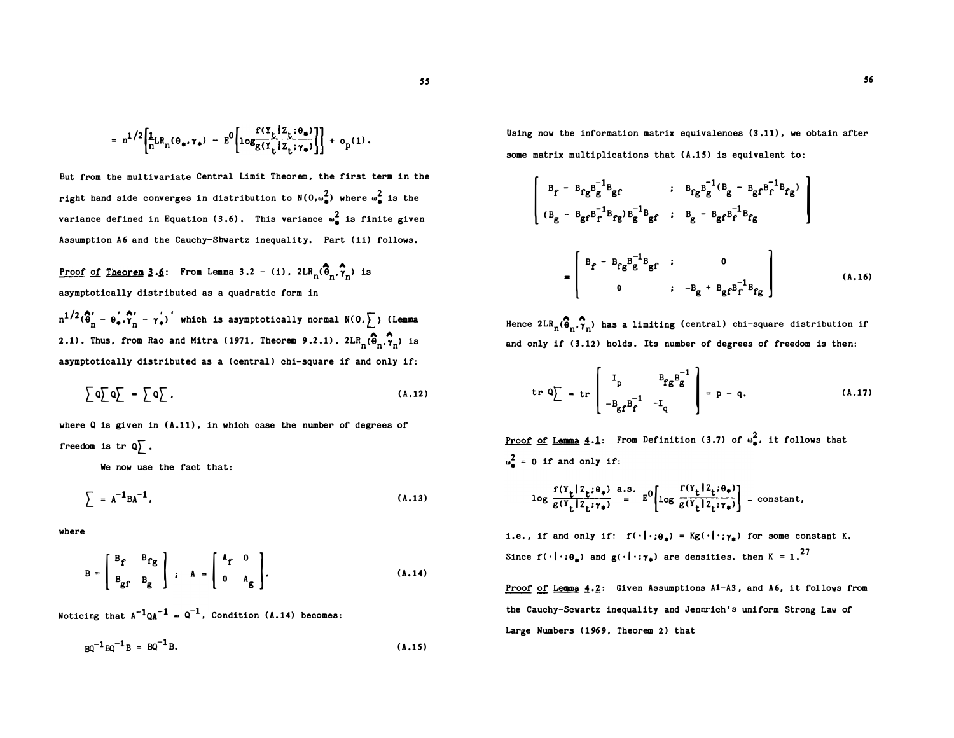$$
= n^{1/2} \left[ \frac{1}{n}LR_n(\theta_{\bullet}, \gamma_{\bullet}) - E^0 \left[ log \frac{f(Y_t|Z_t; \theta_{\bullet})}{g(Y_t|Z_t; \gamma_{\bullet})} \right] \right] + o_p(1).
$$

But from the multivariate Central Limit Theorem, the first term in the right hand side converges in distribution to  $N(0,\omega_{\frac{1}{2}}^2)$  where  $\omega_{\frac{1}{2}}^2$  is the variance defined in Equation (3.6). This variance  $\omega_{\pm}^2$  is finite given Assumption A6 and the Cauchy-Shwartz inequality. Part (ii) follows.

<u>Proof of Theorem 3.6</u>: From Lemma 3.2 - (i),  $2LR_n(\hat{\theta}_n, \hat{\gamma}_n)$  is asymptotically distributed as a quadratic form in

 $n^{1/2}(\hat{\theta}'_n - \theta'_*, \hat{\theta}'_n - \gamma'_*)$  which is asymptotically normal  $N(0, \sum)$  (Lemma 2.1). Thus, from Rao and Mitra (1971, Theorem 9.2.1),  $2LR_n(\hat{\theta}_n, \hat{\gamma}_n)$  is asymptotically distributed as a (central) chi-square if and only if:

$$
\sum Q \sum Q \sum = \sum Q \sum , \qquad (A.12)
$$

where  $Q$  is given in  $(A.11)$ , in which case the number of degrees of freedom is tr  $\mathbb{Q}$ .

We now use the fact that:

$$
\sum = A^{-1}BA^{-1},
$$
 (A.13)

where

$$
B = \begin{bmatrix} B_f & B_{fg} \\ B_{gf} & B_g \end{bmatrix}; \quad A = \begin{bmatrix} A_f & 0 \\ 0 & A_g \end{bmatrix}.
$$
\n(A.14)

Noticing that  $A^{-1}QA^{-1} = Q^{-1}$ , Condition (A.14) becomes:

$$
BQ^{-1}BQ^{-1}B = BQ^{-1}B.
$$
 (A.15)

Using now the information matrix equivalences (3 .11) , we obtain after some matrix multiplications that (A.15) is equivalent to:

$$
\begin{bmatrix}\nB_f - B_{fg}B_g^{-1}B_{gf} & ; & B_{fg}B_g^{-1}(B_g - B_{gf}B_f^{-1}B_{fg}) \\
(B_g - B_{gf}B_f^{-1}B_{fg})B_g^{-1}B_{gf} & ; & B_g - B_{gf}B_f^{-1}B_{fg} \\
\end{bmatrix}
$$
\n
$$
= \begin{bmatrix}\nB_f - B_{fg}B_g^{-1}B_{gf} & ; & 0 \\
0 & ; & -B_g + B_{gf}B_f^{-1}B_{fg}\n\end{bmatrix}
$$
\n(A.16)\n  
\n2LR<sub>n</sub>( $\hat{\theta}_n, \hat{\gamma}_n$ ) has a limiting (central) chi-square distribution if  
\nnhy if (3.12) holds. Its number of degrees of freedom is then:

Hence  $2LR_{n}(\hat{\theta}_{n}, \hat{\gamma}_{n})$  has a limiting (central) chi-square distribution if and only if (3.12) holds. Its number of degrees of freedom is then:

$$
\text{tr } Q \Big[ = \text{tr} \left[ \begin{array}{cc} I_p & B_{fg} B_g^{-1} \\ -B_{gf} B_f^{-1} & -I_q \end{array} \right] = p - q. \tag{A.17}
$$

Proof of Lemma 4.1: From Definition (3.7) of  $\omega_{\bullet}^2$ , it follows that  $\omega_{\bullet}^{2}$  = 0 if and only if:

$$
\log \frac{f(Y_t | Z_t; \theta_*)}{g(Y_t | Z_t; \gamma_*)} \stackrel{\text{a.s.}}{=} E^0 \left[ \log \frac{f(Y_t | Z_t; \theta_*)}{g(Y_t | Z_t; \gamma_*)} \right] = \text{constant},
$$

i.e., if and only if:  $f(\cdot|\cdot;\theta_*) = Kg(\cdot|\cdot;\gamma_*)$  for some constant K. Since  $f(\cdot|\cdot;\theta_{\bullet})$  and  $g(\cdot|\cdot;\gamma_{\bullet})$  are densities, then  $K = 1.$ <sup>27</sup>

Proof of Lemma 4.2: Given Assumptions A1-A3, and A6, it follows from the Cauchy-Scwartz inequality and Jennrich's uniform Strong Law of Large Numbers (1969, Theorem 2) that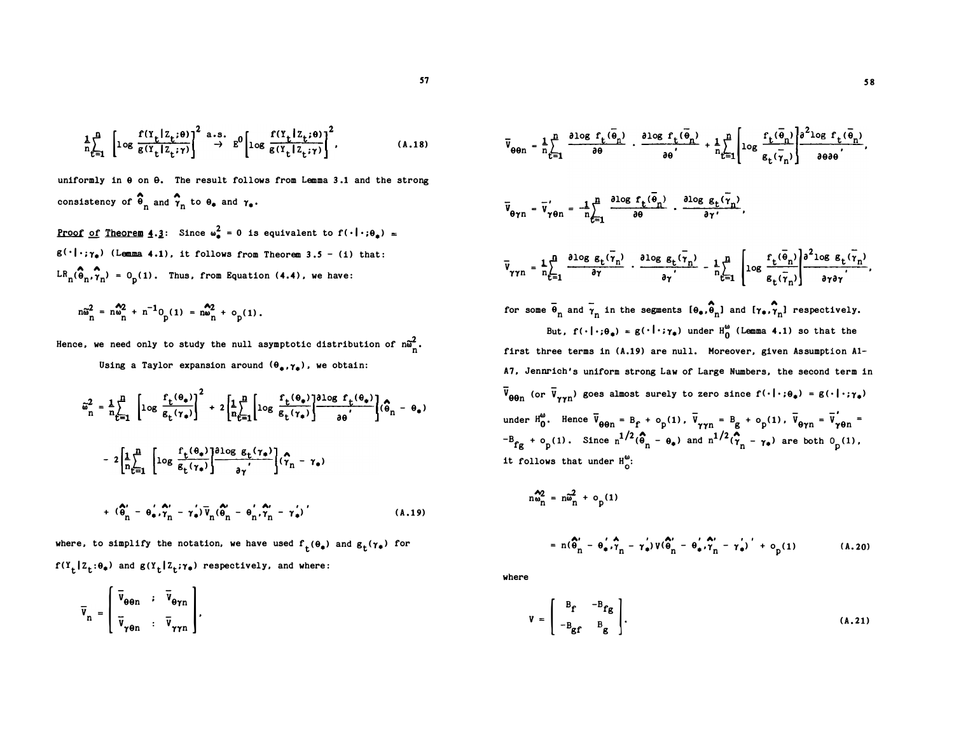$$
\frac{1}{n} \sum_{t=1}^{n} \left[ \log \frac{f(Y_t | Z_t; \theta)}{g(Y_t | Z_t; \gamma)} \right]^2 \xrightarrow{a.s.} E^0 \left[ \log \frac{f(Y_t | Z_t; \theta)}{g(Y_t | Z_t; \gamma)} \right]^2,
$$
\n(A.18)

uniformly in  $\theta$  on  $\theta$ . The result follows from Lemma 3.1 and the strong consistency of  $\widehat{\Theta}_n$  and  $\widehat{\gamma}_n$  to  $\Theta_{\bullet}$  and  $\gamma_{\bullet}$ .

<u>Proof of Theorem 4.3</u>: Since  $\omega_{\bullet}^2 = 0$  is equivalent to  $f(\cdot | \cdot; \theta_{\bullet}) =$  $g(\cdot | \cdot; \gamma_*)$  (Lemma 4.1), it follows from Theorem 3.5 - (i) that:  $LR_{n}(\hat{\theta}_{n}, \hat{\theta}_{n}) = 0$  (1). Thus, from Equation (4.4), we have:

$$
n\tilde{\omega}_n^2 = n\omega_n^2 + n^{-1}0 p(1) = n\omega_n^2 + o_p(1).
$$

Hence, we need only to study the null asymptotic distribution of  $n\tilde{\omega}_n^2$ . Using a Taylor expansion around  $(\theta_*, \gamma_*)$ , we obtain:

$$
\tilde{\omega}_{n}^{2} = \frac{1}{n} \sum_{t=1}^{n} \left[ \log \frac{f_{t}(\theta_{*})}{g_{t}(\gamma_{*})} \right]^{2} + 2 \left[ \frac{1}{n} \sum_{t=1}^{n} \left[ \log \frac{f_{t}(\theta_{*})}{g_{t}(\gamma_{*})} \right] \frac{\partial \log f_{t}(\theta_{*})}{\partial \theta} \right] (\hat{\theta}_{n} - \theta_{*})
$$

$$
- 2 \left[ \frac{1}{n} \sum_{t=1}^{n} \left[ \log \frac{f_{t}(\theta_{*})}{g_{t}(\gamma_{*})} \right] \frac{\partial \log g_{t}(\gamma_{*})}{\partial \gamma'} \right] (\hat{\gamma}_{n} - \gamma_{*})
$$

$$
+ (\hat{\theta}_{n} - \theta_{*}, \hat{\gamma}_{n} - \gamma_{*}) \bar{v}_{n} (\hat{\theta}_{n} - \theta_{n}^{'} , \hat{\gamma}_{n} - \gamma_{*})' \qquad (A.19)
$$

where, to simplify the notation, we have used  $f_t(\theta_*)$  and  $g_t(\gamma_*)$  for  $f(Y_t | Z_t; \theta_*)$  and  $g(Y_t | Z_t; \gamma_*)$  respectively, and where:

$$
\overline{v}_n = \begin{bmatrix} \overline{v}_{\theta \theta n} & ; & \overline{v}_{\theta \gamma n} \\ \overline{v}_{\gamma \theta n} & ; & \overline{v}_{\gamma \gamma n} \end{bmatrix},
$$

$$
\overline{V}_{\theta\theta n} = \frac{1}{n} \sum_{t=1}^{n} \frac{\partial \log f_t(\overline{\theta}_n)}{\partial \theta} \cdot \frac{\partial \log f_t(\overline{\theta}_n)}{\partial \theta'} + \frac{1}{n} \sum_{t=1}^{n} \left[ \log \frac{f_t(\overline{\theta}_n)}{g_t(\overline{\gamma}_n)} \right] \frac{\partial^2 \log f_t(\overline{\theta}_n)}{\partial \theta \partial \theta'},
$$
\n
$$
\overline{V}_{\theta\gamma n} = \overline{V}_{\gamma\theta n} = -\frac{1}{n} \sum_{t=1}^{n} \frac{\partial \log f_t(\overline{\gamma}_n)}{\partial \theta} \cdot \frac{\partial \log g_t(\overline{\gamma}_n)}{\partial \gamma'},
$$
\n
$$
\overline{V}_{\gamma\gamma n} = \frac{1}{n} \sum_{t=1}^{n} \frac{\partial \log g_t(\overline{\gamma}_n)}{\partial \gamma} \cdot \frac{\partial \log g_t(\overline{\gamma}_n)}{\partial \gamma'} - \frac{1}{n} \sum_{t=1}^{n} \left[ \log \frac{f_t(\overline{\theta}_n)}{g_t(\overline{\gamma}_n)} \right] \frac{\partial^2 \log g_t(\overline{\gamma}_n)}{\partial \gamma \partial \gamma'},
$$
\nfor some  $\overline{\theta}_n$  and  $\overline{\gamma}_n$  in the segments  $[0_*, \theta_n]$  and  $[ \gamma_*, \gamma_n]$  respectively.  
\nBut,  $f(\cdot | \cdot; \theta_0) = g(\cdot | \cdot; \gamma_0)$  under  $H_0^{\omega}$  (Lemma 4.1) so that the first three terms in (A.19) are null. Moreover, given Assumption A1-  
\nA7, Jennifer's uniform strong Law of Large Numbers, the second term in  $\overline{V}_{\theta\theta n}$  (or  $\overline{V}_{\gamma\gamma n}$ ) goes almost surely to zero since  $f(\cdot | \cdot; \theta_0) = g(\cdot | \cdot; \gamma_0)$   
\nunder  $H_0^{\omega}$ . Hence  $\overline{V}_{\theta\theta n} = B_f + o_p(1)$ ,  $\overline{V}_{\gamma\gamma n} = B_g + o_p(1)$ ,  $\overline{V}_{\theta\gamma n} = \overline{V}_{\gamma\theta n} = -B_{fg} + o_p(1)$ . Since  $n^{1/2}(\theta_n - \theta_$ 

 $n\omega_n^2 = n\widetilde{\omega}_n^2 + o_p(1)$ =  $n(\hat{\theta}_n' - \theta_{\bullet}', \hat{\tau}_n - \tau_{\bullet}') V(\hat{\theta}_n' - \theta_{\bullet}', \hat{\tau}_n' - \tau_{\bullet}')' + o_p(1)$ 

where

$$
V = \begin{bmatrix} B_f & -B_{fg} \\ -B_{gf} & B_g \end{bmatrix}.
$$
 (A.21)

 $(A.20)$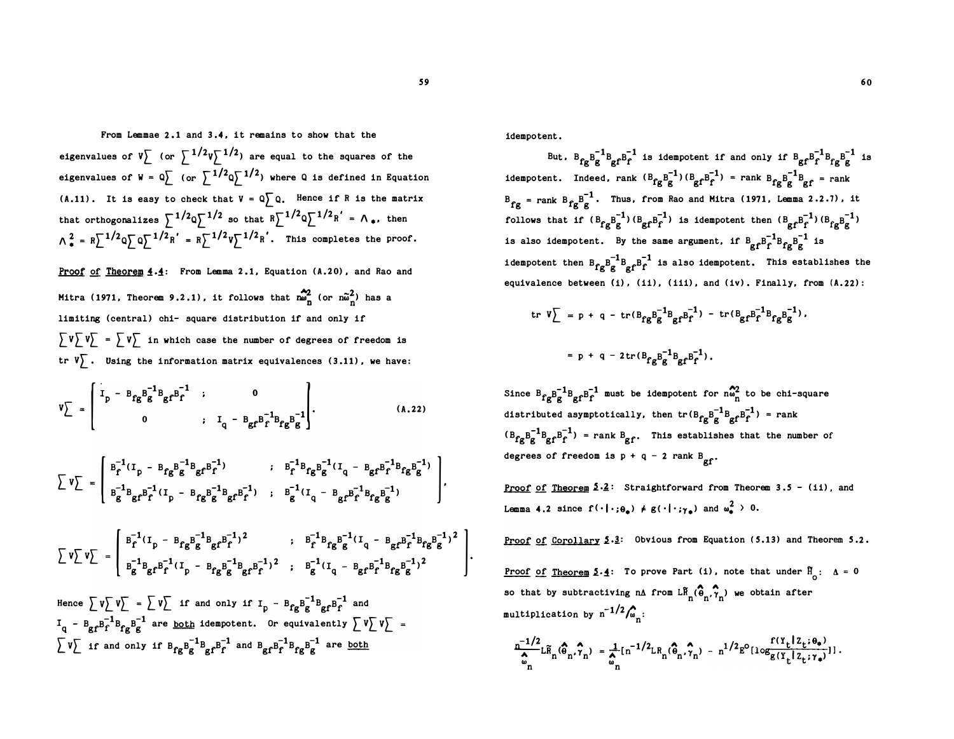From Lemmae 2 .1 and 3 .4. it remains to show that the eigenvalues of  $V \left[ \right.$  (or  $\sum 1/2V \left[ \right. ^{-1/2} \right)$  are equal to the squares of the eigenvalues of  $W = Q \left[\begin{array}{cc} 1/2 & 1/2 \\ 0 & \end{array}\right]$  where Q is defined in Equation (A.11). It is easy to check that  $V = Q \bigcap Q$ . Hence if R is the matrix that orthogonalizes  $\sum_{i=1}^{n} 1/2 \sqrt{n} \sum_{i=1}^{n} 1/2 \sqrt{n} = \sqrt{n} \cdot \frac{1}{2}$  then  $\Lambda_e^2 = R \sum^{1/2} Q \sum^{1/2} R' = R \sum^{1/2} V \sum^{1/2} R'.$  This completes the proof.

Proof of Theorem 4.4: From Lemma 2.1, Equation (A.20), and Rao and Mitra (1971, Theorem 9.2.1), it follows that  $\sum_{n=0}^{N/2}$  (or  $n\tilde{\omega}_n^2$ ) has a limiting (central) chi- square distribution if and only if  $\int V \overline{V} = \int V \overline{V}$  in which case the number of degrees of freedom is tr  $V\left\{ \right.$  Using the information matrix equivalences (3.11), we have:

$$
V_{\perp} = \begin{bmatrix} I_{p} - B_{fg} B_{g}^{-1} B_{gf} B_{f}^{-1} & 0 \\ 0 & 0 & I_{q} - B_{gf} B_{f}^{-1} B_{fg} B_{g}^{-1} \end{bmatrix} . \tag{A.22}
$$

$$
\sum v \sum = \left[\begin{array}{cccc} B_{f}^{-1}(I_{p} - B_{fg}B_{g}^{-1}B_{gf}B_{f}^{-1}) & ; & B_{f}^{-1}B_{fg}B_{g}^{-1}(I_{q} - B_{gf}B_{f}^{-1}B_{fg}B_{g}^{-1}) \\ B_{g}^{-1}B_{gf}B_{f}^{-1}(I_{p} - B_{fg}B_{g}^{-1}B_{gf}B_{f}^{-1}) & ; & B_{g}^{-1}(I_{q} - B_{gf}B_{f}^{-1}B_{fg}B_{g}^{-1}) \end{array}\right],
$$

$$
\sum v \sum v = \begin{bmatrix} B_f^{-1}(I_p - B_{fg}B_g^{-1}B_{gf}P_f^{-1})^2 & ; & B_f^{-1}B_{fg}B_g^{-1}(I_q - B_{gf}P_f^{-1}B_{fg}B_g^{-1})^2 \\ B_g^{-1}B_{gf}B_f^{-1}(I_p - B_{fg}B_g^{-1}B_{gf}P_f^{-1})^2 & ; & B_g^{-1}(I_q - B_{gf}B_f^{-1}B_{fg}B_g^{-1})^2 \end{bmatrix}.
$$

Hence  $\sum v \sum v \sum = \sum v \sum$  if and only if  $I_p - B_{fg}B_g^{-1}B_{gf}B_f^{-1}$  and  $I_q$  -  $B_g r B_f^{-1} B_{fg} B_g^{-1}$  are <u>both</u> idempotent. Or equivalently  $\big[ V \big] V \big[$  $\begin{bmatrix} v \end{bmatrix}$  if and only if  $B_{fg}B_g^{-1}B_{gf}B_f^{-1}$  and  $B_{gf}B_f^{-1}B_{fg}B_g^{-1}$  are <u>both</u>

idempotent.

But,  $B_{fg}B_g^{-1}B_{gf}B_f^{-1}$  is idempotent if and only if  $B_{gf}B_f^{-1}B_{fg}B_g^{-1}$  is idempotent. Indeed, rank  $(B_{fg}g_g^{-1})(B_{gf}g_f^{-1})$  = rank  $B_{fg}g_g^{-1}g_f$  = rank  $B_{fg}$  = rank  $B_{fg}B_g^{-1}$ . Thus, from Rao and Mitra (1971, Lemma 2.2.7), it follows that if  $(B_{\varepsilon}B_{\varepsilon}^{-1})(B_{\varepsilon}B_{\varepsilon}^{-1})$  is idempotent then  $(B_{\varepsilon}B_{\varepsilon}^{-1})(B_{\varepsilon}B_{\varepsilon}^{-1})$ is also idempotent. By the same argument, if  $B_{\text{gf}}B_{\text{f}}^{-1}B_{\text{fg}}B_{\text{g}}^{-1}$  is idempotent then  $B_{fg}B_{gf}^{-1}B_{f}^{-1}$  is also idempotent. This establishes the equivalence between  $(i)$ ,  $(ii)$ ,  $(iii)$ , and  $(iv)$ . Finally, from  $(A.22)$ :

$$
\begin{aligned} \text{tr } \mathbf{V} \Big| &= \mathbf{p} + \mathbf{q} - \text{tr}(\mathbf{B}_{\mathbf{f}\mathbf{g}} \mathbf{B}_{\mathbf{g}}^{-1} \mathbf{B}_{\mathbf{g}} \mathbf{f}^{\mathbf{B}_{\mathbf{f}}^{-1}}) - \text{tr}(\mathbf{B}_{\mathbf{g}\mathbf{f}} \mathbf{B}_{\mathbf{f}}^{-1} \mathbf{B}_{\mathbf{f}\mathbf{g}} \mathbf{B}_{\mathbf{g}}^{-1}), \\ &= \mathbf{p} + \mathbf{q} - 2 \text{tr}(\mathbf{B}_{\mathbf{f}\mathbf{g}} \mathbf{B}_{\mathbf{g}}^{-1} \mathbf{B}_{\mathbf{g}\mathbf{f}} \mathbf{B}_{\mathbf{f}}^{-1}). \end{aligned}
$$

Since  $B_{fg}B_g^{-1}B_{gf}B_f^{-1}$  must be idempotent for  $n\omega_n^2$  to be chi-square distributed asymptotically, then  $tr(B_{fg}B_g^{-1}B_{gf}B_f^{-1})$  = rank  $(B_{fg}B_g^{-1}B_{gf}B_f^{-1})$  = rank  $B_{gf}$ . This establishes that the number of degrees of freedom is  $p + q - 2$  rank  $B_{\text{gf}}$ .

Proof of Theorem  $5.2$ : Straightforward from Theorem 3.5 - (ii), and Lemma 4.2 since  $f(\cdot|\cdot;\theta_*) \neq g(\cdot|\cdot;\gamma_*)$  and  $\omega_*^2 \to 0$ .

Proof of Corollary 5.3: Obvious from Equation (5.13) and Theorem 5.2.

<u>Proof of Theorem</u> 5.4: To prove Part (1), note that under  $F_0$ :  $\Delta = 0$ so that by subtractiving nA from  $\mathbb{L}_{n}^{\alpha}(\widehat{\Theta}_{n}, \gamma_{n})$  we obtain after multiplication by  $n^{-1/2}\hat{f}_{\omega_{n}}$ :

$$
\frac{n^{-1/2}}{\hat{\omega}_n} \text{L}_{n}^{\hat{\omega}}(\hat{\theta}_n, \hat{\gamma}_n) = \frac{1}{\hat{\omega}_n} \text{In}^{-1/2} \text{L}_{R_n}(\hat{\theta}_n, \hat{\gamma}_n) - n^{1/2} \text{E}^{\text{O}} \text{Log}_{g(\Upsilon_t | \mathcal{Z}_t; \gamma_\bullet)} f(\Upsilon_t | \mathcal{Z}_t; \gamma_\bullet).
$$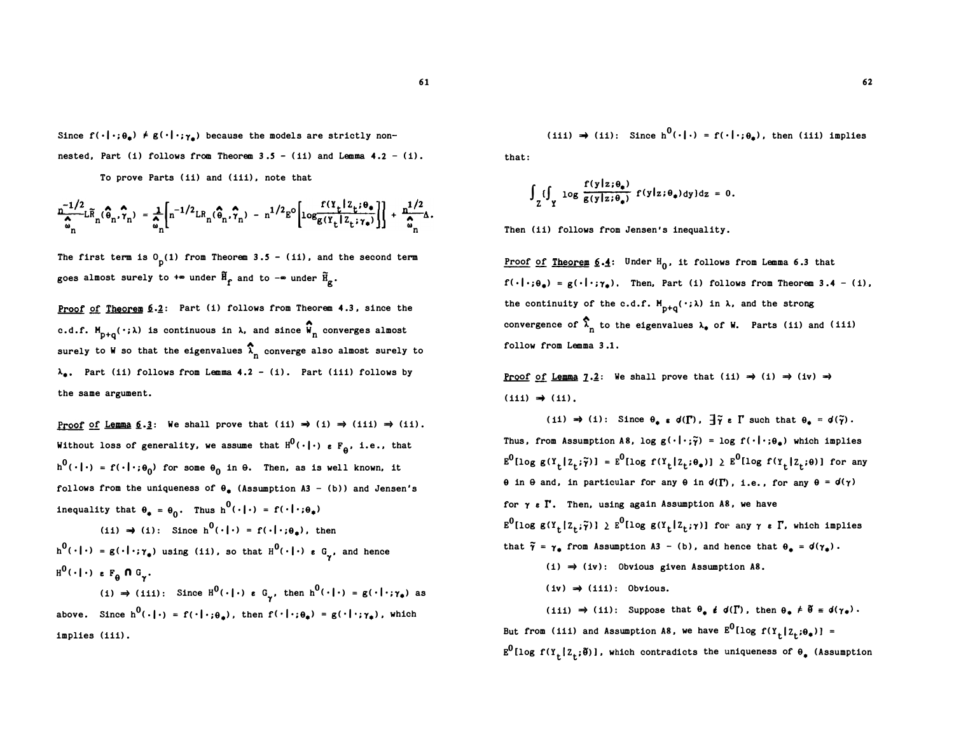Since  $f(\cdot|\cdot;\theta_{\bullet}) \neq g(\cdot|\cdot;\gamma_{\bullet})$  because the models are strictly nonnested, Part (i) follows from Theorem  $3.5 - (ii)$  and Lemma  $4.2 - (i)$ .

To prove Parts (ii) and (iii) , note that

$$
\frac{n^{-1/2}}{\hat{\omega}_n} \mathbb{L} \widetilde{R}_n(\hat{\theta}_n, \hat{\gamma}_n) = \frac{1}{\hat{\omega}_n} \Bigg[ n^{-1/2} \mathbb{L} R_n(\hat{\theta}_n, \hat{\gamma}_n) - n^{1/2} \mathbb{E}^{\circ} \Bigg[ \log \frac{f(\Upsilon_t \mid \mathbb{Z}_t; \theta_*)}{g(\Upsilon_t \mid \mathbb{Z}_t; \gamma_*)} \Bigg] \Bigg] + \frac{n^{1/2}}{\hat{\omega}_n} \Delta.
$$

The first term is  $0<sub>p</sub>(1)$  from Theorem 3.5 - (ii), and the second term goes almost surely to  $+\infty$  under  $\widetilde{H}_{\widehat{f}}$  and to  $-\infty$  under  $\widetilde{H}_{\widehat{g}}$ .

Proof of Theorem  $6.2$ : Part (i) follows from Theorem 4.3, since the c.d.f.  $M_{p+q}(\cdot;\lambda)$  is continuous in  $\lambda$ , and since  $\widehat{W}_n$  converges almost  $p+q$ .<br>
surely to W so that the eigenvalues  $\hat{\lambda}_n$  converge also almost surely to  $\lambda_a$ . Part (ii) follows from Lemma 4.2 - (i). Part (iii) follows by the same argument.

Proof of Lemma  $6.3$ : We shall prove that (ii)  $\Rightarrow$  (i)  $\Rightarrow$  (iii)  $\Rightarrow$  (ii). Without loss of generality, we assume that  $H^0(\cdot\,|\,\cdot\,)$   $_{e}$  F<sub>0</sub>, i.e., that  $h^0(\cdot|\cdot) = f(\cdot|\cdot;\theta_0)$  for some  $\theta_0$  in  $\theta$ . Then, as is well known, it follows from the uniqueness of  $\theta_a$  (Assumption A3 - (b)) and Jensen's inequality that  $\theta_* = \theta_0$ . Thus  $h^0(\cdot | \cdot) = f(\cdot | \cdot; \theta_*)$ 

(ii)  $\Rightarrow$  (i): Since h<sup>0</sup>(·|·) = f(·|·; $\theta$ <sub>r</sub>), then  $h^0(\cdot|\cdot) = g(\cdot|\cdot; \gamma_*)$  using (ii), so that  $H^0(\cdot|\cdot)$   $\epsilon$   $G_{\gamma}$ , and hence  $H^0(\cdot | \cdot)$  e  $F_{\theta}$  n  $G_{\gamma}$ .

(i)  $\Rightarrow$  (iii): Since  $H^0(\cdot | \cdot)$  e G<sub> $\gamma$ </sub>, then  $h^0(\cdot | \cdot) = g(\cdot | \cdot; \gamma_*)$  as above. Since  $h^0(\cdot | \cdot) = f(\cdot | \cdot; \theta_*)$ , then  $f(\cdot | \cdot; \theta_*) = g(\cdot | \cdot; \gamma_*)$ , which implies (iii) .

(iii)  $\Rightarrow$  (ii): Since  $h^0(\cdot|\cdot) = f(\cdot|\cdot;\theta_*)$ , then (iii) implies that:

$$
\int_{Z} \{\int_{\Upsilon} \log \frac{f(y|z;\theta_{\bullet})}{g(y|z;\theta_{\bullet})} f(y|z;\theta_{\bullet}) dy\} dz = 0.
$$

Then (ii) follows from Jensen's inequality.

Proof of Theorem  $6.4$ : Under  $H_0$ , it follows from Lemma 6.3 that  $f(\cdot | \cdot; \theta_*) = g(\cdot | \cdot; \gamma_*)$ . Then, Part (i) follows from Theorem 3.4 - (i), the continuity of the c.d.f.  $M_{p+q}(\cdot; \lambda)$  in  $\lambda$ , and the strong convergence of  $\hat{\lambda}_n$  to the eigenvalues  $\lambda_*$  of W. Parts (ii) and (iii) follow from Lemma 3 .1.

Proof of Lemma 1.2: We shall prove that (ii)  $\Rightarrow$  (i)  $\Rightarrow$  (iv)  $\Rightarrow$  $(iii) \Rightarrow (ii)$ .

(ii)  $\Rightarrow$  (i): Since  $\theta_* \circ d(\Gamma)$ ,  $\overline{\theta} \circ \Gamma$  such that  $\theta_* = d(\tilde{\gamma})$ . Thus, from Assumption A8, log  $g(\cdot|\cdot;\tilde{\gamma}) = \log f(\cdot|\cdot;\theta_{\pm})$  which implies  $E^0$ [log g(Y<sub>t</sub>[Z<sub>t</sub>; $\tilde{\gamma}$ )] =  $E^0$ [log f(Y<sub>t</sub>[Z<sub>t</sub>; $\theta_*)$ ]  $\geq E^0$ [log f(Y<sub>t</sub>[Z<sub>t</sub>; $\theta$ )] for any  $\theta$  in  $\theta$  and, in particular for any  $\theta$  in  $d(\Gamma)$ , i.e., for any  $\theta = d(\gamma)$ for  $\gamma$   $\epsilon$   $\Gamma$ . Then, using again Assumption A8, we have  $E^0$ [log g(Y<sub>t</sub>[Z<sub>t</sub>; $\tilde{\gamma}$ )]  $\geq E^0$ [log g(Y<sub>t</sub>[Z<sub>t</sub>; $\gamma$ )] for any  $\gamma$   $\epsilon$   $\Gamma$ , which implies that  $\tilde{\gamma} = \gamma_{\phi}$  from Assumption A3 - (b), and hence that  $\theta_{\phi} = d(\gamma_{\phi})$ .  $(i) \Rightarrow (iv)$ : Obvious given Assumption A8.  $(iv) \Rightarrow (iii)$ : Obvious. (iii)  $\Rightarrow$  (ii): Suppose that  $\theta_*$  i d( $\Gamma$ ), then  $\theta_* \neq \tilde{\theta} = d(\gamma_*)$ .

But from (iii) and Assumption A8, we have  $E^0$ [log f(Y<sub>t</sub>[Z<sub>t</sub>; $\theta_*$ )] =  $E^0$ [log f(Y<sub>t</sub>[Z<sub>t</sub>; $\delta$ )], which contradicts the uniqueness of  $\theta_*$  (Assumption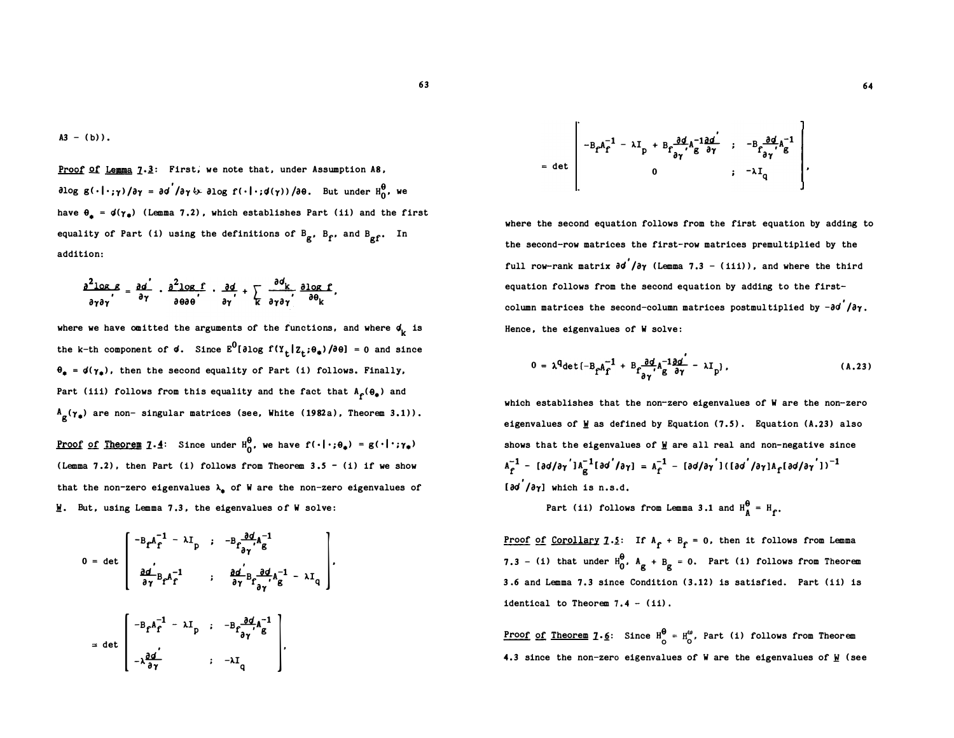Proof of Lemma 7.3: First, we note that, under Assumption A8,  $\partial \log\, g\, (\cdot\,|\cdot\,; \gamma\,) / \partial \gamma\,=\, \partial \sigma^{'}/ \partial \gamma\, \&\,\, \partial \log\, f\, (\cdot\,|\cdot\,; \sigma(\gamma)\,) \, / \partial \theta\,.$  But under  ${\rm H}^{\theta}_0$ , we have  $\theta_a = d(\gamma_a)$  (Lemma 7.2), which establishes Part (ii) and the first equality of Part (i) using the definitions of  $B_g$ ,  $B_f$ , and  $B_{gf}$ . In addition:

$$
\frac{\partial^2 \text{log } \mathcal{E}}{\partial \gamma \partial \gamma} = \frac{\partial a^2}{\partial \gamma} \cdot \frac{\partial^2 \text{log } \mathcal{E}}{\partial \theta \partial \theta} \cdot \frac{\partial d}{\partial \gamma'} + \sum_{k} \frac{\partial d_k}{\partial \gamma \partial \gamma'} \frac{\partial \text{log } \mathcal{E}}{\partial \theta_k}.
$$

where we have omitted the arguments of the functions, and where  $\phi_{\mathbf{k}}^{\phantom{\dag}}$  is the k-th component of **d**. Since  $E^0[\partial \log f(Y_t | Z_t; \theta_*)/\partial \theta] = 0$  and since  $\theta_* = d(\gamma_*)$ , then the second equality of Part (i) follows. Finally, Part (iii) follows from this equality and the fact that  $A_f(\theta_*)$  and  $A_{g}(\gamma_{\phi})$  are non- singular matrices (see, White (1982a), Theorem 3.1)).

<u>Proof of Theorem</u> 1.4: Since under  $H_0^{\theta}$ , we have  $f(\cdot|\cdot;\theta_{\phi}) = g(\cdot|\cdot;\gamma_{\phi})$ (Lemma 7.2), then Part (i) follows from Theorem  $3.5 - (i)$  if we show that the non-zero eigenvalues  $\lambda_{\bullet}$  of W are the non-zero eigenvalues of  $W$ . But, using Lemma 7.3, the eigenvalues of W solve:</u>

$$
0 = \det \begin{bmatrix} -B_f A_f^{-1} - \lambda I_p & ; & -B_f \frac{\partial d}{\partial \gamma} A_g^{-1} \\ \frac{\partial d}{\partial \gamma} B_f A_f^{-1} & ; & \frac{\partial d}{\partial \gamma} B_f \frac{\partial d}{\partial \gamma} A_g^{-1} - \lambda I_q \\ & ; & \frac{\partial d}{\partial \gamma} B_f \frac{\partial d}{\partial \gamma} A_g^{-1} - \lambda I_q \end{bmatrix}.
$$
  
= det 
$$
\begin{bmatrix} -B_f A_f^{-1} - \lambda I_p & ; & -B_f \frac{\partial d}{\partial \gamma} A_g^{-1} \\ -\lambda \frac{\partial d}{\partial \gamma} & ; & -\lambda I_q \end{bmatrix}.
$$

$$
= det \begin{bmatrix} -B_{f}A_{f}^{-1} - \lambda I_{p} + B_{f}\frac{\partial d}{\partial \gamma}A_{g}^{-1}\frac{\partial d}{\partial \gamma} & ; & -B_{f}\frac{\partial d}{\partial \gamma}A_{g}^{-1} \\ 0 & ; & -\lambda I_{q} \end{bmatrix}
$$

where the second equation follows from the first equation by adding to the second-row matrices the first-row matrices premultiplied by the full row-rank matrix  $\partial \boldsymbol{\sigma}' / \partial \boldsymbol{\gamma}$  (Lemma 7.3 - (iii)), and where the third equation follows from the second equation by adding to the firstcolumn matrices the second-column matrices postmultiplied by  $-\partial \sigma' / \partial \gamma$ . Hence, the eigenvalues of W solve:

$$
0 = \lambda^{\mathsf{q}} \det \left\{ -B_{\mathsf{f}} A_{\mathsf{f}}^{-1} + B_{\mathsf{f}} \frac{\partial \mathsf{d}}{\partial \gamma'} A_{\mathsf{g}}^{-1} \frac{\partial \mathsf{d}'}{\partial \gamma} - \lambda \mathsf{I}_{\mathsf{p}} \right\},\tag{A.23}
$$

which establishes that the non-zero eigenvalues of W are the non-zero eigenvalues of W as defined by Equation  $(7.5)$ . Equation  $(A.23)$  also shows that the eigenvalues of  $M$  are all real and non-negative since  $A_{\hat{f}}^{-1}$  - [ad/a $\gamma'$ ] $A_{\hat{g}}^{-1}$ [ad $'$ /a $\gamma$ ] =  $A_{\hat{f}}^{-1}$  - [ad/a $\gamma'$ ]([ad $'$ /a $\gamma$ ] $A_{\hat{f}}$ [ad/a $\gamma'$ ])<sup>-1</sup> [ $\partial$ o'/ $\partial$  $\gamma$ ] which is n.s.d.

Part (ii) follows from Lemma 3.1 and  $H_A^{\theta} = H_f$ .

<u>Proof of Corollary</u>  $1 \cdot 2$ : If  $A_f + B_f = 0$ , then it follows from Lemma 7.3 - (i) that under  $H_0^{\theta}$ ,  $A_g + B_g = 0$ . Part (i) follows from Theorem 3 .6 and Lemma 7.3 since Condition (3.12) is satisfied. Part (ii) is identical to Theorem  $7.4 - (11)$ .

<u>Proof of Theorem</u> 1.<u>6</u>: Since  $H_0^0 = H_0^{\omega}$ , Part (i) follows from Theorem 4.3 since the non-zero eigenvalues of W are the eigenvalues of  $\mathbf{M}$  (see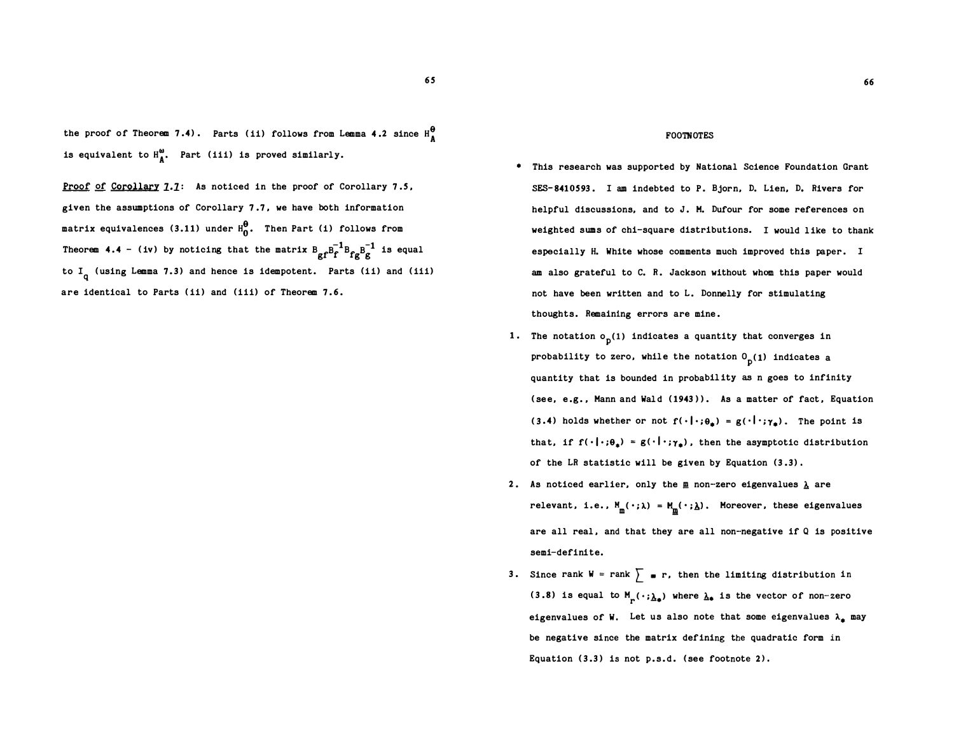the proof of Theorem 7.4). Parts (ii) follows from Lemma 4.2 since  $H_A^{\theta}$ is equivalent to  $H_{\text{A}}^{\omega}$ . Part (iii) is proved similarly.

Proof of Corollary 7.7: As noticed in the proof of Corollary 7.5, given the assumptions of Corollary 7 .7, we have both information matrix equivalences (3.11) under  $H_0^0$ . Then Part (i) follows from Theorem 4.4 - (iv) by noticing that the matrix  $B_{gf}B_f^{-1}B_{fg}B_g^{-1}$  is equal to I<sub>q</sub> (using Lemma 7.3) and hence is idempotent. Parts (ii) and (iii) are identical to Parts (ii) and (iii) of Theorem 7.6.

#### FOOTNOTES

- This research was supported by National Science Foundation Grant SES-8410593 . I am indebted to P. Bjorn, D. Lien, D. Rivers for helpful discussions, and to J. M. Dufour for some references on weighted sums of chi-square distributions. I would like to thank especially H. White whose comments much improved this paper. I am also grateful to C. R. Jackson without whom this paper would not have been written and to L. Donnelly for stimulating thoughts. Remaining errors are mine.
- 1. The notation  $\mathfrak{o}_{\mathbf{p}}(1)$  indicates a quantity that converges in probability to zero, while the notation  $0<sub>p</sub>(1)$  indicates a quantity that is bounded in probability as n goes to infinity (see, e.g., Mann and Wald (1943)). As a matter of fact, Equation (3.4) holds whether or not  $f(\cdot|\cdot; \theta_{\pm}) = g(\cdot|\cdot; \gamma_{\pm})$ . The point is that, if  $f(\cdot|\cdot;\theta_*) = g(\cdot|\cdot;\gamma_*)$ , then the asymptotic distribution of the LR statistic will be given by Equation (3 .3) .
- 2. As noticed earlier, only the  $\underline{m}$  non-zero eigenvalues  $\underline{\lambda}$  are relevant, i.e.,  $M_{\underline{m}}(\,\cdot\,;\lambda) = M_{\underline{m}}(\,\cdot\,;\lambda)$ . Moreover, these eigenvalues are all real, and that they are all non-negative if Q is positive semi-definite.
- 3. Since rank  $W = rank \sum$  **e** r, then the limiting distribution in (3.8) is equal to  $M_{p}(\,\cdot\,;\underline{\lambda}_{\phi})$  where  $\underline{\lambda}_{\phi}$  is the vector of non-zero eigenvalues of W. Let us also note that some eigenvalues  $\lambda_{\perp}$  may be negative since the matrix defining the quadratic form in Equation (3.3) is not p.s.d. (see footnote 2) .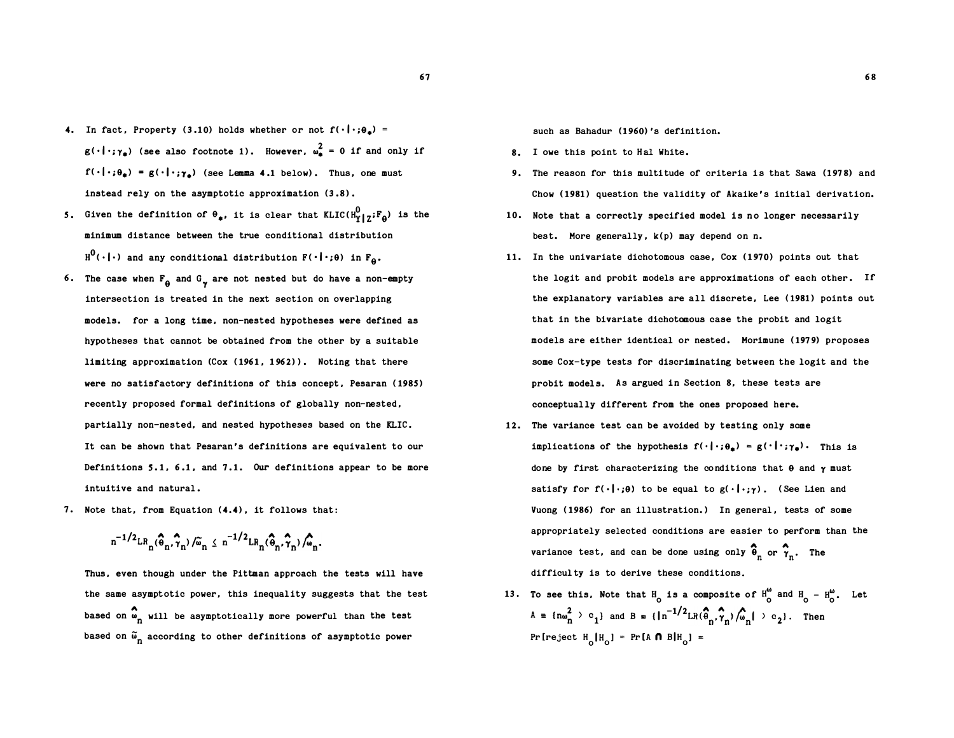- 4. In fact, Property (3.10) holds whether or not  $f(\cdot|\cdot;\theta_{\bullet})$  =  $g(\cdot|\cdot;\gamma_a)$  (see also footnote 1). However,  $\omega_a^2 = 0$  if and only if  $f(\cdot|\cdot;\theta_{\phi}) = g(\cdot|\cdot;\gamma_{\phi})$  (see Lemma 4.1 below). Thus, one must instead rely on the asymptotic approximation  $(3.8)$ .
- 5. Given the definition of  $\theta_{\phi}$ , it is clear that  $KLIC(H_Y^0|z^jF_{\theta})$  is the minimum distance between the true conditional distribution  $H^0(\cdot | \cdot)$  and any conditional distribution  $F(\cdot | \cdot; \theta)$  in  $F_{\theta}$ .
- 6. The case when  $F_{\theta}$  and  $G_{\gamma}$  are not nested but do have a non-empty intersection is treated in the next section on overlapping models. for a long time, non-nested hypotheses were defined as hypotheses that cannot be obtained from the other by a suitable limiting approximation (Cox ( 1961, 1 962) ). Noting that there were no satisfactory definitions of this concept. Pesaran (1985) recently proposed formal definitions of globally non-nested , partially non-nested, and nested hypotheses baaed on the KLIC. It can be shown that Pesaran 's definitions are equivalent to our Definitions S.1. 6.1. and 7.1. Our definitions appear to be more intuitive and natural .
- 7. Note that, from Equation (4.4), it follows that:

$$
n^{-1/2}LR_n(\widehat{\theta}_n,\widehat{\gamma}_n)/\widetilde{\omega}_n \leq n^{-1/2}LR_n(\widehat{\theta}_n,\widehat{\gamma}_n)/\widehat{\omega}_n.
$$

Thus, even though under the Pittman approach the tests will have the same asymptotic power, this inequality suggests that the test based on  $\overset{\bullet}{\bullet}_{\text{n}}$  will be asymptotically more powerful than the test based on  $\tilde{\bm{\omega}}_{\bm{n}}$  according to other definitions of asymptotic power

such as Bahadur (1960)'s definition.

- 8. I owe this point to Hal White.
- 9. The reason for this multitude of criteria is that Sawa (1978) and Chow (1981) question the validity of Akaike's initial derivation.
- 10. Note that a correctly specified model is no longer necessarily best. More generally,  $k(p)$  may depend on n.
- 11. In the univariate dichotomous case, Cox (1970) points out that the logit and probit models are approximations of each other. If the explanatory variables are all discrete, Lee (1981) points out that in the bivariate dichotomous case the probit and logit models are either identical or nested. Morimune (1979) proposes some Cox-type tests for discriminating between the logit and the probit models. As argued in Section 8, these tests are conceptually different from the ones proposed here.
- 12. The variance test can be avoided by testing only some implications of the hypothesis  $f(\cdot|\cdot;\theta_{\bullet}) = g(\cdot|\cdot;\gamma_{\bullet})$ . This is done by first characterizing the conditions that  $\theta$  and  $\gamma$  must satisfy for  $f(\cdot|\cdot;\theta)$  to be equal to  $g(\cdot|\cdot;\gamma)$ . (See Lien and Vuong (1986) for an illustration.) In general, tests of some appropriately selected conditions are easier to perform than the variance test, and can be done using only  $\hat{\theta}_n$  or  $\hat{\gamma}_n$ . The difficul ty is to derive these conditions.
- 13. To see this, Note that  $H_0$  is a composite of  $H_0^{\omega}$  and  $H_0 H_0^{\omega}$ . Let  $A = \{n\omega_n^2 > c_1\}$  and  $B = \{\ln^{-1/2}LR(\hat{\theta}_n, \hat{\tau}_n)/\hat{\omega}_n | > c_2\}$ . Then Pr [reject  $H_o H_o$ ] = Pr [A  $\bigcap B H_o$ ] =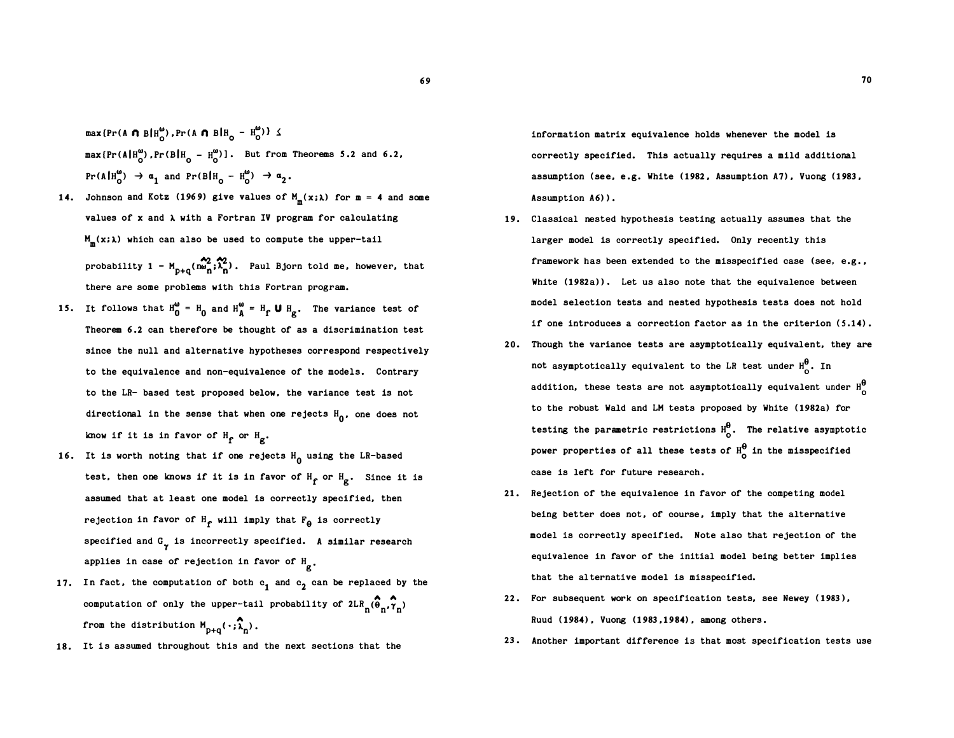$max\{Pr(A \cap B|H_{\rho}^{\omega}), Pr(A \cap B|H_{\rho} - H_{\rho}^{\omega})\}$ max  $\{Pr(A|H_0^{\omega})$ ,  $Pr(B|H_0 - H_0^{\omega})\}$ . But from Theorems 5.2 and 6.2,  $Pr(A|H_0^{\omega}) \rightarrow \alpha_1$  and  $Pr(B|H_0 - H_0^{\omega}) \rightarrow \alpha_2$ .

- 14. Johnson and Kotz (1969) give values of  $M_m(x;\lambda)$  for  $m = 4$  and some values of x and A with a Fortran IV program for calculating  $M_m(x;\lambda)$  which can also be used to compute the upper-tail probability  $1 - M_{p+q}(\hat{n}\omega_n^2;\hat{\lambda}_n^2)$ . Paul Bjorn told me, however, that there are some problems with this Fortran program.
- 15. It follows that  $H_0^{\omega} = H_0$  and  $H_A^{\omega} = H_f U H_g$ . The variance test of Theorem 6.2 can therefore be thought of as a discrimination test since the null and alternative hypotheses correspond respectively to the equivalence and non-equivalence of the models. Contrary to the LR- based test proposed below, the variance test is not directional in the sense that when one rejects  $H_0$ , one does not know if it is in favor of  $H_f$  or  $H_g$ .
- 16. It is worth noting that if one rejects  $H_0$  using the LR-based test, then one knows if it is in favor of  $H_f$  or  $H_g$ . Since it is assumed that at least one model is correctly specified, then rejection in favor of  $H_f$  will imply that  $F_{\theta}$  is correctly specified and  $G_{\gamma}$  is incorrectly specified. A similar research applies in case of rejection in favor of  $H_{g}$ .
- 17. In fact, the computation of both  $c_1$  and  $c_2$  can be replaced by the computation of only the upper-tail probability of  $2LRn_{}(\widehat{\boldsymbol{\theta}}_n,\widehat{\boldsymbol{\gamma}}_n)$ from the distribution  $M_{p+q}(\cdot;\widehat{\lambda}_{n})$ .
- 18. It is assumed throughout this and the next sections that the

information matrix equivalence holds whenever the model is correctly specified. This actually requires a mild additional assumption (see, e.g. White (1982, Assumption A7), Vuong (1983, Assumption A6)).

- 19. Classical nested hypothesis testing actually assumes that the larger model is correctly specified. Only recently this framework has been extended to the misspecified case (see, e.g., White (1982a) ). Let us also note that the equivalence between model selection tests and nested hypothesis tests does not hold if one introduces a correction factor as in the criterion (5.14).
- 20. Though the variance tests are asymptotically equivalent, they are not asymptotically equivalent to the LR test under  $H^0_{\sim}$ . In addition, these tests are not asymptotically equivalent under  $H^0$ to the robust Wald and LM tests proposed by White ( 1982a) for testing the parametric restrictions  $H_0^{\theta}$ . The relative asymptotic power properties of all these tests of  $H_0^\theta$  in the misspecified case is left for future research .
- 21 . Rejection of the equivalence in favor of the competing model being better does not, of course, imply that the alternative model is correctly specified. Note also that rejection of the equivalence in favor of the initial model being better implies that the al ternative model is misspecified.
- 22 . For subsequent work on specification tests, see Newey ( 1983), Ruud ( 1984) , Vuong (1983 , 1 984) , among others .
- 23 . Another important difference is that most specification tests use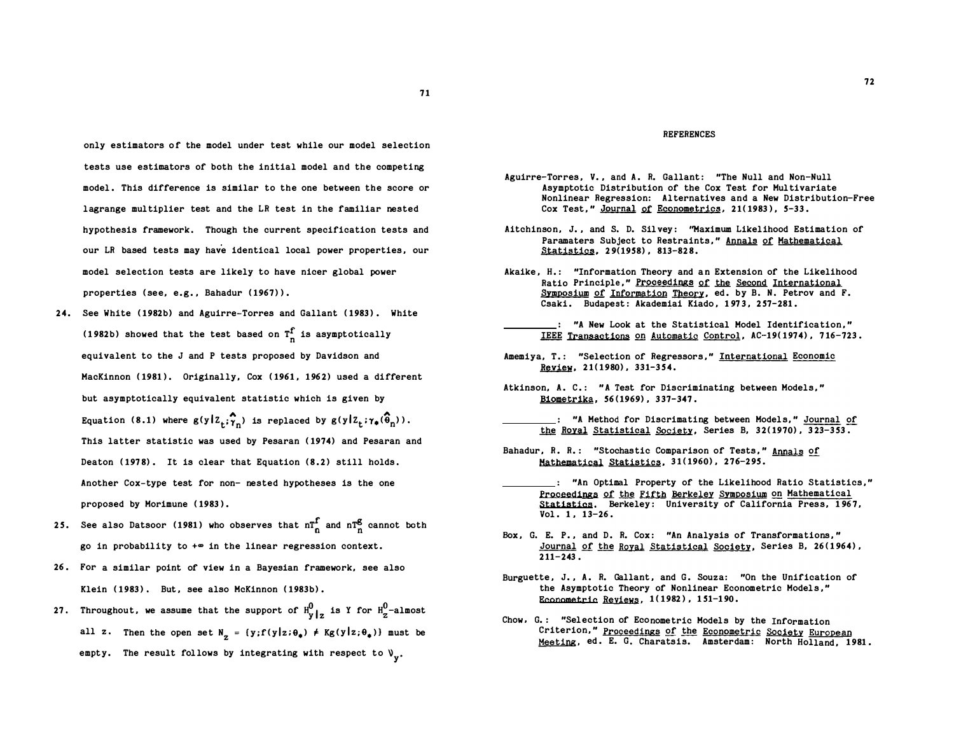only estimators of the model under test while our model selection tests use estimators of both the initial model and the competing model . This difference is similar to the one between the score or lagrange multiplier test and the LR test in the familiar nested hypothesis framework. Though the current specification tests and our LR based tests may have identical local power properties , our model selection tests are likely to have nicer global power properties (see, e.g., Bahadur (1967)).

- 24. See White (1982b) and Aguirre-Torres and Gallant (1983). White (1982b) showed that the test based on  $T_n^f$  is asymptotically equivalent to the J and P tests proposed by Davidson and MacKinnon (1981). Originally, Cox (1961, 1962) used a different but asymptotically equivalent statistic which is given by Equation (8.1) where  $g(y|z_t; \hat{\gamma}_n)$  is replaced by  $g(y|z_t; \gamma_*(\hat{\theta}_n))$ . This latter statistic was used by Pesaran ( 1974) and Pesaran and Deaton (1978). It is clear that Equation (8.2) still holds. Another Cox-type test for non- nested hypotheses is the one proposed by Morimune ( 1983).
- 25. See also Datsoor (1981) who observes that  $n\frac{f}{n}$  and  $n\frac{g}{n}$  cannot both go in probability to  $+\infty$  in the linear regression context.
- 26 . For a similar point of view in a Bayesian framework, see also Klein (1983). But, see also McKinnon (1983b).
- 27. Throughout, we assume that the support of  $H_{y}^0|_z$  is  $Y$  for  $H_{z}^0$ -almost all z. Then the open set  $N_z = {y; f(y|z; \theta_*) \neq Kg(y|z; \theta_*)}$  must be empty. The result follows by integrating with respect to  $\mathcal{V}_{\mathbf{y}}$ .

#### REFERENCES

- Aguirre-Torres, V., and A. R. Gallant: "The Null and Non-Null Asymptotic Distribution of the Cox Test for Multivariate Nonlinear Regression: Alternatives and a New Distribution-Free Cox Test," Journal of Econometrics, 21(1983), 5-33.
- Aitchinson, J., and S. D. Silvey: "Maximum Likelihood Estimation of Paramaters Subject to Restraints," Annals of Mathematical Statistics, 29(1958), 813-828.
- Akaike, H.: "Information Theory and an Extension of the Likelihood Ratio Principle ," Proceedings of the Second International Symposium of Information Theory, ed. by B. N. Petrov and F. Csaki. Budapest: Akademiai Kiado, 1973, 257-281.
- ... "A New Look at the Statistical Model Identification," IEEE Transactions on Automatic Control, AC-19( 1974) , 7 16-723 .
- Amemiya, T.: "Selection of Regressors," International Economic Review, 21( 1980) , 331-3 54.
- Atkinson, A. C.: "A Test for Discriminating between Models," Biometrika, 56(1969), 337-347.
- .: "A Method for Discrimating between Models," Journal of the Royal Statistical Society, Series B,  $32(1970)$ ,  $323-353$ .
- Bahadur, R. R. : "Stochastic Comparison of Tests ," Annals of Mathematical Statistics, 31( 1960) , 276-295 .
- "An Optimal Property of the Likelihood Ratio Statistics ," Proceedings of the Fifth Berkeley Symposium on Mathematical Statistics. Berkeley: University of California Press, 1967, Vol. 1, 13-26.
- Box, G. E. P., and D. R. Cox: "An Analysis of Transformations," Journal of the Royal Statistical Society, Series B, 26(1964),  $211 - 243$ .
- Burguette, J., A. R. Gallant, and G. Souza: "On the Unification of the Asymptotic Theory of Nonlinear Econometric Models," Econometric Reviews, 1(1982), 151-190.
- Chow, G.: "Selection of Econometric Models by the Information Criterion," Proceedings of the Econometric Society European Meeting, ed. E. G. Charatsis. Amsterdam: North Holland, 1981.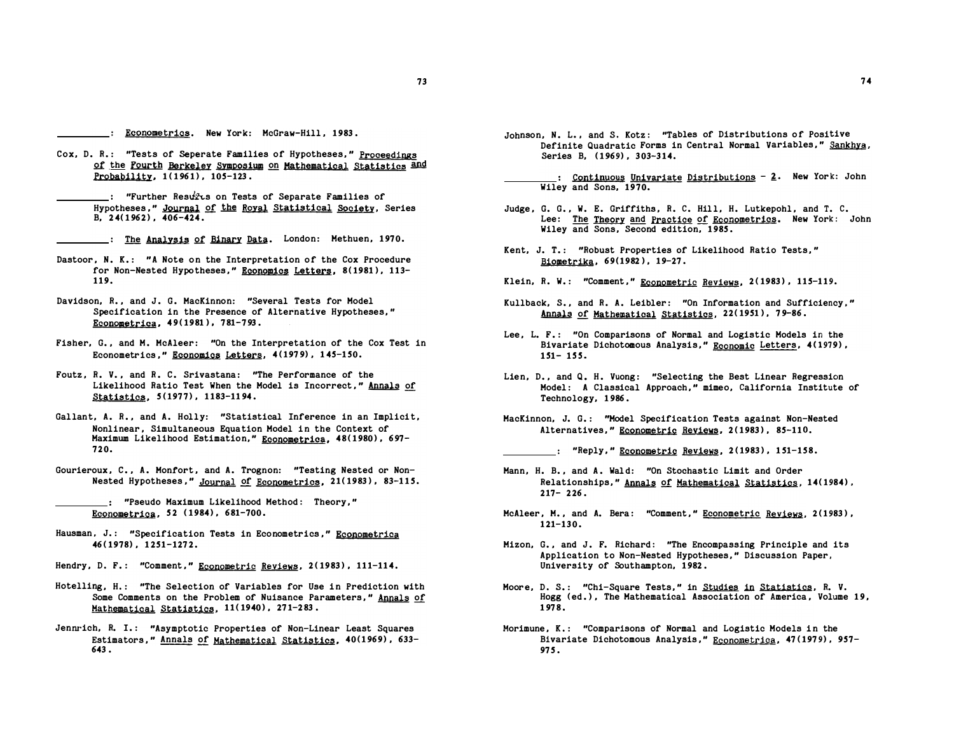- Econometrics. New York: McGraw-Hill, 1983.
- Cox, D. R.: "Tests of Seperate Families of Hypotheses," Proceedings of the Fourth Berkeley Symposium on Mathematical Statistics and Probability, 1(1961), 105-123.

 $\quad$ : "Further Resuris on Tests of Separate Families of Hypotheses." Journal of the Royal Statistical Society, Series  $B. 24(1962)$ ,  $406-424$ .

: The Analysis of Binary Data. London: Methuen, 1970.

- Dastoor, N. K.: "A Note on the Interpretation of the Cox Procedure for Non-Nested Hypotheses," Economics Letters, 8(1981), 113-119.
- Davidson, R., and J. G. MacKinnon: "Several Tests for Model Specification in the Presence of Alternative Hypotheses," Econometrica, 49(1981), 781-793.
- Fisher, G., and M. McAleer: "On the Interpretation of the Cox Test in Econometrics," Economics Letters, 4(1979), 145-150.
- Foutz, R. V., and R. C. Srivastana: "The Performance of the Likelihood Ratio Test When the Model is Incorrect," Annals of Statistics, 5(1977), 1183-1194.
- Gallant, A. R., and A. Holly: "Statistical Inference in an Implicit, Nonlinear , Simultaneous Equation Hodel in the Context of Maximum Likelihood Estimation," Econometrica, 48(1980), 697-720.
- Gourieroux, C., A. Monfort, and A. Trognon: "Testing Nested or Non-Nested Hypotheses," Journal of Econometrics, 21(1983), 83-115.
	- : "Pseudo Maximum Likelihood Method: Theory," Econometrica, 52 (1984), 681-700.
- Hausman, J.: "Specification Tests in Econometrics," Econometrica 46 ( 1978) , 1 251-1272.
- Hendry, D. F.: "Comment," Econometric Reviews, 2(1983), 111-114.
- Hotelling, H.: "The Selection of Variables for Use in Prediction with Some Comments on the Problem of Nuisance Parameters ," Annals of Mathematical Statistics, 11(1940), 271-283.
- Jennrich, R. I.: "Asymptotic Properties of Non-Linear Least Squares Estimators," Annals of Mathematical Statistics, 40(1969), 633-643 .
- Johnson, N. L., and S. Kotz: "Tables of Distributions of Positive Definite Quadratic Forms in Central Normal Variables," Sankhya, Series B, (1969), 303-314.
- .: Continuous Univariate Distributions 2. New York: John Wiley and Sons, 1970.
- Judge, G. G., W. E. Griffiths, R. C. Hill, H. Lutkepohl, and T. C. Lee: The Theory and Practice of Econometrics. New York: John Wiley and Sons, Second edition, 1985.
- Kent, J. T.: "Robust Properties of Likelihood Ratio Tests," Biometrika, 69(1982), 19-27 .
- Klein, R. W.: "Comment," Econometric Reviews, 2(1983), 115-119.
- Kullback, S., and R. A. Leibler: "On Information and Sufficiency," Annals of Mathematical Statistics, 22(1951), 79-86.
- Lee, L. F.: "On Comparisons of Normal and Logistic Models in the Bivariate Dichotomous Analysis," Economic Letters, 4(1979),  $151 - 155$ .
- Lien, D., and Q. H. Vuong: "Selecting the Best Linear Regression Model: A Classical Approach," mimeo, California Institute of Technology, 1 986 .
- MacKinnon, J. G.: "Model Specification Tests against Non-Nested Alternatives," Econometric Reviews, 2(1983), 85-110.
	- . "Reply," <u>Econometric</u> Reviews, 2(1983), 151-158.
- Mann, H. B., and A. Wald: "On Stochastic Limit and Order Relationships," Annals of Mathematical Statistics, 14(1984),  $217 - 226$ .
- McAleer, M., and A. Bera: "Comment," Econometric Reviews, 2(1983),  $121 - 130$ .
- Mizon, G., and J. F. Richard: "The Encompassing Principle and its Application to Non-Nested Hypotheses ," Discussion Paper , University of Southampton, 1982.
- Moore, D. S.: "Chi-Square Tests," in Studies in Statistics, R. V. Hogg (ed.), The Mathematical Association of America, Volume 19, 1 978.
- Morimune, K.: "Comparisons of Normal and Logistic Models in the Bivariate Dichotomous Analysis," Econometrica, 47(1979), 957-97 5.